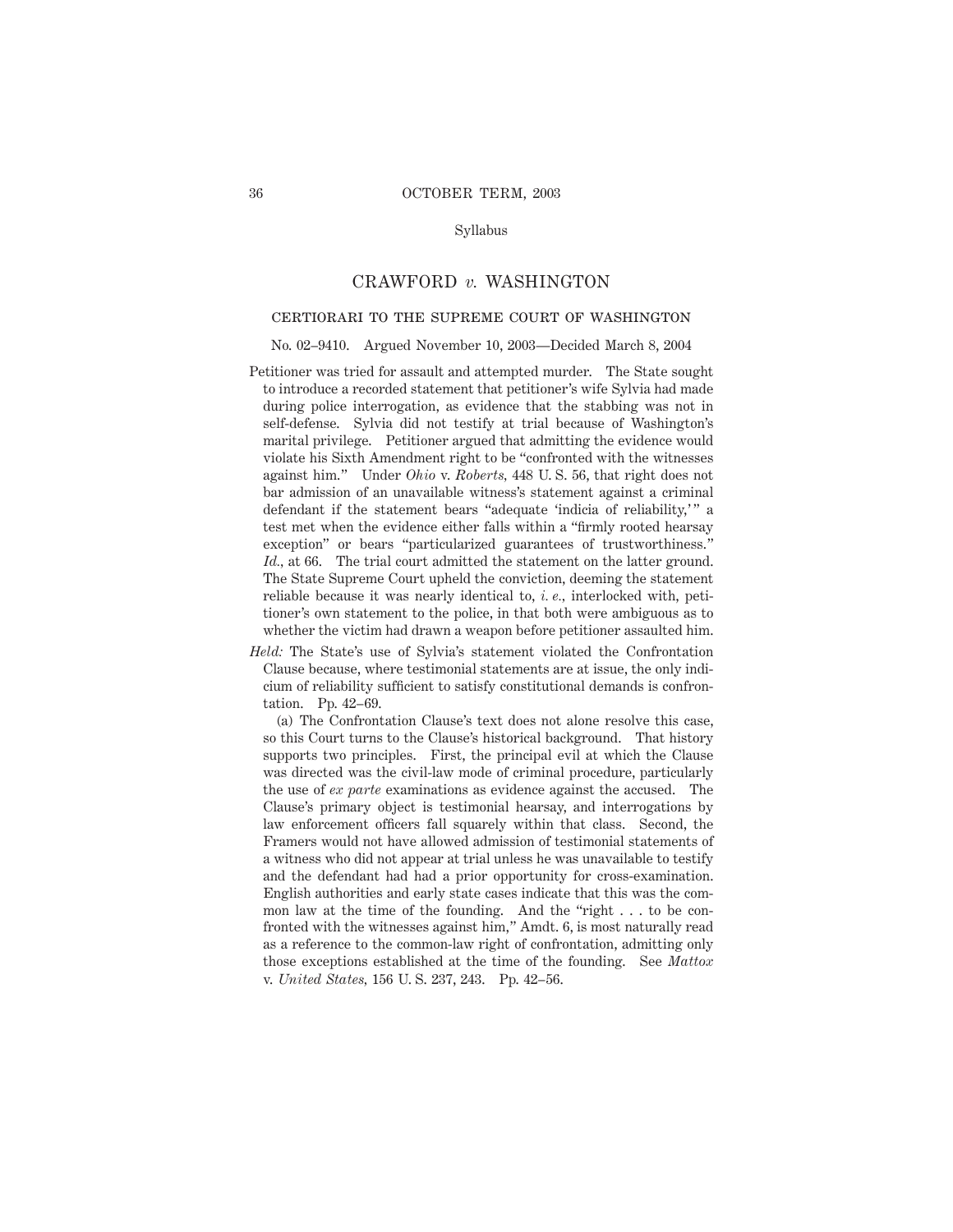#### Syllabus

# CRAWFORD *v.* WASHINGTON

# certiorari to the supreme court of washington

No. 02–9410. Argued November 10, 2003—Decided March 8, 2004

- Petitioner was tried for assault and attempted murder. The State sought to introduce a recorded statement that petitioner's wife Sylvia had made during police interrogation, as evidence that the stabbing was not in self-defense. Sylvia did not testify at trial because of Washington's marital privilege. Petitioner argued that admitting the evidence would violate his Sixth Amendment right to be "confronted with the witnesses against him." Under *Ohio* v. *Roberts,* 448 U. S. 56, that right does not bar admission of an unavailable witness's statement against a criminal defendant if the statement bears "adequate 'indicia of reliability,'" a test met when the evidence either falls within a "firmly rooted hearsay exception" or bears "particularized guarantees of trustworthiness." Id., at 66. The trial court admitted the statement on the latter ground. The State Supreme Court upheld the conviction, deeming the statement reliable because it was nearly identical to, *i. e.,* interlocked with, petitioner's own statement to the police, in that both were ambiguous as to whether the victim had drawn a weapon before petitioner assaulted him.
- *Held:* The State's use of Sylvia's statement violated the Confrontation Clause because, where testimonial statements are at issue, the only indicium of reliability sufficient to satisfy constitutional demands is confrontation. Pp. 42–69.

(a) The Confrontation Clause's text does not alone resolve this case, so this Court turns to the Clause's historical background. That history supports two principles. First, the principal evil at which the Clause was directed was the civil-law mode of criminal procedure, particularly the use of *ex parte* examinations as evidence against the accused. The Clause's primary object is testimonial hearsay, and interrogations by law enforcement officers fall squarely within that class. Second, the Framers would not have allowed admission of testimonial statements of a witness who did not appear at trial unless he was unavailable to testify and the defendant had had a prior opportunity for cross-examination. English authorities and early state cases indicate that this was the common law at the time of the founding. And the "right . . . to be confronted with the witnesses against him," Amdt. 6, is most naturally read as a reference to the common-law right of confrontation, admitting only those exceptions established at the time of the founding. See *Mattox* v. *United States,* 156 U. S. 237, 243. Pp. 42–56.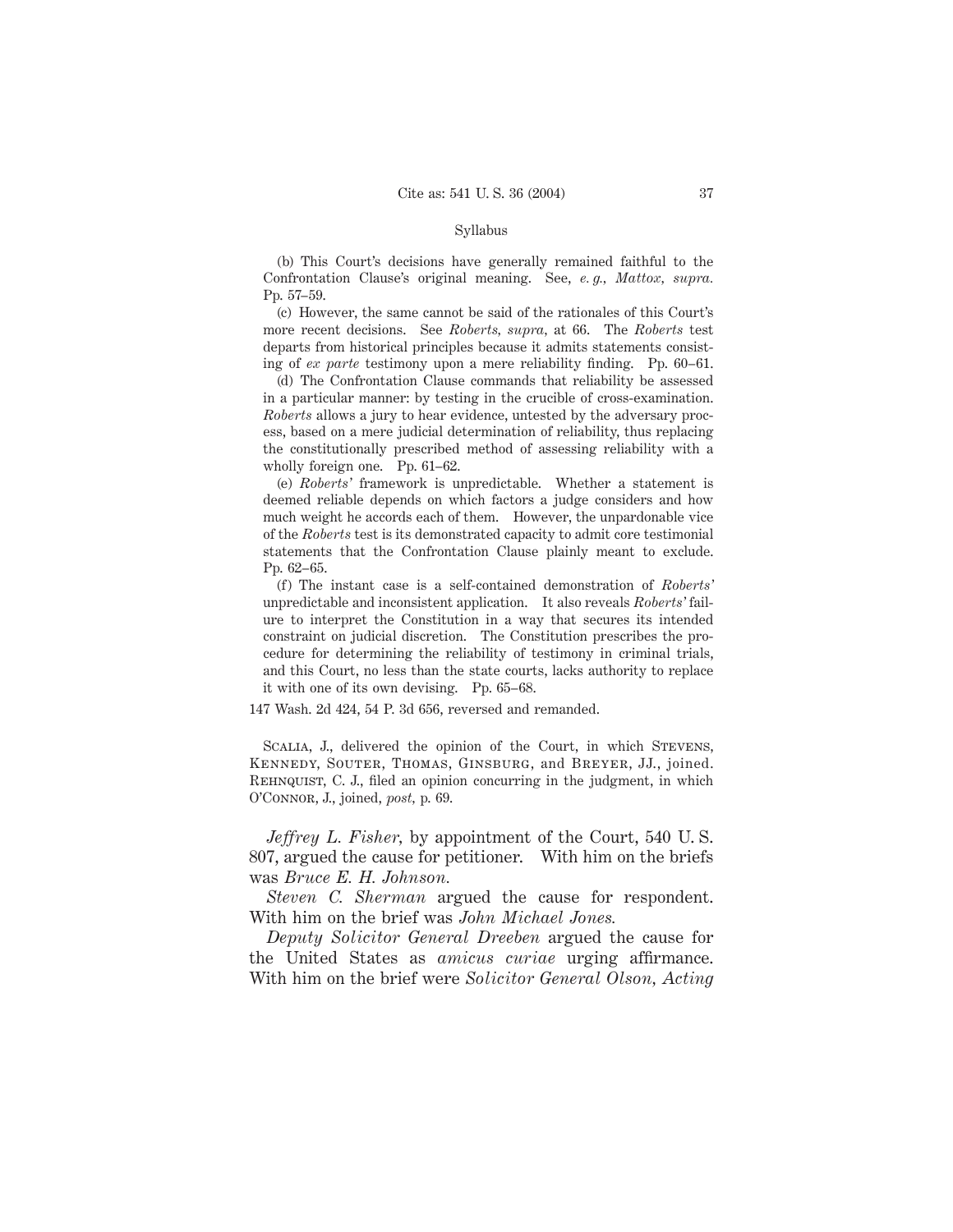#### Syllabus

(b) This Court's decisions have generally remained faithful to the Confrontation Clause's original meaning. See, *e. g., Mattox, supra.* Pp. 57–59.

(c) However, the same cannot be said of the rationales of this Court's more recent decisions. See *Roberts, supra,* at 66. The *Roberts* test departs from historical principles because it admits statements consisting of *ex parte* testimony upon a mere reliability finding. Pp. 60–61.

(d) The Confrontation Clause commands that reliability be assessed in a particular manner: by testing in the crucible of cross-examination. *Roberts* allows a jury to hear evidence, untested by the adversary process, based on a mere judicial determination of reliability, thus replacing the constitutionally prescribed method of assessing reliability with a wholly foreign one. Pp. 61–62.

(e) *Roberts'* framework is unpredictable. Whether a statement is deemed reliable depends on which factors a judge considers and how much weight he accords each of them. However, the unpardonable vice of the *Roberts* test is its demonstrated capacity to admit core testimonial statements that the Confrontation Clause plainly meant to exclude. Pp. 62–65.

(f) The instant case is a self-contained demonstration of *Roberts'* unpredictable and inconsistent application. It also reveals *Roberts'* failure to interpret the Constitution in a way that secures its intended constraint on judicial discretion. The Constitution prescribes the procedure for determining the reliability of testimony in criminal trials, and this Court, no less than the state courts, lacks authority to replace it with one of its own devising. Pp. 65–68.

147 Wash. 2d 424, 54 P. 3d 656, reversed and remanded.

SCALIA, J., delivered the opinion of the Court, in which STEVENS, Kennedy, Souter, Thomas, Ginsburg, and Breyer, JJ., joined. Rehnquist, C. J., filed an opinion concurring in the judgment, in which O'Connor, J., joined, *post,* p. 69.

*Jeffrey L. Fisher,* by appointment of the Court, 540 U. S. 807, argued the cause for petitioner. With him on the briefs was *Bruce E. H. Johnson.*

*Steven C. Sherman* argued the cause for respondent. With him on the brief was *John Michael Jones.*

*Deputy Solicitor General Dreeben* argued the cause for the United States as *amicus curiae* urging affirmance. With him on the brief were *Solicitor General Olson, Acting*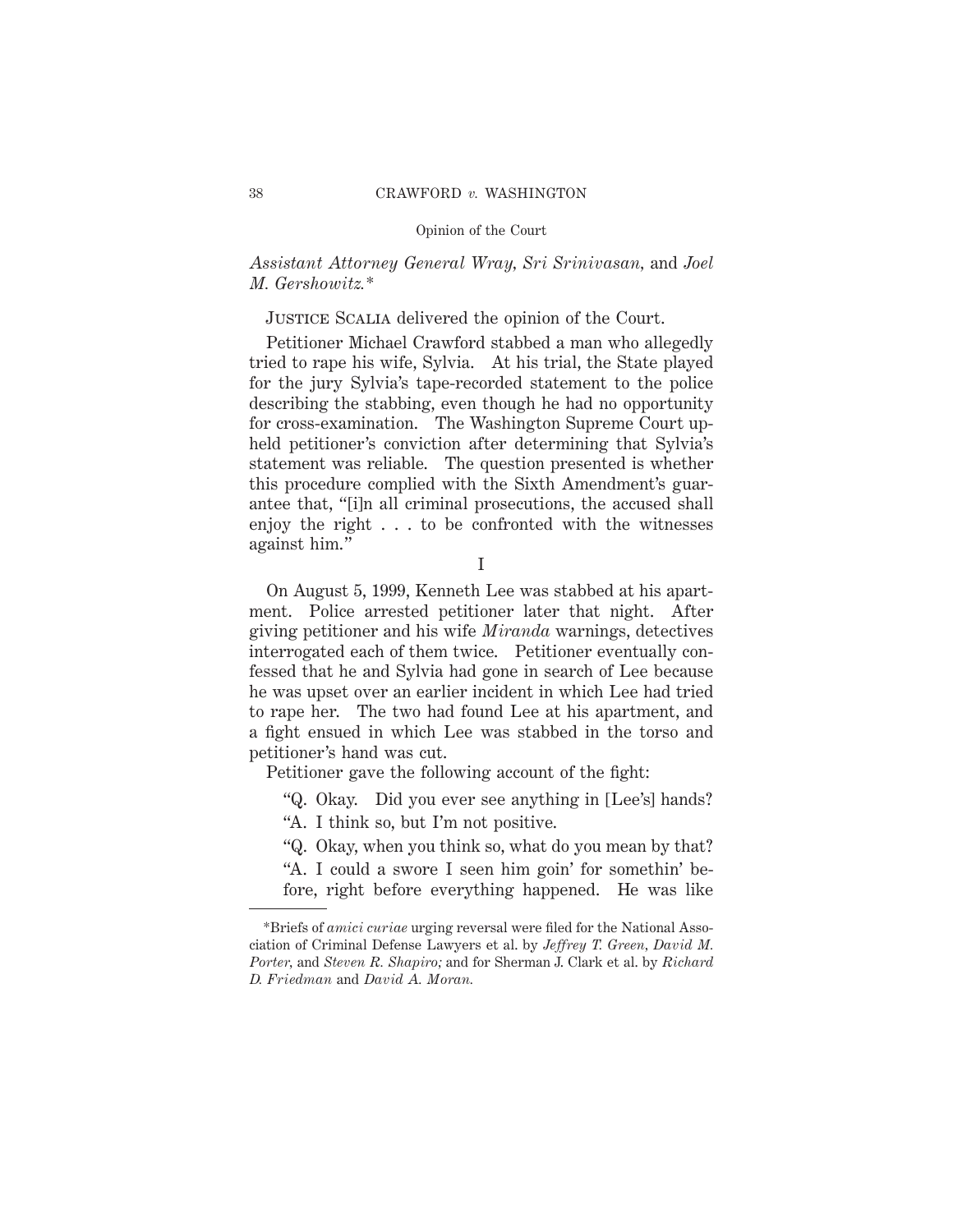# *Assistant Attorney General Wray, Sri Srinivasan,* and *Joel M. Gershowitz.\**

# Justice Scalia delivered the opinion of the Court.

Petitioner Michael Crawford stabbed a man who allegedly tried to rape his wife, Sylvia. At his trial, the State played for the jury Sylvia's tape-recorded statement to the police describing the stabbing, even though he had no opportunity for cross-examination. The Washington Supreme Court upheld petitioner's conviction after determining that Sylvia's statement was reliable. The question presented is whether this procedure complied with the Sixth Amendment's guarantee that, "[i]n all criminal prosecutions, the accused shall enjoy the right . . . to be confronted with the witnesses against him."

I

On August 5, 1999, Kenneth Lee was stabbed at his apartment. Police arrested petitioner later that night. After giving petitioner and his wife *Miranda* warnings, detectives interrogated each of them twice. Petitioner eventually confessed that he and Sylvia had gone in search of Lee because he was upset over an earlier incident in which Lee had tried to rape her. The two had found Lee at his apartment, and a fight ensued in which Lee was stabbed in the torso and petitioner's hand was cut.

Petitioner gave the following account of the fight:

"Q. Okay. Did you ever see anything in [Lee's] hands?

"A. I think so, but I'm not positive.

"Q. Okay, when you think so, what do you mean by that?

"A. I could a swore I seen him goin' for somethin' before, right before everything happened. He was like

<sup>\*</sup>Briefs of *amici curiae* urging reversal were filed for the National Association of Criminal Defense Lawyers et al. by *Jeffrey T. Green, David M. Porter,* and *Steven R. Shapiro;* and for Sherman J. Clark et al. by *Richard D. Friedman* and *David A. Moran.*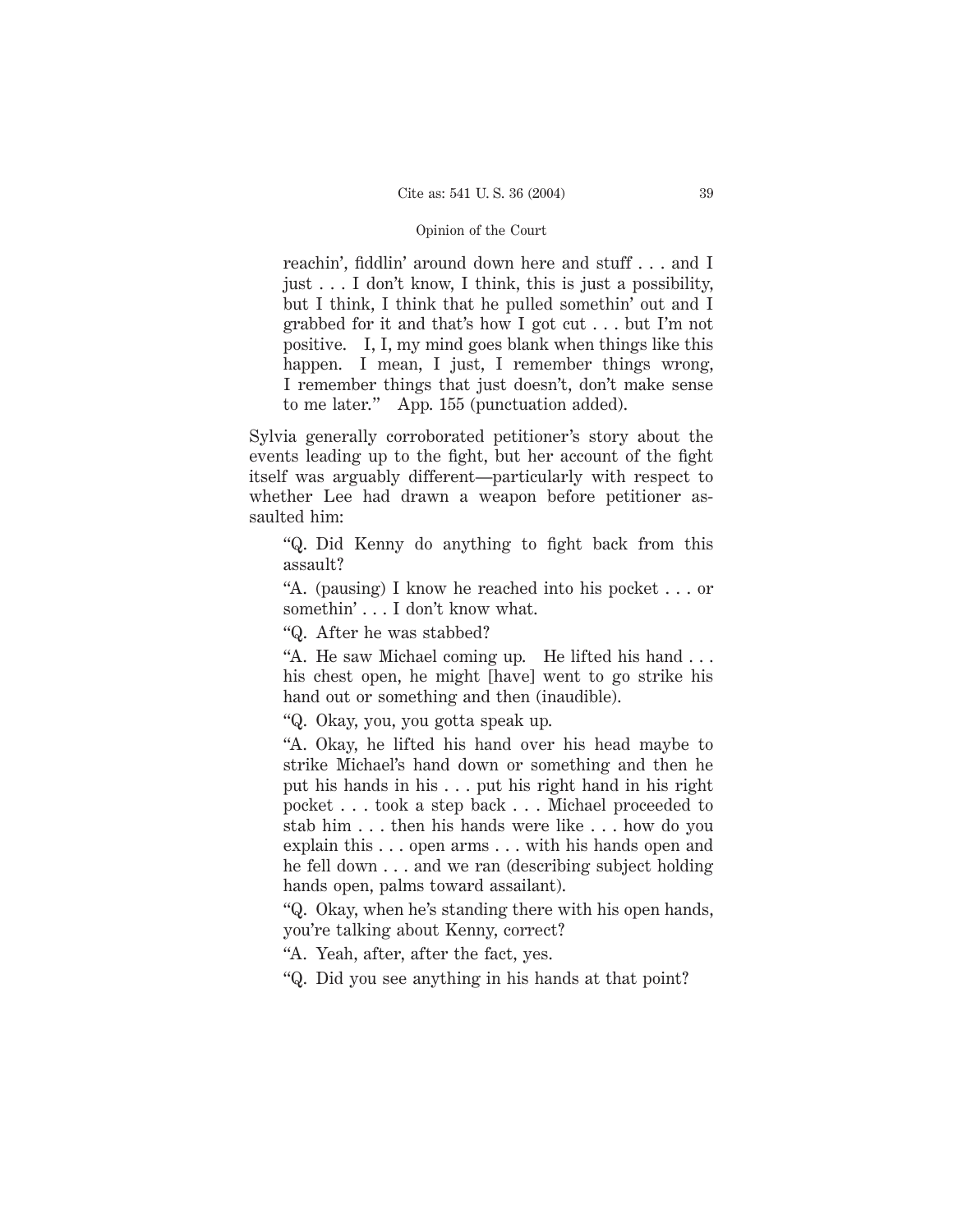reachin', fiddlin' around down here and stuff . . . and I just . . . I don't know, I think, this is just a possibility, but I think, I think that he pulled somethin' out and I grabbed for it and that's how I got cut . . . but I'm not positive. I, I, my mind goes blank when things like this happen. I mean, I just, I remember things wrong, I remember things that just doesn't, don't make sense to me later." App. 155 (punctuation added).

Sylvia generally corroborated petitioner's story about the events leading up to the fight, but her account of the fight itself was arguably different—particularly with respect to whether Lee had drawn a weapon before petitioner assaulted him:

"Q. Did Kenny do anything to fight back from this assault?

"A. (pausing) I know he reached into his pocket . . . or somethin'... I don't know what.

"Q. After he was stabbed?

"A. He saw Michael coming up. He lifted his hand . . . his chest open, he might [have] went to go strike his hand out or something and then (inaudible).

"Q. Okay, you, you gotta speak up.

"A. Okay, he lifted his hand over his head maybe to strike Michael's hand down or something and then he put his hands in his . . . put his right hand in his right pocket... took a step back . . . Michael proceeded to stab him . . . then his hands were like . . . how do you explain this . . . open arms . . . with his hands open and he fell down . . . and we ran (describing subject holding hands open, palms toward assailant).

"Q. Okay, when he's standing there with his open hands, you're talking about Kenny, correct?

"A. Yeah, after, after the fact, yes.

"Q. Did you see anything in his hands at that point?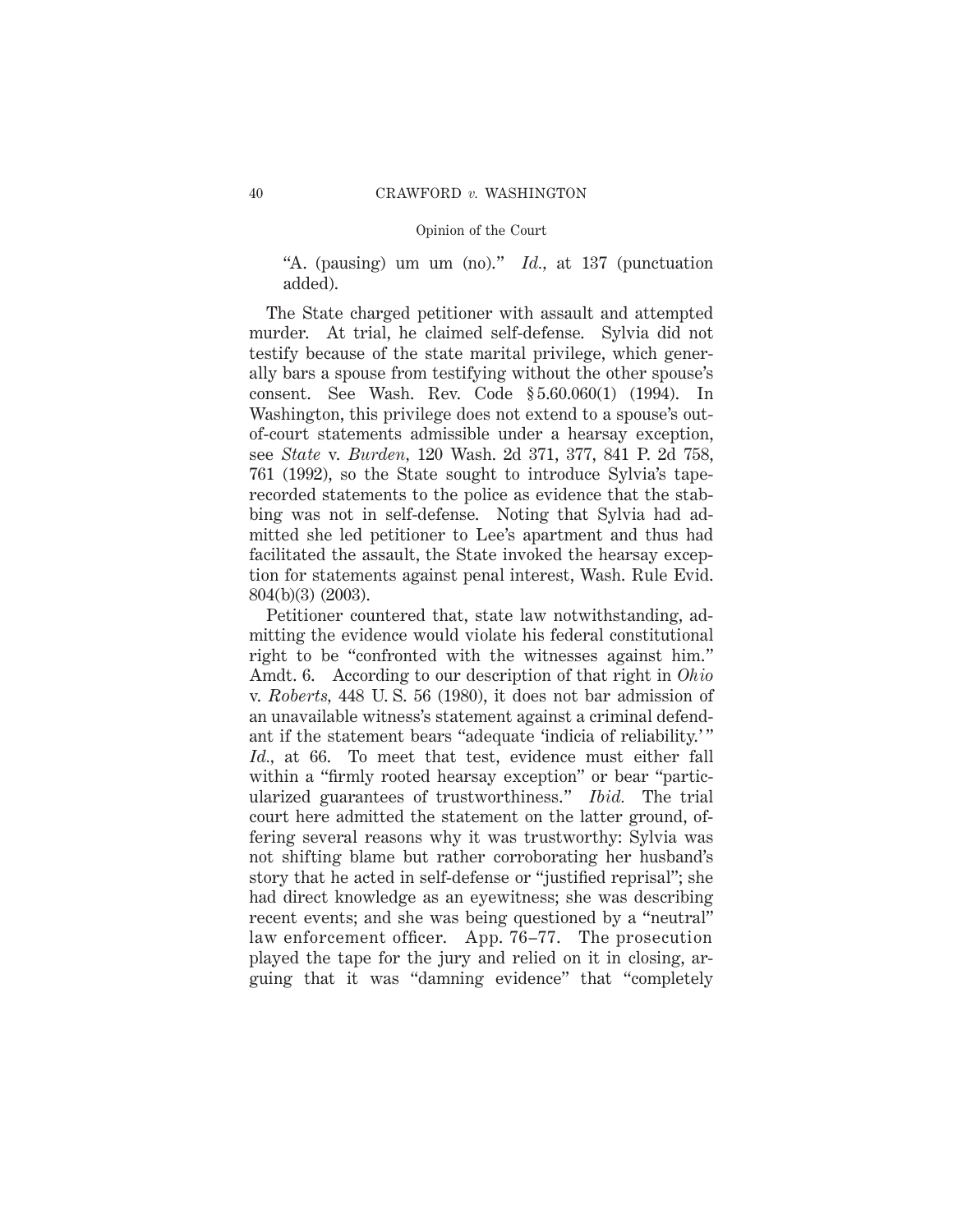"A. (pausing) um um (no)." *Id.,* at 137 (punctuation added).

The State charged petitioner with assault and attempted murder. At trial, he claimed self-defense. Sylvia did not testify because of the state marital privilege, which generally bars a spouse from testifying without the other spouse's consent. See Wash. Rev. Code § 5.60.060(1) (1994). In Washington, this privilege does not extend to a spouse's outof-court statements admissible under a hearsay exception, see *State* v. *Burden,* 120 Wash. 2d 371, 377, 841 P. 2d 758, 761 (1992), so the State sought to introduce Sylvia's taperecorded statements to the police as evidence that the stabbing was not in self-defense. Noting that Sylvia had admitted she led petitioner to Lee's apartment and thus had facilitated the assault, the State invoked the hearsay exception for statements against penal interest, Wash. Rule Evid. 804(b)(3) (2003).

Petitioner countered that, state law notwithstanding, admitting the evidence would violate his federal constitutional right to be "confronted with the witnesses against him." Amdt. 6. According to our description of that right in *Ohio* v. *Roberts,* 448 U. S. 56 (1980), it does not bar admission of an unavailable witness's statement against a criminal defendant if the statement bears "adequate 'indicia of reliability.' " *Id.,* at 66. To meet that test, evidence must either fall within a "firmly rooted hearsay exception" or bear "particularized guarantees of trustworthiness." *Ibid.* The trial court here admitted the statement on the latter ground, offering several reasons why it was trustworthy: Sylvia was not shifting blame but rather corroborating her husband's story that he acted in self-defense or "justified reprisal"; she had direct knowledge as an eyewitness; she was describing recent events; and she was being questioned by a "neutral" law enforcement officer. App. 76–77. The prosecution played the tape for the jury and relied on it in closing, arguing that it was "damning evidence" that "completely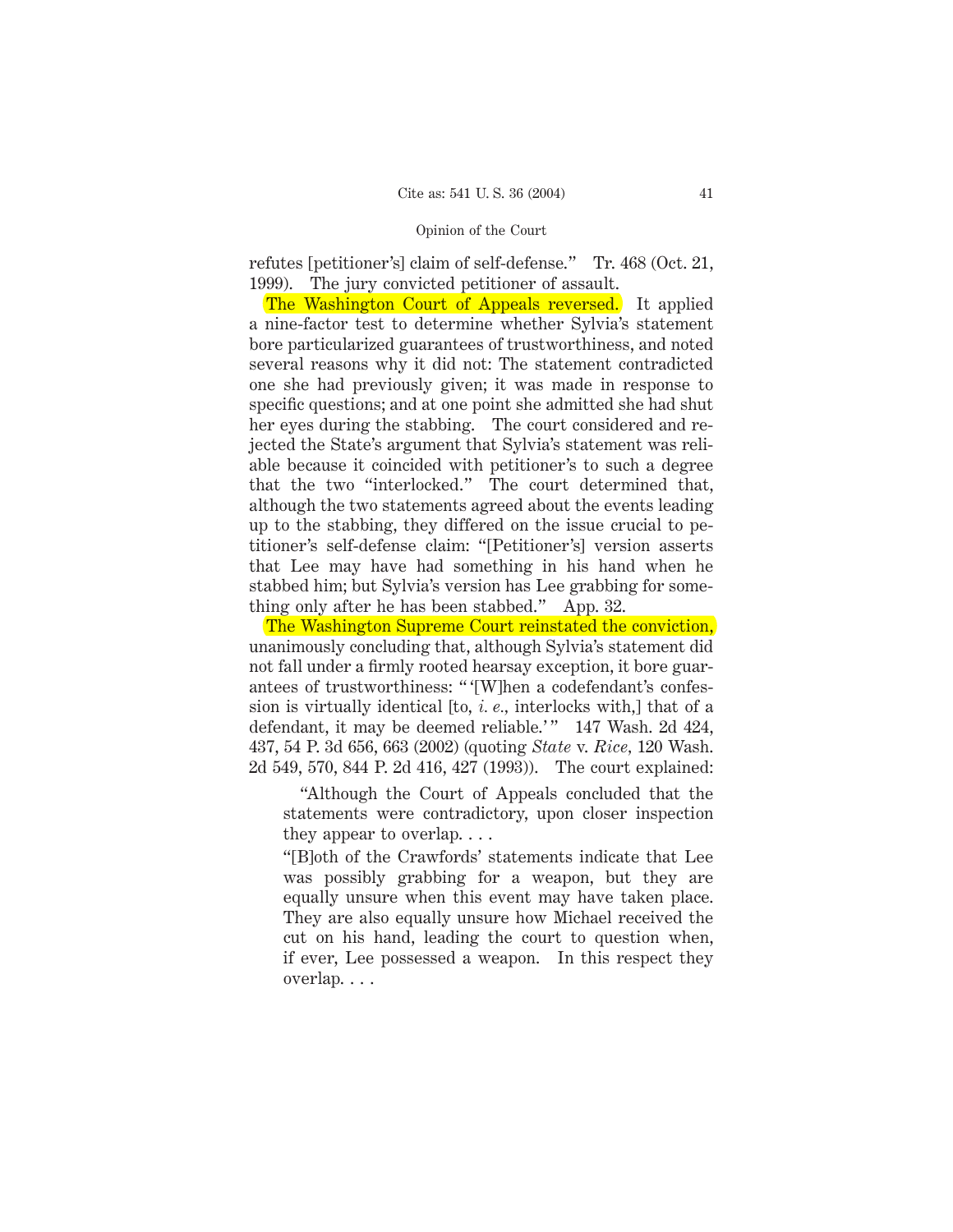refutes [petitioner's] claim of self-defense." Tr. 468 (Oct. 21, 1999). The jury convicted petitioner of assault.

The Washington Court of Appeals reversed. It applied a nine-factor test to determine whether Sylvia's statement bore particularized guarantees of trustworthiness, and noted several reasons why it did not: The statement contradicted one she had previously given; it was made in response to specific questions; and at one point she admitted she had shut her eyes during the stabbing. The court considered and rejected the State's argument that Sylvia's statement was reliable because it coincided with petitioner's to such a degree that the two "interlocked." The court determined that, although the two statements agreed about the events leading up to the stabbing, they differed on the issue crucial to petitioner's self-defense claim: "[Petitioner's] version asserts that Lee may have had something in his hand when he stabbed him; but Sylvia's version has Lee grabbing for something only after he has been stabbed." App. 32.

The Washington Supreme Court reinstated the conviction, unanimously concluding that, although Sylvia's statement did not fall under a firmly rooted hearsay exception, it bore guarantees of trustworthiness: " '[W]hen a codefendant's confession is virtually identical [to, *i. e.,* interlocks with,] that of a defendant, it may be deemed reliable.'" 147 Wash. 2d 424, 437, 54 P. 3d 656, 663 (2002) (quoting *State* v. *Rice,* 120 Wash. 2d 549, 570, 844 P. 2d 416, 427 (1993)). The court explained:

"Although the Court of Appeals concluded that the statements were contradictory, upon closer inspection they appear to overlap....

"[B]oth of the Crawfords' statements indicate that Lee was possibly grabbing for a weapon, but they are equally unsure when this event may have taken place. They are also equally unsure how Michael received the cut on his hand, leading the court to question when, if ever, Lee possessed a weapon. In this respect they overlap....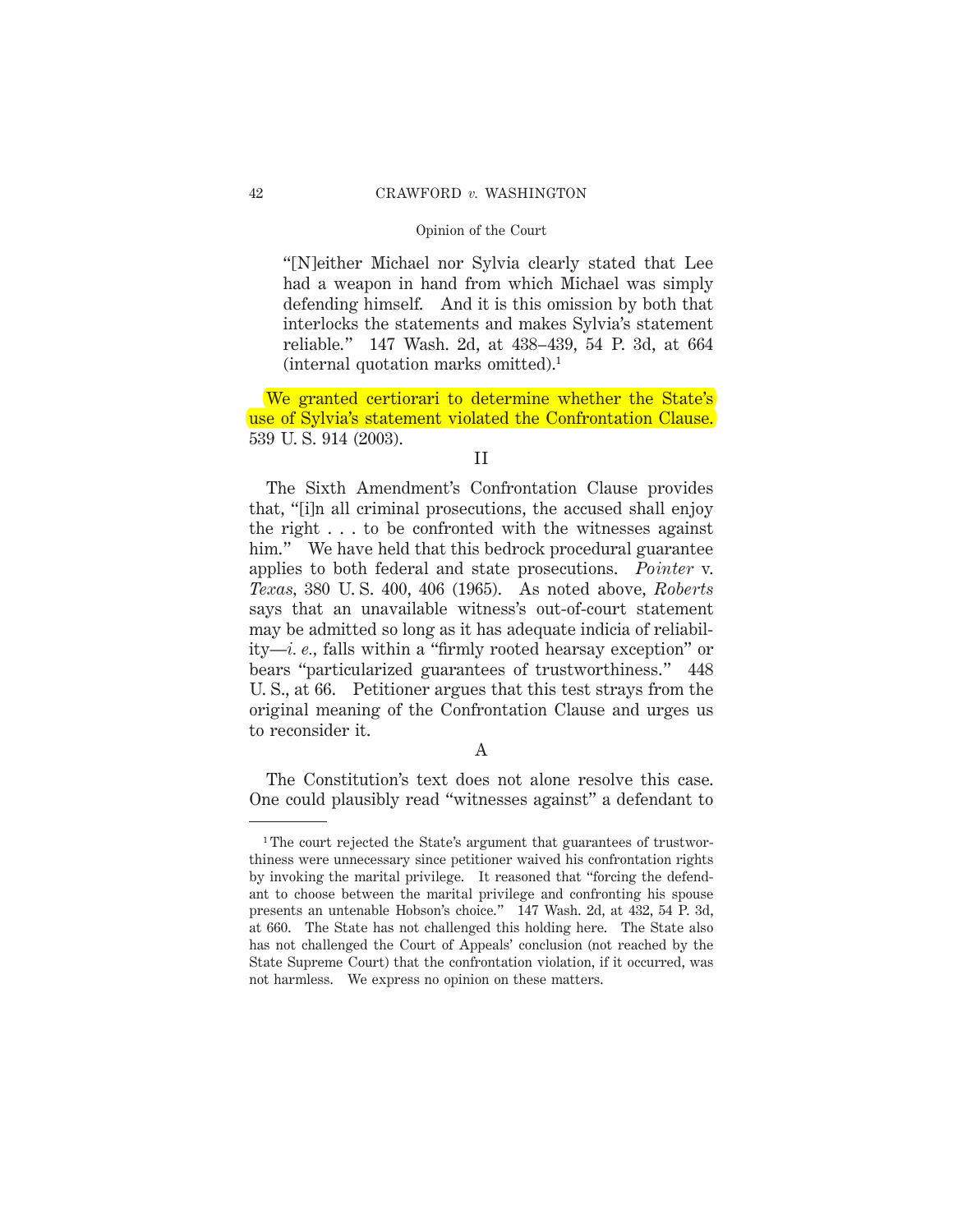"[N]either Michael nor Sylvia clearly stated that Lee had a weapon in hand from which Michael was simply defending himself. And it is this omission by both that interlocks the statements and makes Sylvia's statement reliable." 147 Wash. 2d, at 438–439, 54 P. 3d, at 664 (internal quotation marks omitted).1

We granted certiorari to determine whether the State's use of Sylvia's statement violated the Confrontation Clause. 539 U. S. 914 (2003).

The Sixth Amendment's Confrontation Clause provides that, "[i]n all criminal prosecutions, the accused shall enjoy the right . . . to be confronted with the witnesses against him." We have held that this bedrock procedural guarantee applies to both federal and state prosecutions. *Pointer* v. *Texas,* 380 U. S. 400, 406 (1965). As noted above, *Roberts* says that an unavailable witness's out-of-court statement may be admitted so long as it has adequate indicia of reliability—*i. e.,* falls within a "firmly rooted hearsay exception" or bears "particularized guarantees of trustworthiness." 448 U. S., at 66. Petitioner argues that this test strays from the original meaning of the Confrontation Clause and urges us to reconsider it.

#### A

The Constitution's text does not alone resolve this case. One could plausibly read "witnesses against" a defendant to

II

<sup>&</sup>lt;sup>1</sup>The court rejected the State's argument that guarantees of trustworthiness were unnecessary since petitioner waived his confrontation rights by invoking the marital privilege. It reasoned that "forcing the defendant to choose between the marital privilege and confronting his spouse presents an untenable Hobson's choice." 147 Wash. 2d, at 432, 54 P. 3d, at 660. The State has not challenged this holding here. The State also has not challenged the Court of Appeals' conclusion (not reached by the State Supreme Court) that the confrontation violation, if it occurred, was not harmless. We express no opinion on these matters.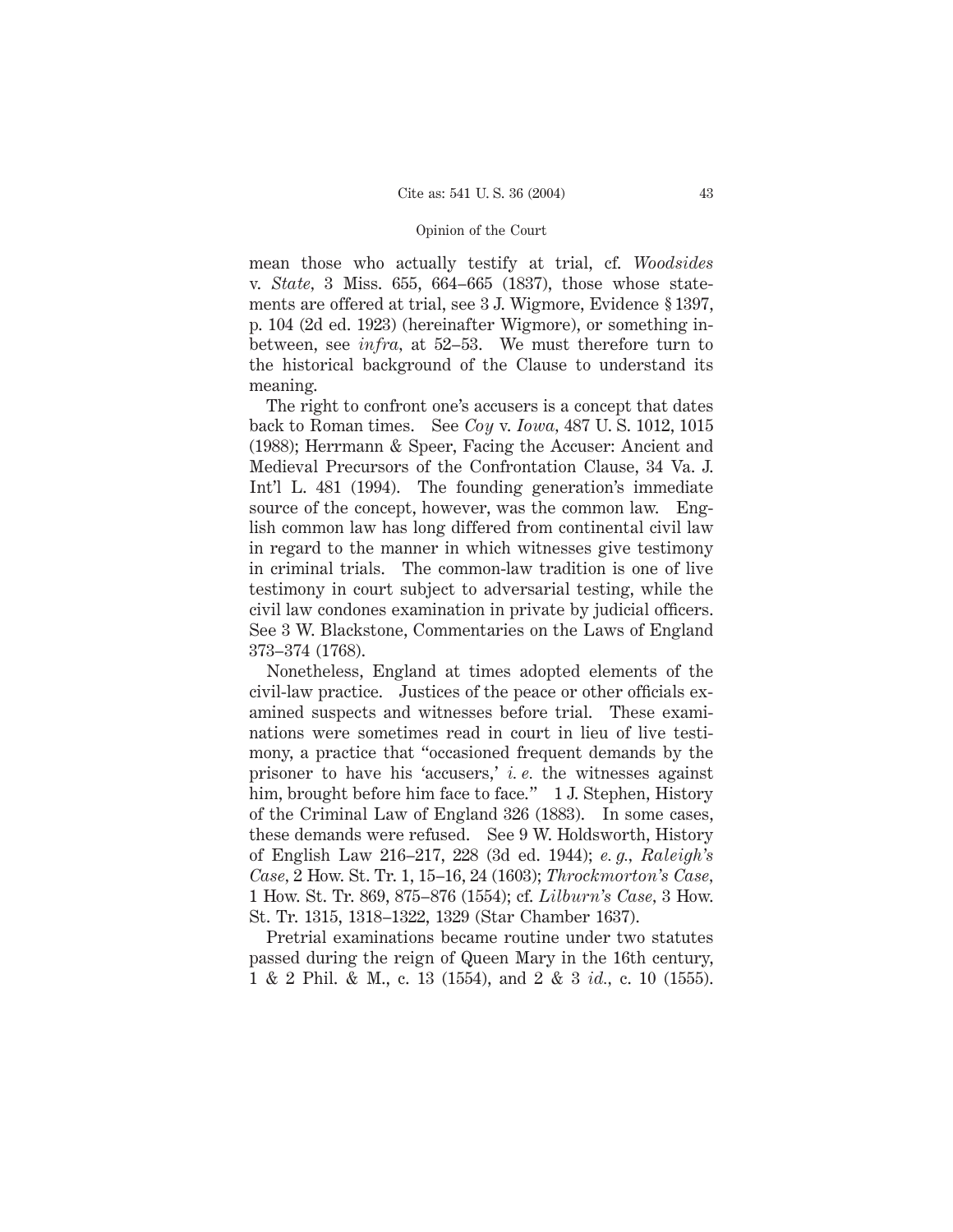mean those who actually testify at trial, cf. *Woodsides* v. *State,* 3 Miss. 655, 664–665 (1837), those whose statements are offered at trial, see 3 J. Wigmore, Evidence § 1397, p. 104 (2d ed. 1923) (hereinafter Wigmore), or something inbetween, see *infra,* at 52–53. We must therefore turn to the historical background of the Clause to understand its meaning.

The right to confront one's accusers is a concept that dates back to Roman times. See *Coy* v. *Iowa,* 487 U. S. 1012, 1015 (1988); Herrmann & Speer, Facing the Accuser: Ancient and Medieval Precursors of the Confrontation Clause, 34 Va. J. Int'l L. 481 (1994). The founding generation's immediate source of the concept, however, was the common law. English common law has long differed from continental civil law in regard to the manner in which witnesses give testimony in criminal trials. The common-law tradition is one of live testimony in court subject to adversarial testing, while the civil law condones examination in private by judicial officers. See 3 W. Blackstone, Commentaries on the Laws of England 373–374 (1768).

Nonetheless, England at times adopted elements of the civil-law practice. Justices of the peace or other officials examined suspects and witnesses before trial. These examinations were sometimes read in court in lieu of live testimony, a practice that "occasioned frequent demands by the prisoner to have his 'accusers,' *i. e.* the witnesses against him, brought before him face to face." 1 J. Stephen, History of the Criminal Law of England 326 (1883). In some cases, these demands were refused. See 9 W. Holdsworth, History of English Law 216–217, 228 (3d ed. 1944); *e. g., Raleigh's Case,* 2 How. St. Tr. 1, 15–16, 24 (1603); *Throckmorton's Case,* 1 How. St. Tr. 869, 875–876 (1554); cf. *Lilburn's Case,* 3 How. St. Tr. 1315, 1318–1322, 1329 (Star Chamber 1637).

Pretrial examinations became routine under two statutes passed during the reign of Queen Mary in the 16th century, 1 & 2 Phil. & M., c. 13 (1554), and 2 & 3 *id.,* c. 10 (1555).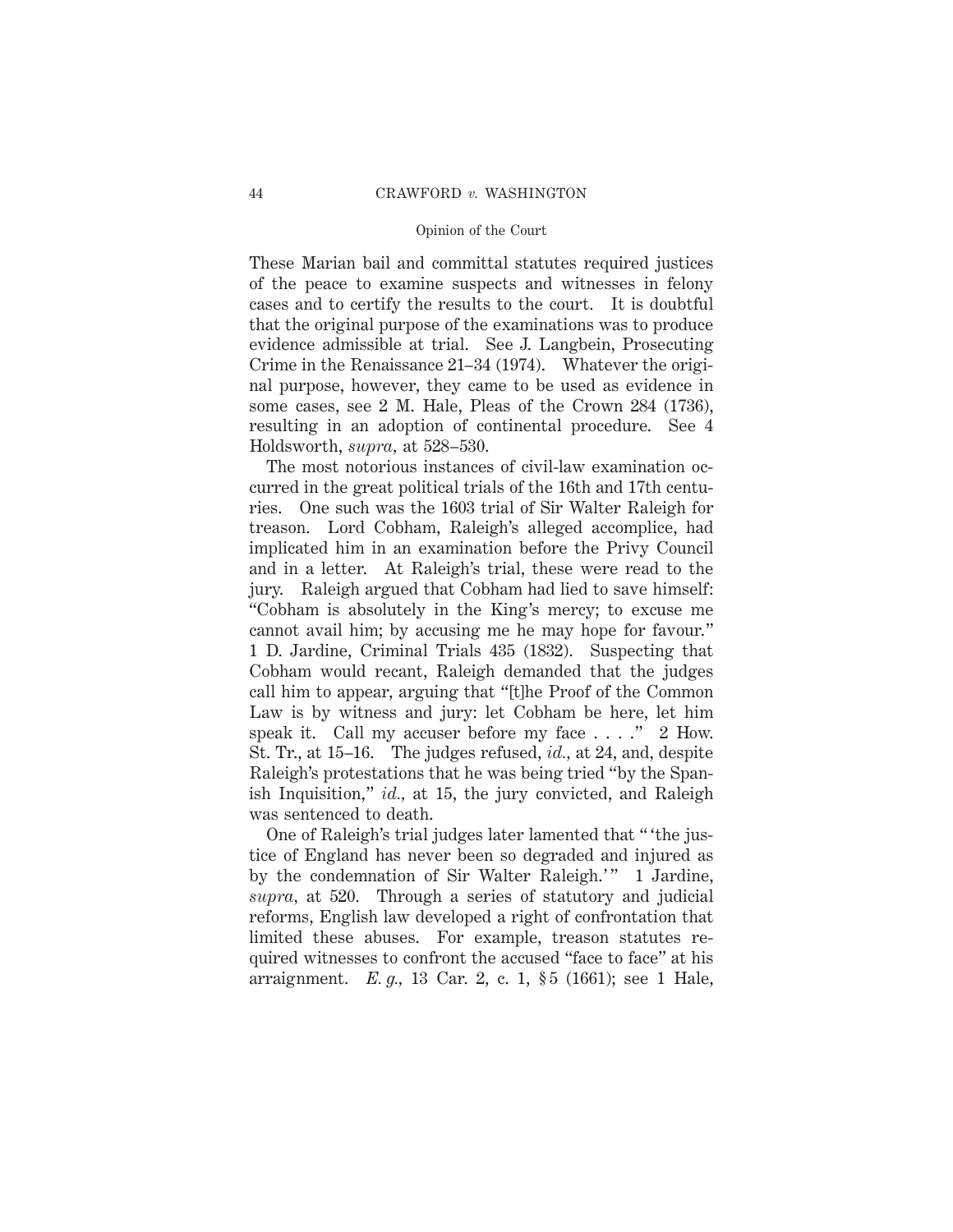These Marian bail and committal statutes required justices of the peace to examine suspects and witnesses in felony cases and to certify the results to the court. It is doubtful that the original purpose of the examinations was to produce evidence admissible at trial. See J. Langbein, Prosecuting Crime in the Renaissance 21–34 (1974). Whatever the original purpose, however, they came to be used as evidence in some cases, see 2 M. Hale, Pleas of the Crown 284 (1736), resulting in an adoption of continental procedure. See 4 Holdsworth, *supra,* at 528–530.

The most notorious instances of civil-law examination occurred in the great political trials of the 16th and 17th centuries. One such was the 1603 trial of Sir Walter Raleigh for treason. Lord Cobham, Raleigh's alleged accomplice, had implicated him in an examination before the Privy Council and in a letter. At Raleigh's trial, these were read to the jury. Raleigh argued that Cobham had lied to save himself: "Cobham is absolutely in the King's mercy; to excuse me cannot avail him; by accusing me he may hope for favour." 1 D. Jardine, Criminal Trials 435 (1832). Suspecting that Cobham would recant, Raleigh demanded that the judges call him to appear, arguing that "[t]he Proof of the Common Law is by witness and jury: let Cobham be here, let him speak it. Call my accuser before my face  $\dots$ ." 2 How. St. Tr., at 15–16. The judges refused, *id.,* at 24, and, despite Raleigh's protestations that he was being tried "by the Spanish Inquisition," *id.,* at 15, the jury convicted, and Raleigh was sentenced to death.

One of Raleigh's trial judges later lamented that " 'the justice of England has never been so degraded and injured as by the condemnation of Sir Walter Raleigh.'" 1 Jardine, *supra,* at 520. Through a series of statutory and judicial reforms, English law developed a right of confrontation that limited these abuses. For example, treason statutes required witnesses to confront the accused "face to face" at his arraignment. *E. g.*, 13 Car. 2, c. 1, § 5 (1661); see 1 Hale,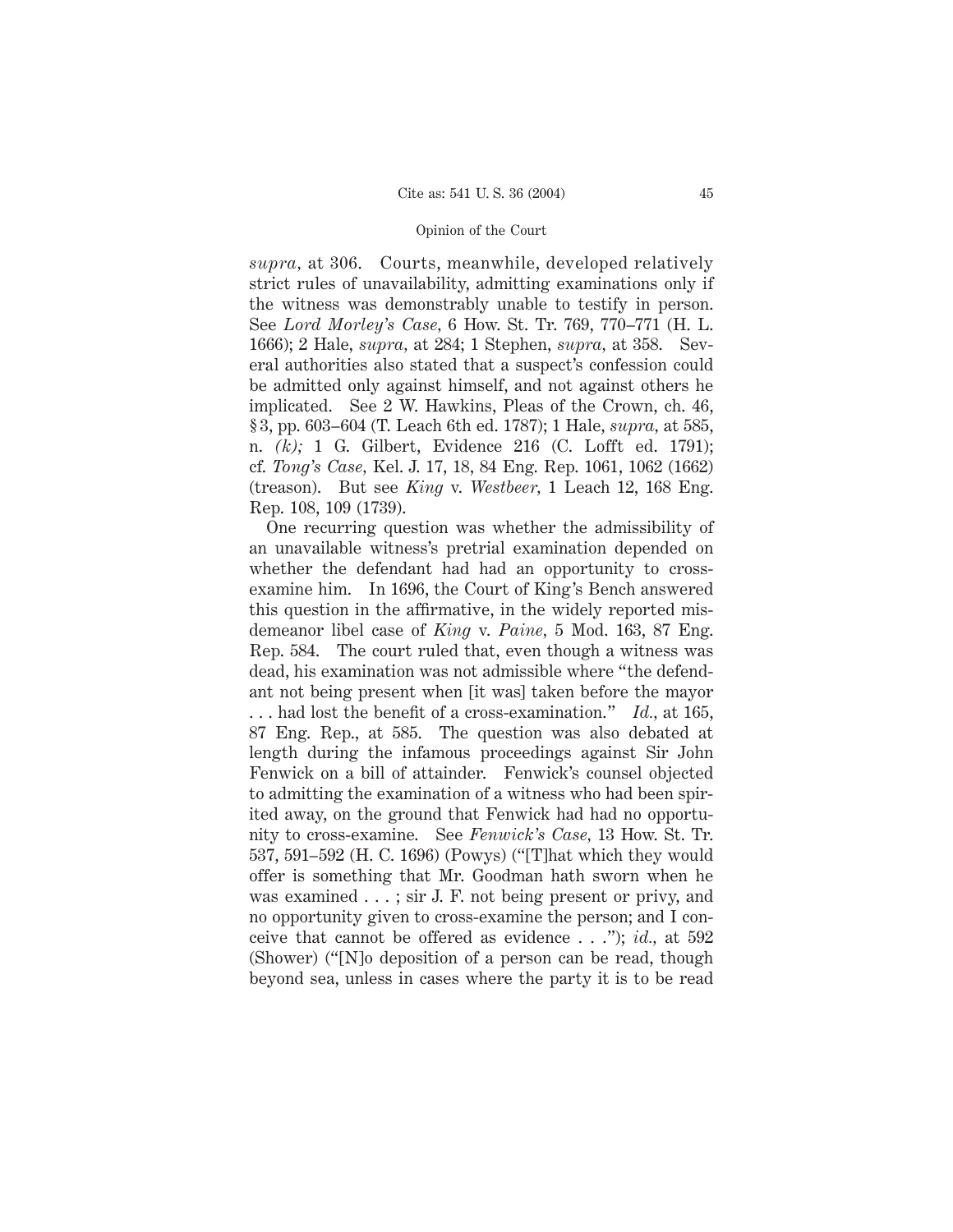*supra,* at 306. Courts, meanwhile, developed relatively strict rules of unavailability, admitting examinations only if the witness was demonstrably unable to testify in person. See *Lord Morley's Case,* 6 How. St. Tr. 769, 770–771 (H. L. 1666); 2 Hale, *supra,* at 284; 1 Stephen, *supra,* at 358. Several authorities also stated that a suspect's confession could be admitted only against himself, and not against others he implicated. See 2 W. Hawkins, Pleas of the Crown, ch. 46, § 3, pp. 603–604 (T. Leach 6th ed. 1787); 1 Hale, *supra,* at 585, n. *(k);* 1 G. Gilbert, Evidence 216 (C. Lofft ed. 1791); cf. *Tong's Case,* Kel. J. 17, 18, 84 Eng. Rep. 1061, 1062 (1662) (treason). But see *King* v. *Westbeer,* 1 Leach 12, 168 Eng. Rep. 108, 109 (1739).

One recurring question was whether the admissibility of an unavailable witness's pretrial examination depended on whether the defendant had had an opportunity to crossexamine him. In 1696, the Court of King's Bench answered this question in the affirmative, in the widely reported misdemeanor libel case of *King* v. *Paine,* 5 Mod. 163, 87 Eng. Rep. 584. The court ruled that, even though a witness was dead, his examination was not admissible where "the defendant not being present when [it was] taken before the mayor . . . had lost the benefit of a cross-examination." *Id.,* at 165, 87 Eng. Rep., at 585. The question was also debated at length during the infamous proceedings against Sir John Fenwick on a bill of attainder. Fenwick's counsel objected to admitting the examination of a witness who had been spirited away, on the ground that Fenwick had had no opportunity to cross-examine. See *Fenwick's Case,* 13 How. St. Tr. 537, 591–592 (H. C. 1696) (Powys) ("[T]hat which they would offer is something that Mr. Goodman hath sworn when he was examined . . . ; sir J. F. not being present or privy, and no opportunity given to cross-examine the person; and I conceive that cannot be offered as evidence . . ."); *id.,* at 592 (Shower) ("[N]o deposition of a person can be read, though beyond sea, unless in cases where the party it is to be read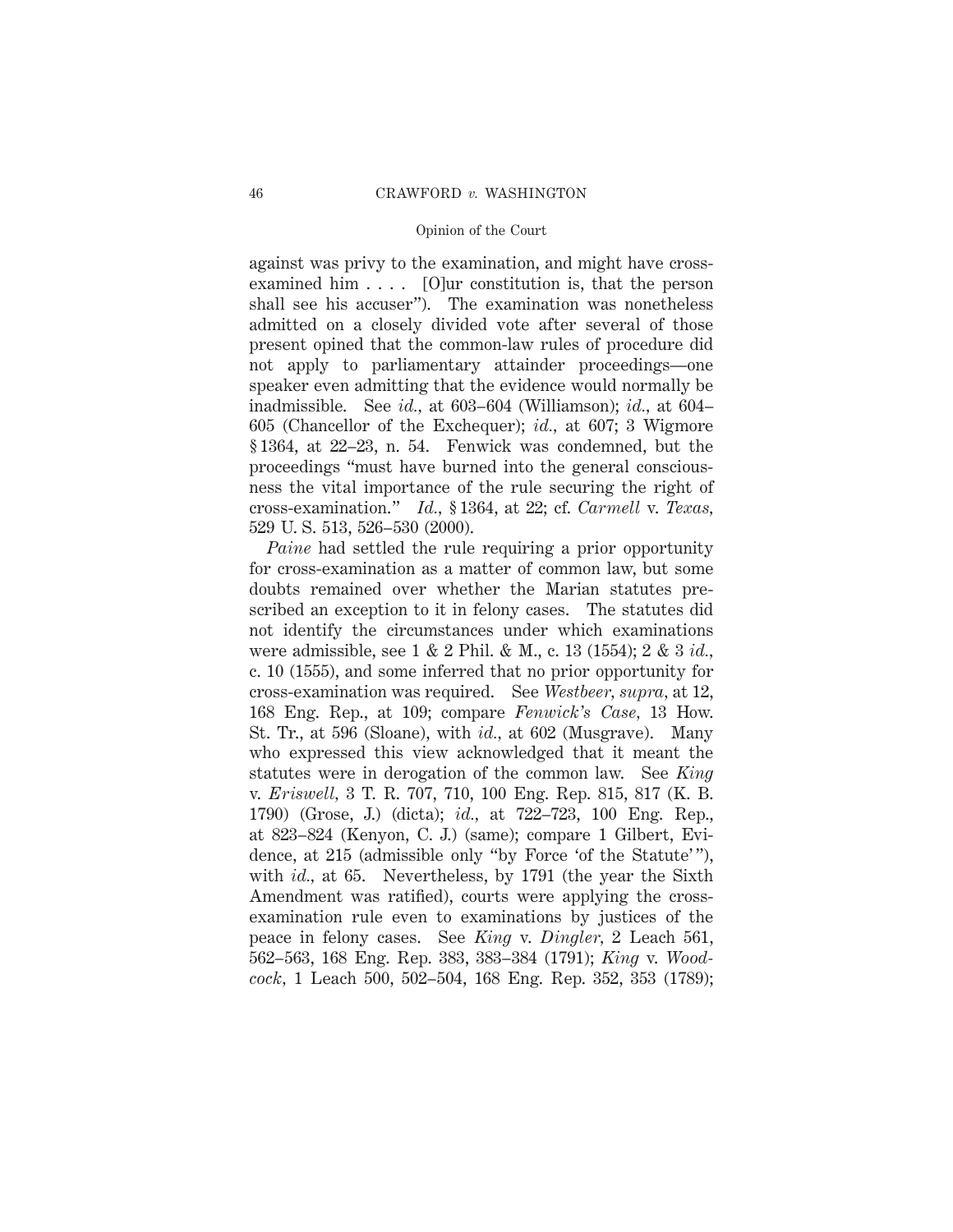against was privy to the examination, and might have crossexamined him . . . . [O]ur constitution is, that the person shall see his accuser"). The examination was nonetheless admitted on a closely divided vote after several of those present opined that the common-law rules of procedure did not apply to parliamentary attainder proceedings—one speaker even admitting that the evidence would normally be inadmissible. See *id.,* at 603–604 (Williamson); *id.,* at 604– 605 (Chancellor of the Exchequer); *id.,* at 607; 3 Wigmore § 1364, at 22–23, n. 54. Fenwick was condemned, but the proceedings "must have burned into the general consciousness the vital importance of the rule securing the right of cross-examination." *Id.,* § 1364, at 22; cf. *Carmell* v. *Texas,* 529 U. S. 513, 526–530 (2000).

*Paine* had settled the rule requiring a prior opportunity for cross-examination as a matter of common law, but some doubts remained over whether the Marian statutes prescribed an exception to it in felony cases. The statutes did not identify the circumstances under which examinations were admissible, see 1 & 2 Phil. & M., c. 13 (1554); 2 & 3 *id.,* c. 10 (1555), and some inferred that no prior opportunity for cross-examination was required. See *Westbeer, supra,* at 12, 168 Eng. Rep., at 109; compare *Fenwick's Case,* 13 How. St. Tr., at 596 (Sloane), with *id.,* at 602 (Musgrave). Many who expressed this view acknowledged that it meant the statutes were in derogation of the common law. See *King* v. *Eriswell,* 3 T. R. 707, 710, 100 Eng. Rep. 815, 817 (K. B. 1790) (Grose, J.) (dicta); *id.,* at 722–723, 100 Eng. Rep., at 823–824 (Kenyon, C. J.) (same); compare 1 Gilbert, Evidence, at 215 (admissible only "by Force 'of the Statute' "), with *id.,* at 65. Nevertheless, by 1791 (the year the Sixth Amendment was ratified), courts were applying the crossexamination rule even to examinations by justices of the peace in felony cases. See *King* v. *Dingler,* 2 Leach 561, 562–563, 168 Eng. Rep. 383, 383–384 (1791); *King* v. *Woodcock,* 1 Leach 500, 502–504, 168 Eng. Rep. 352, 353 (1789);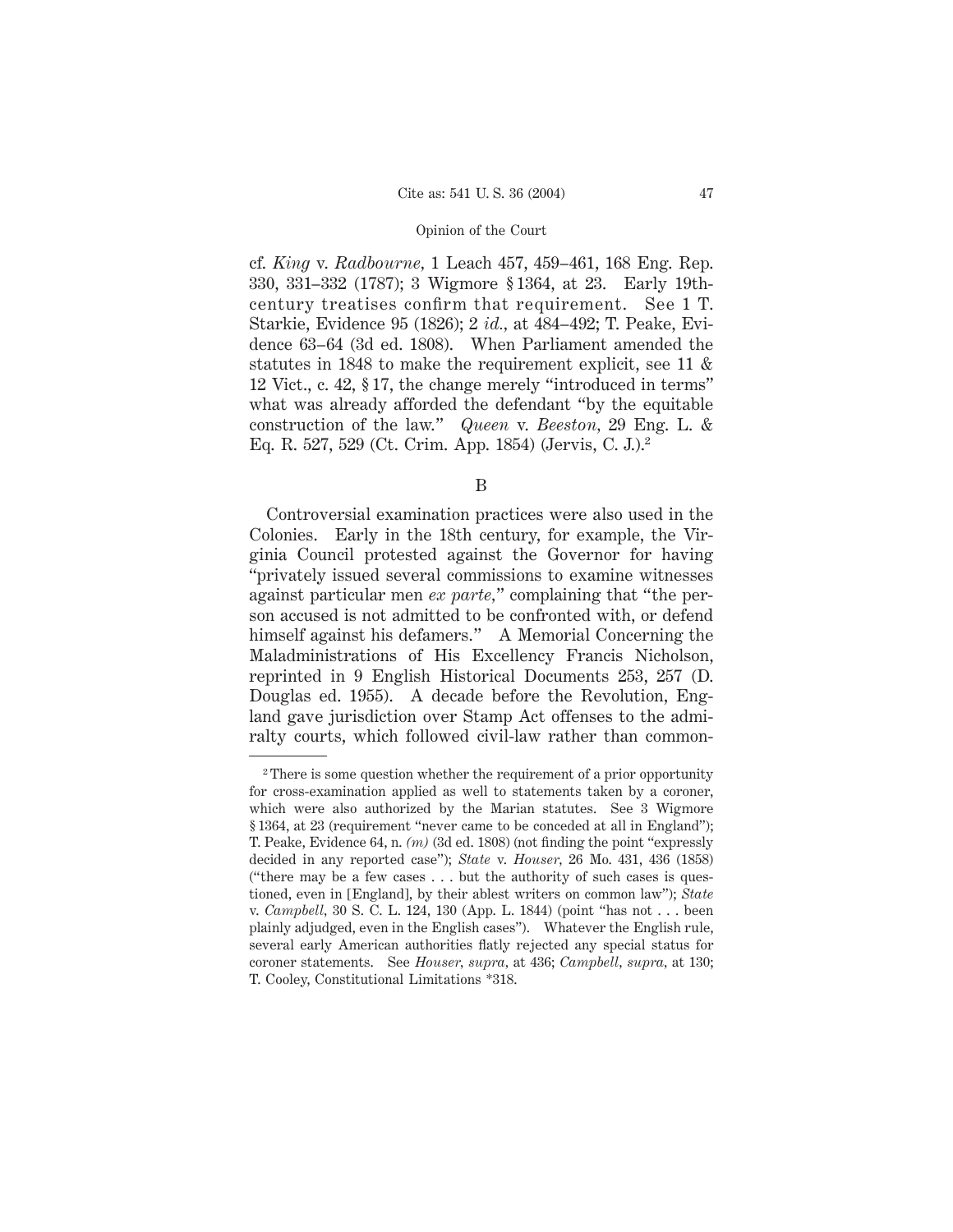cf. *King* v. *Radbourne,* 1 Leach 457, 459–461, 168 Eng. Rep. 330, 331–332 (1787); 3 Wigmore § 1364, at 23. Early 19thcentury treatises confirm that requirement. See 1 T. Starkie, Evidence 95 (1826); 2 *id.,* at 484–492; T. Peake, Evidence 63–64 (3d ed. 1808). When Parliament amended the statutes in 1848 to make the requirement explicit, see 11 & 12 Vict., c. 42, § 17, the change merely "introduced in terms" what was already afforded the defendant "by the equitable construction of the law." *Queen* v. *Beeston,* 29 Eng. L. & Eq. R. 527, 529 (Ct. Crim. App. 1854) (Jervis, C. J.).2

B

Controversial examination practices were also used in the Colonies. Early in the 18th century, for example, the Virginia Council protested against the Governor for having "privately issued several commissions to examine witnesses against particular men *ex parte,*" complaining that "the person accused is not admitted to be confronted with, or defend himself against his defamers." A Memorial Concerning the Maladministrations of His Excellency Francis Nicholson, reprinted in 9 English Historical Documents 253, 257 (D. Douglas ed. 1955). A decade before the Revolution, England gave jurisdiction over Stamp Act offenses to the admiralty courts, which followed civil-law rather than common-

<sup>2</sup> There is some question whether the requirement of a prior opportunity for cross-examination applied as well to statements taken by a coroner, which were also authorized by the Marian statutes. See 3 Wigmore § 1364, at 23 (requirement "never came to be conceded at all in England"); T. Peake, Evidence 64, n. *(m)* (3d ed. 1808) (not finding the point "expressly decided in any reported case"); *State* v. *Houser,* 26 Mo. 431, 436 (1858) ("there may be a few cases . . . but the authority of such cases is questioned, even in [England], by their ablest writers on common law"); *State* v. *Campbell,* 30 S. C. L. 124, 130 (App. L. 1844) (point "has not... been plainly adjudged, even in the English cases"). Whatever the English rule, several early American authorities flatly rejected any special status for coroner statements. See *Houser, supra,* at 436; *Campbell, supra,* at 130; T. Cooley, Constitutional Limitations \*318.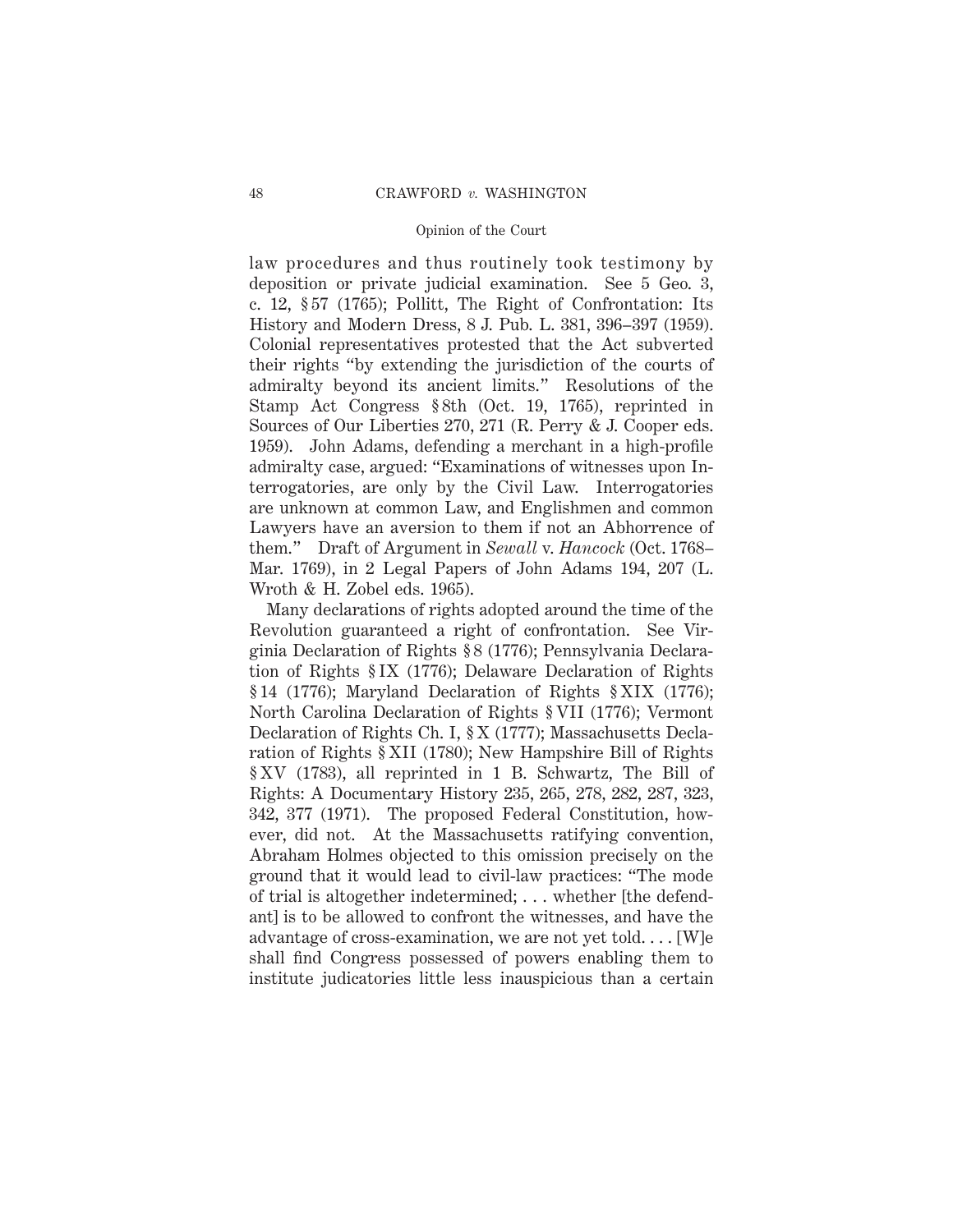law procedures and thus routinely took testimony by deposition or private judicial examination. See 5 Geo. 3, c. 12, § 57 (1765); Pollitt, The Right of Confrontation: Its History and Modern Dress, 8 J. Pub. L. 381, 396–397 (1959). Colonial representatives protested that the Act subverted their rights "by extending the jurisdiction of the courts of admiralty beyond its ancient limits." Resolutions of the Stamp Act Congress § 8th (Oct. 19, 1765), reprinted in Sources of Our Liberties 270, 271 (R. Perry & J. Cooper eds. 1959). John Adams, defending a merchant in a high-profile admiralty case, argued: "Examinations of witnesses upon Interrogatories, are only by the Civil Law. Interrogatories are unknown at common Law, and Englishmen and common Lawyers have an aversion to them if not an Abhorrence of them." Draft of Argument in *Sewall* v. *Hancock* (Oct. 1768– Mar. 1769), in 2 Legal Papers of John Adams 194, 207 (L. Wroth & H. Zobel eds. 1965).

Many declarations of rights adopted around the time of the Revolution guaranteed a right of confrontation. See Virginia Declaration of Rights § 8 (1776); Pennsylvania Declaration of Rights § IX (1776); Delaware Declaration of Rights § 14 (1776); Maryland Declaration of Rights § XIX (1776); North Carolina Declaration of Rights § VII (1776); Vermont Declaration of Rights Ch. I, § X (1777); Massachusetts Declaration of Rights § XII (1780); New Hampshire Bill of Rights § XV (1783), all reprinted in 1 B. Schwartz, The Bill of Rights: A Documentary History 235, 265, 278, 282, 287, 323, 342, 377 (1971). The proposed Federal Constitution, however, did not. At the Massachusetts ratifying convention, Abraham Holmes objected to this omission precisely on the ground that it would lead to civil-law practices: "The mode of trial is altogether indetermined; . . . whether [the defendant] is to be allowed to confront the witnesses, and have the advantage of cross-examination, we are not yet told. . . . [W]e shall find Congress possessed of powers enabling them to institute judicatories little less inauspicious than a certain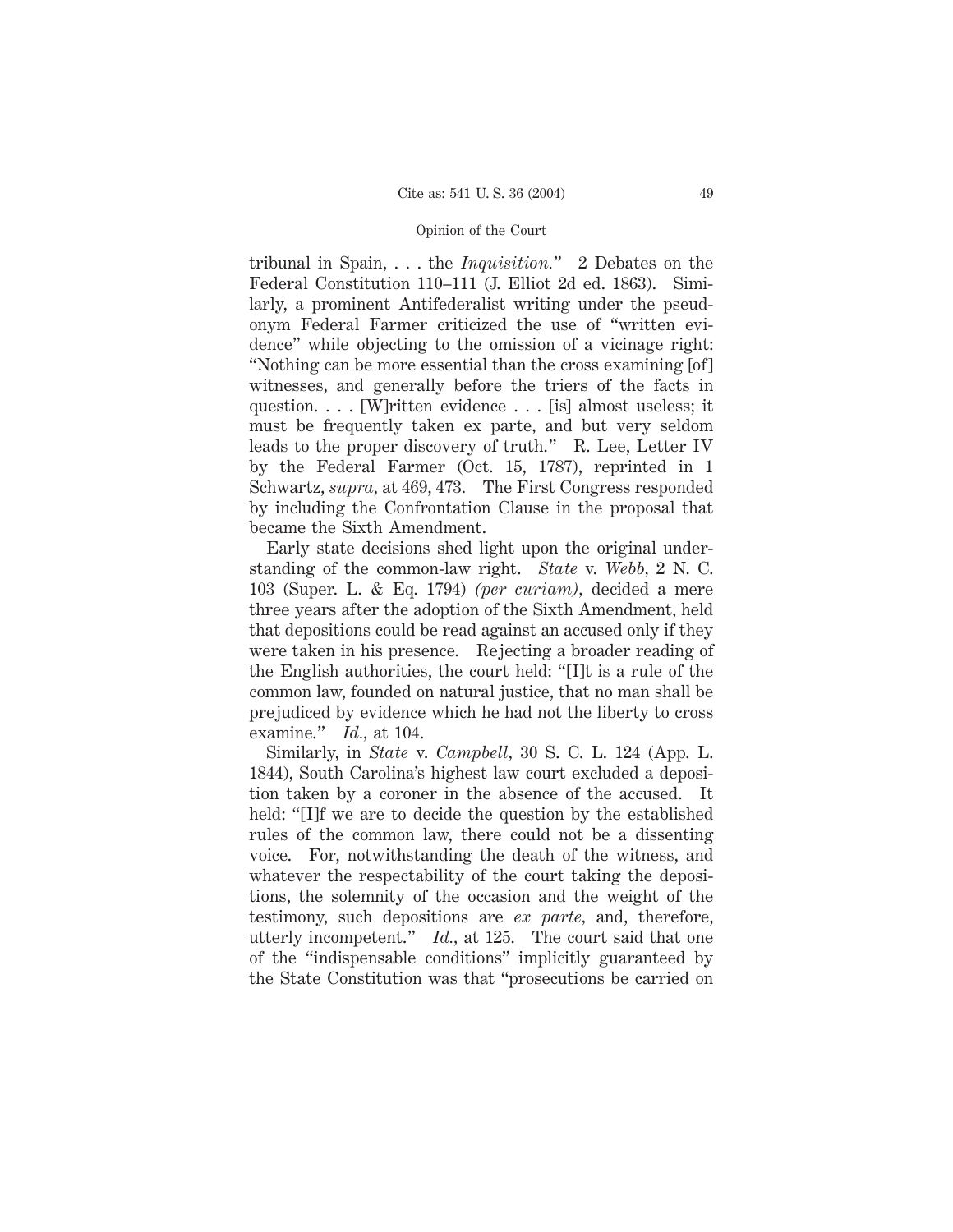tribunal in Spain, . . . the *Inquisition.*" 2 Debates on the Federal Constitution 110–111 (J. Elliot 2d ed. 1863). Similarly, a prominent Antifederalist writing under the pseudonym Federal Farmer criticized the use of "written evidence" while objecting to the omission of a vicinage right: "Nothing can be more essential than the cross examining [of] witnesses, and generally before the triers of the facts in question.... [W]ritten evidence . . . [is] almost useless; it must be frequently taken ex parte, and but very seldom leads to the proper discovery of truth." R. Lee, Letter IV by the Federal Farmer (Oct. 15, 1787), reprinted in 1 Schwartz, *supra,* at 469, 473. The First Congress responded by including the Confrontation Clause in the proposal that became the Sixth Amendment.

Early state decisions shed light upon the original understanding of the common-law right. *State* v. *Webb,* 2 N. C. 103 (Super. L. & Eq. 1794) *(per curiam),* decided a mere three years after the adoption of the Sixth Amendment, held that depositions could be read against an accused only if they were taken in his presence. Rejecting a broader reading of the English authorities, the court held: "[I]t is a rule of the common law, founded on natural justice, that no man shall be prejudiced by evidence which he had not the liberty to cross examine." *Id.,* at 104.

Similarly, in *State* v. *Campbell,* 30 S. C. L. 124 (App. L. 1844), South Carolina's highest law court excluded a deposition taken by a coroner in the absence of the accused. It held: "[I]f we are to decide the question by the established rules of the common law, there could not be a dissenting voice. For, notwithstanding the death of the witness, and whatever the respectability of the court taking the depositions, the solemnity of the occasion and the weight of the testimony, such depositions are *ex parte,* and, therefore, utterly incompetent." *Id.,* at 125. The court said that one of the "indispensable conditions" implicitly guaranteed by the State Constitution was that "prosecutions be carried on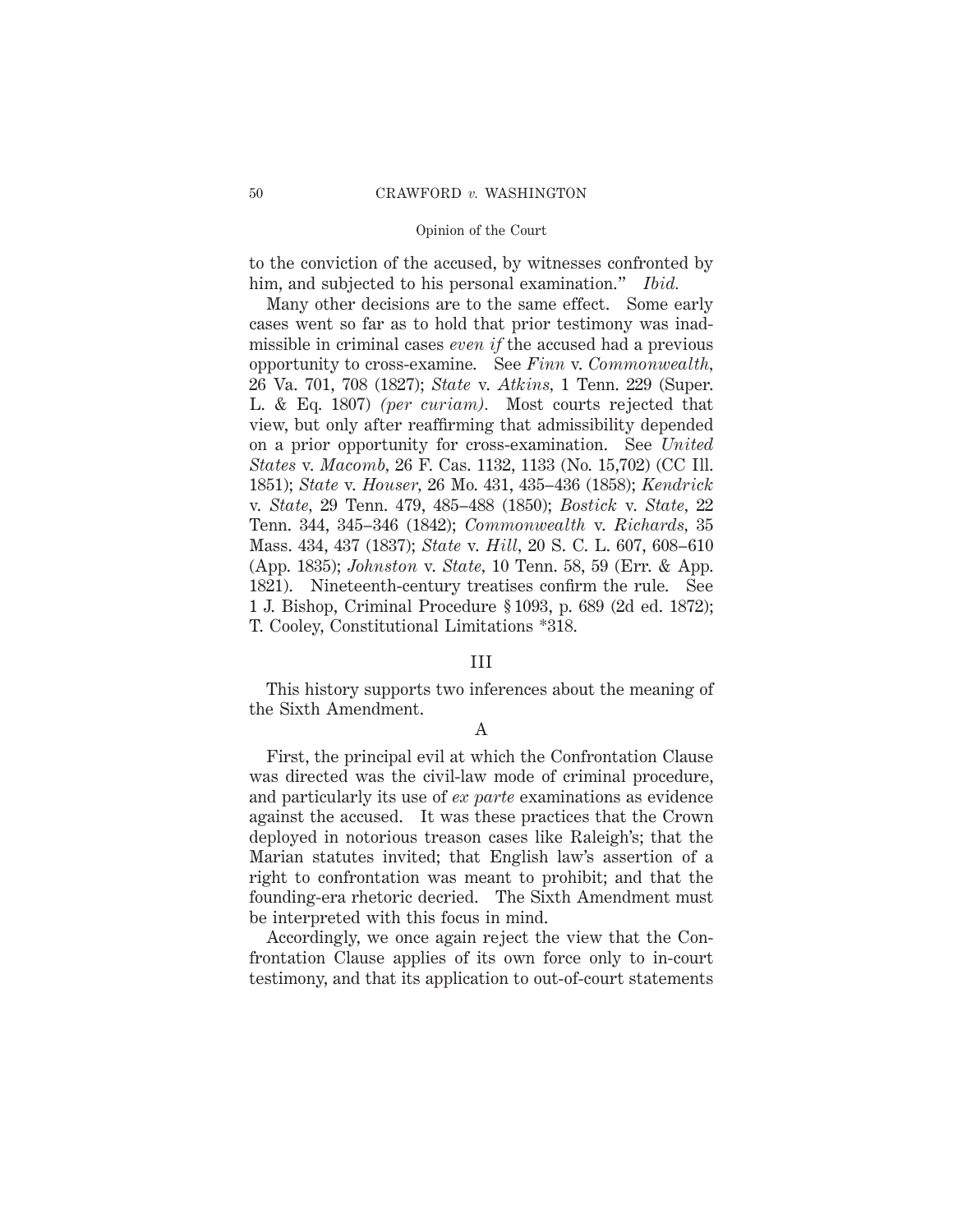to the conviction of the accused, by witnesses confronted by him, and subjected to his personal examination." *Ibid.*

Many other decisions are to the same effect. Some early cases went so far as to hold that prior testimony was inadmissible in criminal cases *even if* the accused had a previous opportunity to cross-examine. See *Finn* v. *Commonwealth,* 26 Va. 701, 708 (1827); *State* v. *Atkins,* 1 Tenn. 229 (Super. L. & Eq. 1807) *(per curiam).* Most courts rejected that view, but only after reaffirming that admissibility depended on a prior opportunity for cross-examination. See *United States* v. *Macomb,* 26 F. Cas. 1132, 1133 (No. 15,702) (CC Ill. 1851); *State* v. *Houser,* 26 Mo. 431, 435–436 (1858); *Kendrick* v. *State,* 29 Tenn. 479, 485–488 (1850); *Bostick* v. *State,* 22 Tenn. 344, 345–346 (1842); *Commonwealth* v. *Richards,* 35 Mass. 434, 437 (1837); *State* v. *Hill,* 20 S. C. L. 607, 608–610 (App. 1835); *Johnston* v. *State,* 10 Tenn. 58, 59 (Err. & App. 1821). Nineteenth-century treatises confirm the rule. See 1 J. Bishop, Criminal Procedure § 1093, p. 689 (2d ed. 1872); T. Cooley, Constitutional Limitations \*318.

### III

This history supports two inferences about the meaning of the Sixth Amendment.

### A

First, the principal evil at which the Confrontation Clause was directed was the civil-law mode of criminal procedure, and particularly its use of *ex parte* examinations as evidence against the accused. It was these practices that the Crown deployed in notorious treason cases like Raleigh's; that the Marian statutes invited; that English law's assertion of a right to confrontation was meant to prohibit; and that the founding-era rhetoric decried. The Sixth Amendment must be interpreted with this focus in mind.

Accordingly, we once again reject the view that the Confrontation Clause applies of its own force only to in-court testimony, and that its application to out-of-court statements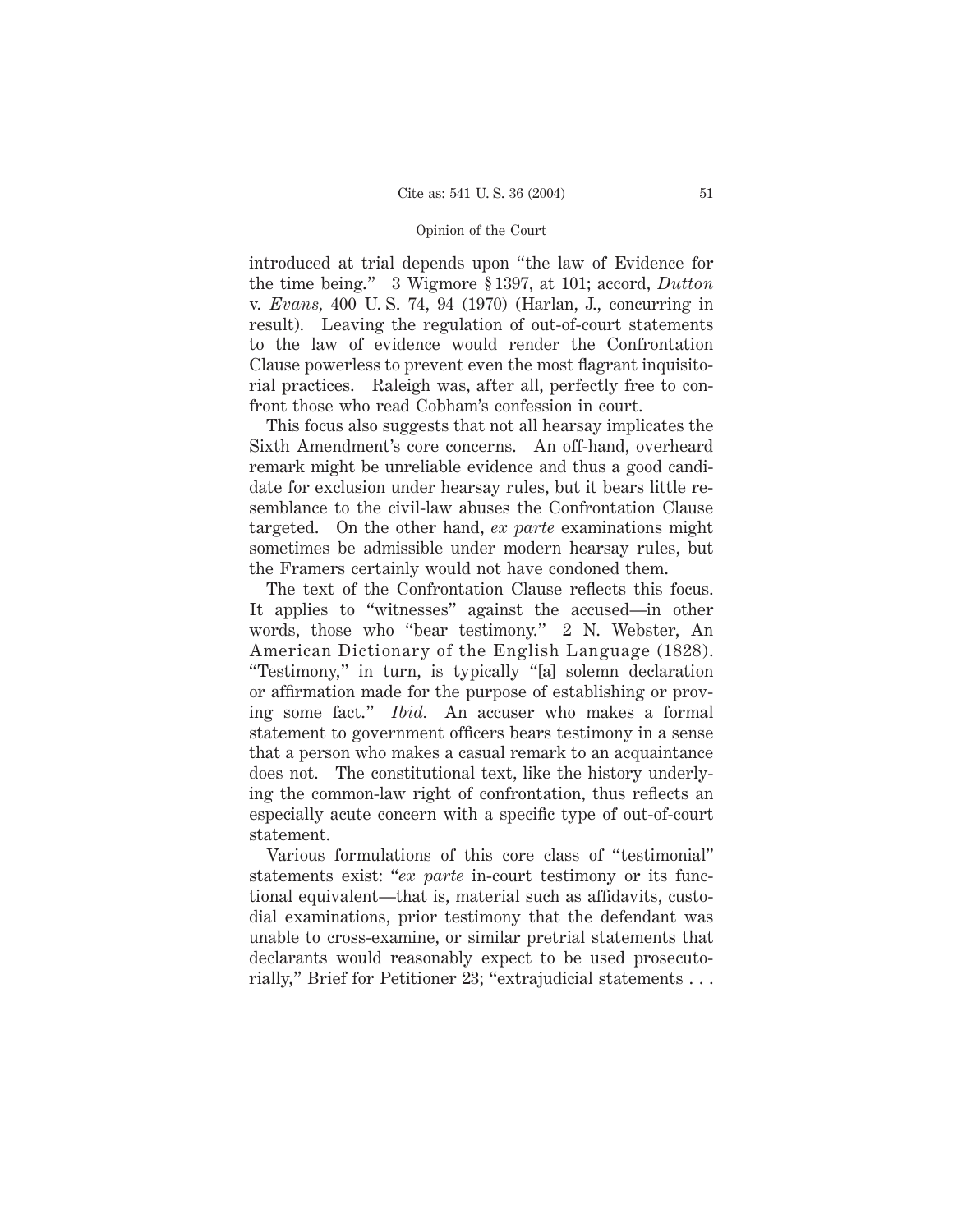introduced at trial depends upon "the law of Evidence for the time being." 3 Wigmore § 1397, at 101; accord, *Dutton* v. *Evans,* 400 U. S. 74, 94 (1970) (Harlan, J., concurring in result). Leaving the regulation of out-of-court statements to the law of evidence would render the Confrontation Clause powerless to prevent even the most flagrant inquisitorial practices. Raleigh was, after all, perfectly free to confront those who read Cobham's confession in court.

This focus also suggests that not all hearsay implicates the Sixth Amendment's core concerns. An off-hand, overheard remark might be unreliable evidence and thus a good candidate for exclusion under hearsay rules, but it bears little resemblance to the civil-law abuses the Confrontation Clause targeted. On the other hand, *ex parte* examinations might sometimes be admissible under modern hearsay rules, but the Framers certainly would not have condoned them.

The text of the Confrontation Clause reflects this focus. It applies to "witnesses" against the accused—in other words, those who "bear testimony." 2 N. Webster, An American Dictionary of the English Language (1828). "Testimony," in turn, is typically "[a] solemn declaration or affirmation made for the purpose of establishing or proving some fact." *Ibid.* An accuser who makes a formal statement to government officers bears testimony in a sense that a person who makes a casual remark to an acquaintance does not. The constitutional text, like the history underlying the common-law right of confrontation, thus reflects an especially acute concern with a specific type of out-of-court statement.

Various formulations of this core class of "testimonial" statements exist: "*ex parte* in-court testimony or its functional equivalent—that is, material such as affidavits, custodial examinations, prior testimony that the defendant was unable to cross-examine, or similar pretrial statements that declarants would reasonably expect to be used prosecutorially," Brief for Petitioner 23; "extrajudicial statements . . .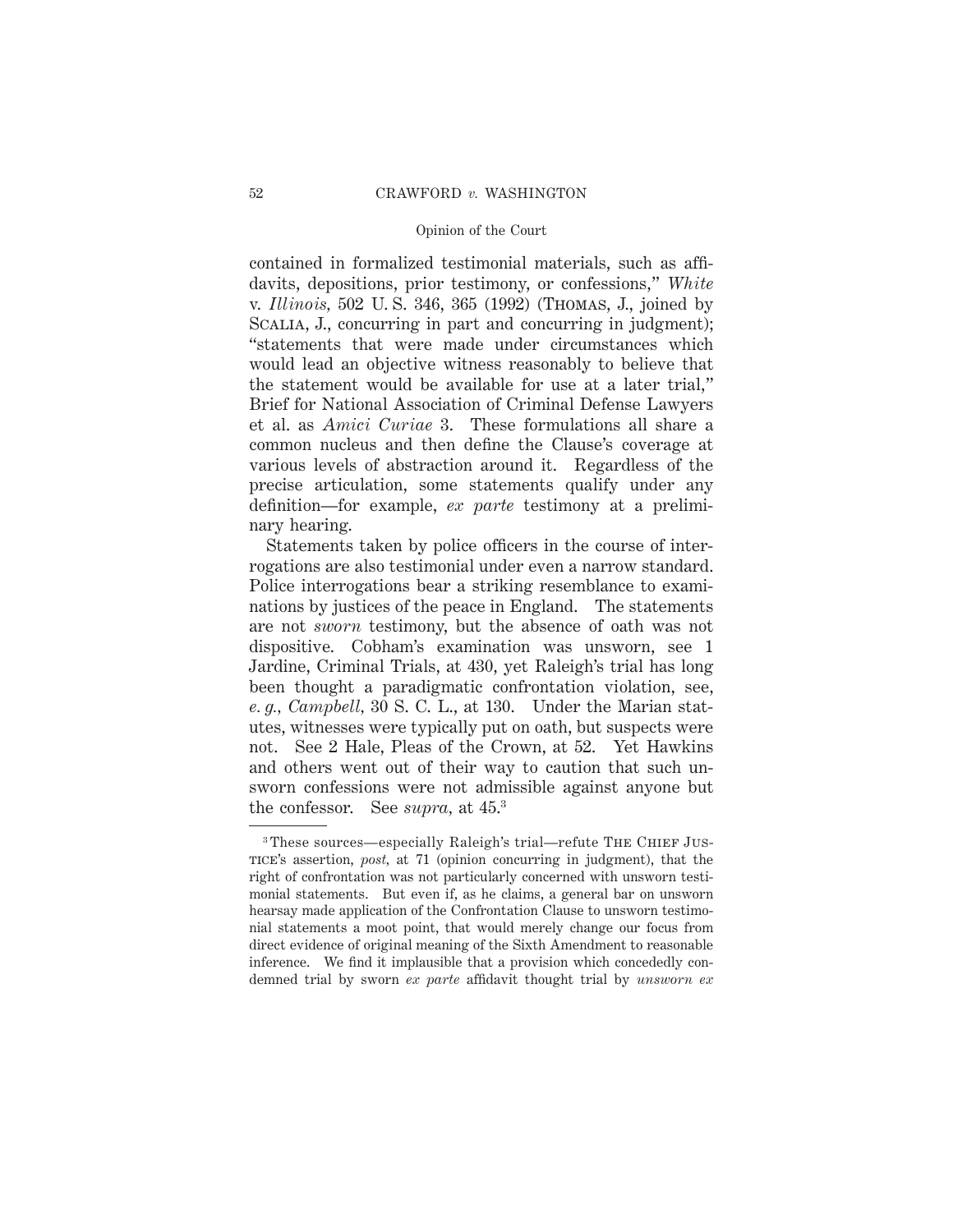contained in formalized testimonial materials, such as affidavits, depositions, prior testimony, or confessions," *White* v. *Illinois,* 502 U. S. 346, 365 (1992) (Thomas, J., joined by SCALIA, J., concurring in part and concurring in judgment); "statements that were made under circumstances which would lead an objective witness reasonably to believe that the statement would be available for use at a later trial," Brief for National Association of Criminal Defense Lawyers et al. as *Amici Curiae* 3. These formulations all share a common nucleus and then define the Clause's coverage at various levels of abstraction around it. Regardless of the precise articulation, some statements qualify under any definition—for example, *ex parte* testimony at a preliminary hearing.

Statements taken by police officers in the course of interrogations are also testimonial under even a narrow standard. Police interrogations bear a striking resemblance to examinations by justices of the peace in England. The statements are not *sworn* testimony, but the absence of oath was not dispositive. Cobham's examination was unsworn, see 1 Jardine, Criminal Trials, at 430, yet Raleigh's trial has long been thought a paradigmatic confrontation violation, see, *e. g., Campbell,* 30 S. C. L., at 130. Under the Marian statutes, witnesses were typically put on oath, but suspects were not. See 2 Hale, Pleas of the Crown, at 52. Yet Hawkins and others went out of their way to caution that such unsworn confessions were not admissible against anyone but the confessor. See *supra,* at 45.3

<sup>&</sup>lt;sup>3</sup> These sources—especially Raleigh's trial—refute THE CHIEF JUStice's assertion, *post,* at 71 (opinion concurring in judgment), that the right of confrontation was not particularly concerned with unsworn testimonial statements. But even if, as he claims, a general bar on unsworn hearsay made application of the Confrontation Clause to unsworn testimonial statements a moot point, that would merely change our focus from direct evidence of original meaning of the Sixth Amendment to reasonable inference. We find it implausible that a provision which concededly condemned trial by sworn *ex parte* affidavit thought trial by *unsworn ex*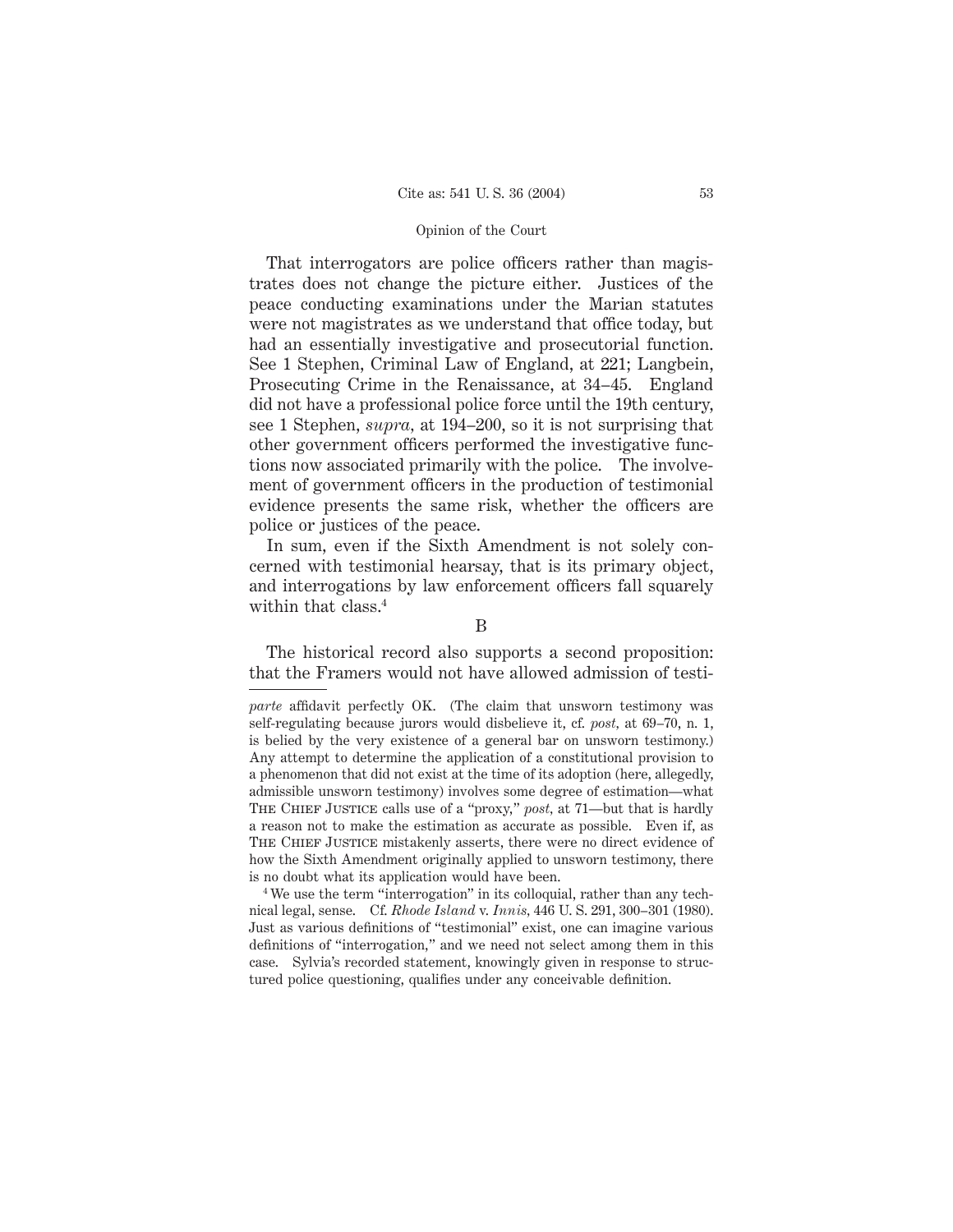That interrogators are police officers rather than magistrates does not change the picture either. Justices of the peace conducting examinations under the Marian statutes were not magistrates as we understand that office today, but had an essentially investigative and prosecutorial function. See 1 Stephen, Criminal Law of England, at 221; Langbein, Prosecuting Crime in the Renaissance, at 34–45. England did not have a professional police force until the 19th century, see 1 Stephen, *supra,* at 194–200, so it is not surprising that other government officers performed the investigative functions now associated primarily with the police. The involvement of government officers in the production of testimonial evidence presents the same risk, whether the officers are police or justices of the peace.

In sum, even if the Sixth Amendment is not solely concerned with testimonial hearsay, that is its primary object, and interrogations by law enforcement officers fall squarely within that class.<sup>4</sup>

# B

The historical record also supports a second proposition: that the Framers would not have allowed admission of testi-

<sup>4</sup> We use the term "interrogation" in its colloquial, rather than any technical legal, sense. Cf. *Rhode Island* v. *Innis,* 446 U. S. 291, 300–301 (1980). Just as various definitions of "testimonial" exist, one can imagine various definitions of "interrogation," and we need not select among them in this case. Sylvia's recorded statement, knowingly given in response to structured police questioning, qualifies under any conceivable definition.

*parte* affidavit perfectly OK. (The claim that unsworn testimony was self-regulating because jurors would disbelieve it, cf. *post,* at 69–70, n. 1, is belied by the very existence of a general bar on unsworn testimony.) Any attempt to determine the application of a constitutional provision to a phenomenon that did not exist at the time of its adoption (here, allegedly, admissible unsworn testimony) involves some degree of estimation—what The Chief Justice calls use of a "proxy," *post,* at 71—but that is hardly a reason not to make the estimation as accurate as possible. Even if, as THE CHIEF JUSTICE mistakenly asserts, there were no direct evidence of how the Sixth Amendment originally applied to unsworn testimony, there is no doubt what its application would have been.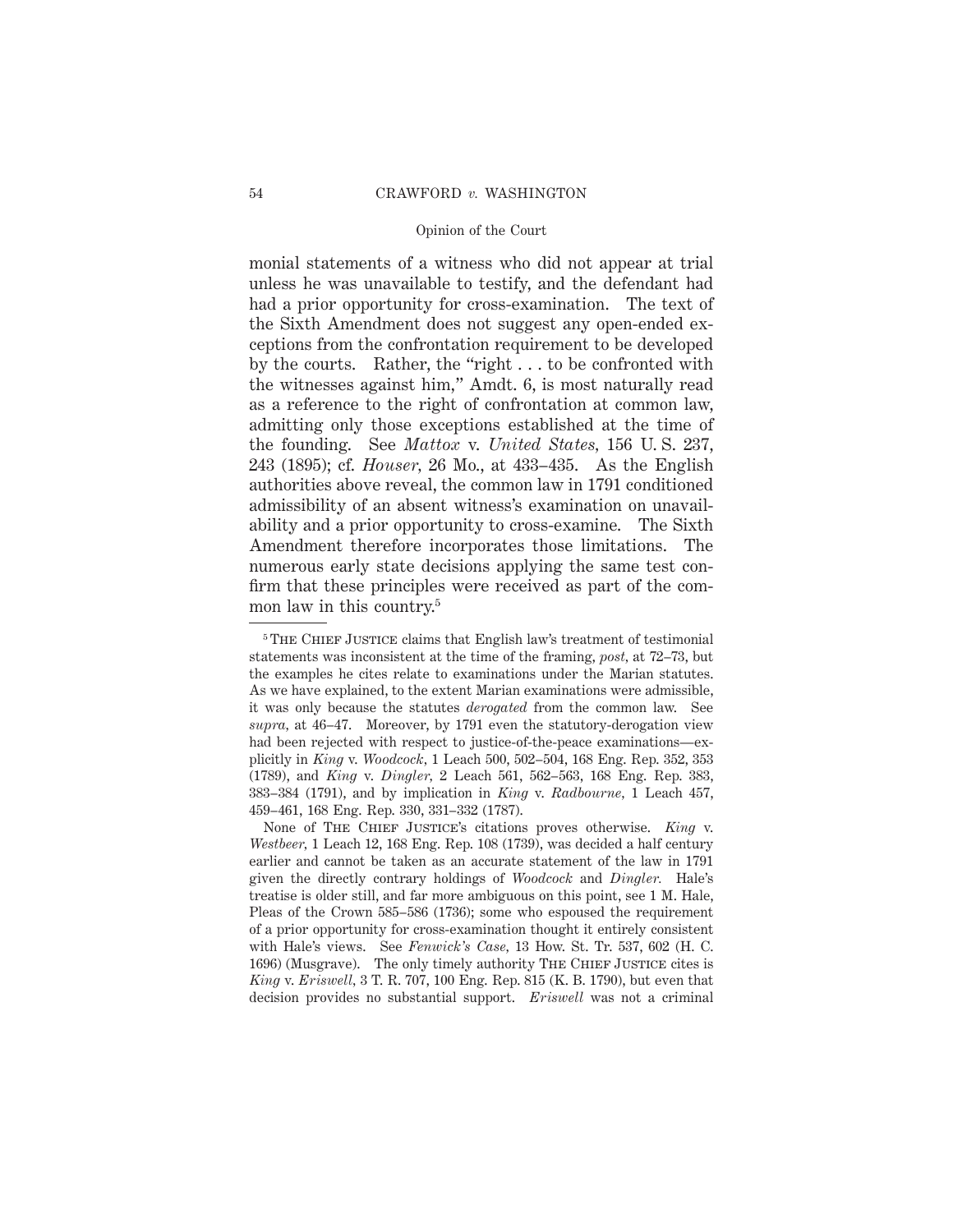monial statements of a witness who did not appear at trial unless he was unavailable to testify, and the defendant had had a prior opportunity for cross-examination. The text of the Sixth Amendment does not suggest any open-ended exceptions from the confrontation requirement to be developed by the courts. Rather, the "right . . . to be confronted with the witnesses against him," Amdt. 6, is most naturally read as a reference to the right of confrontation at common law, admitting only those exceptions established at the time of the founding. See *Mattox* v. *United States,* 156 U. S. 237, 243 (1895); cf. *Houser,* 26 Mo., at 433–435. As the English authorities above reveal, the common law in 1791 conditioned admissibility of an absent witness's examination on unavailability and a prior opportunity to cross-examine. The Sixth Amendment therefore incorporates those limitations. The numerous early state decisions applying the same test confirm that these principles were received as part of the common law in this country.5

<sup>&</sup>lt;sup>5</sup> THE CHIEF JUSTICE claims that English law's treatment of testimonial statements was inconsistent at the time of the framing, *post,* at 72–73, but the examples he cites relate to examinations under the Marian statutes. As we have explained, to the extent Marian examinations were admissible, it was only because the statutes *derogated* from the common law. See *supra,* at 46–47. Moreover, by 1791 even the statutory-derogation view had been rejected with respect to justice-of-the-peace examinations—explicitly in *King* v. *Woodcock,* 1 Leach 500, 502–504, 168 Eng. Rep. 352, 353 (1789), and *King* v. *Dingler,* 2 Leach 561, 562–563, 168 Eng. Rep. 383, 383–384 (1791), and by implication in *King* v. *Radbourne,* 1 Leach 457, 459–461, 168 Eng. Rep. 330, 331–332 (1787).

None of THE CHIEF JUSTICE's citations proves otherwise. *King* v. *Westbeer,* 1 Leach 12, 168 Eng. Rep. 108 (1739), was decided a half century earlier and cannot be taken as an accurate statement of the law in 1791 given the directly contrary holdings of *Woodcock* and *Dingler.* Hale's treatise is older still, and far more ambiguous on this point, see 1 M. Hale, Pleas of the Crown 585–586 (1736); some who espoused the requirement of a prior opportunity for cross-examination thought it entirely consistent with Hale's views. See *Fenwick's Case,* 13 How. St. Tr. 537, 602 (H. C. 1696) (Musgrave). The only timely authority The Chief Justice cites is *King* v. *Eriswell,* 3 T. R. 707, 100 Eng. Rep. 815 (K. B. 1790), but even that decision provides no substantial support. *Eriswell* was not a criminal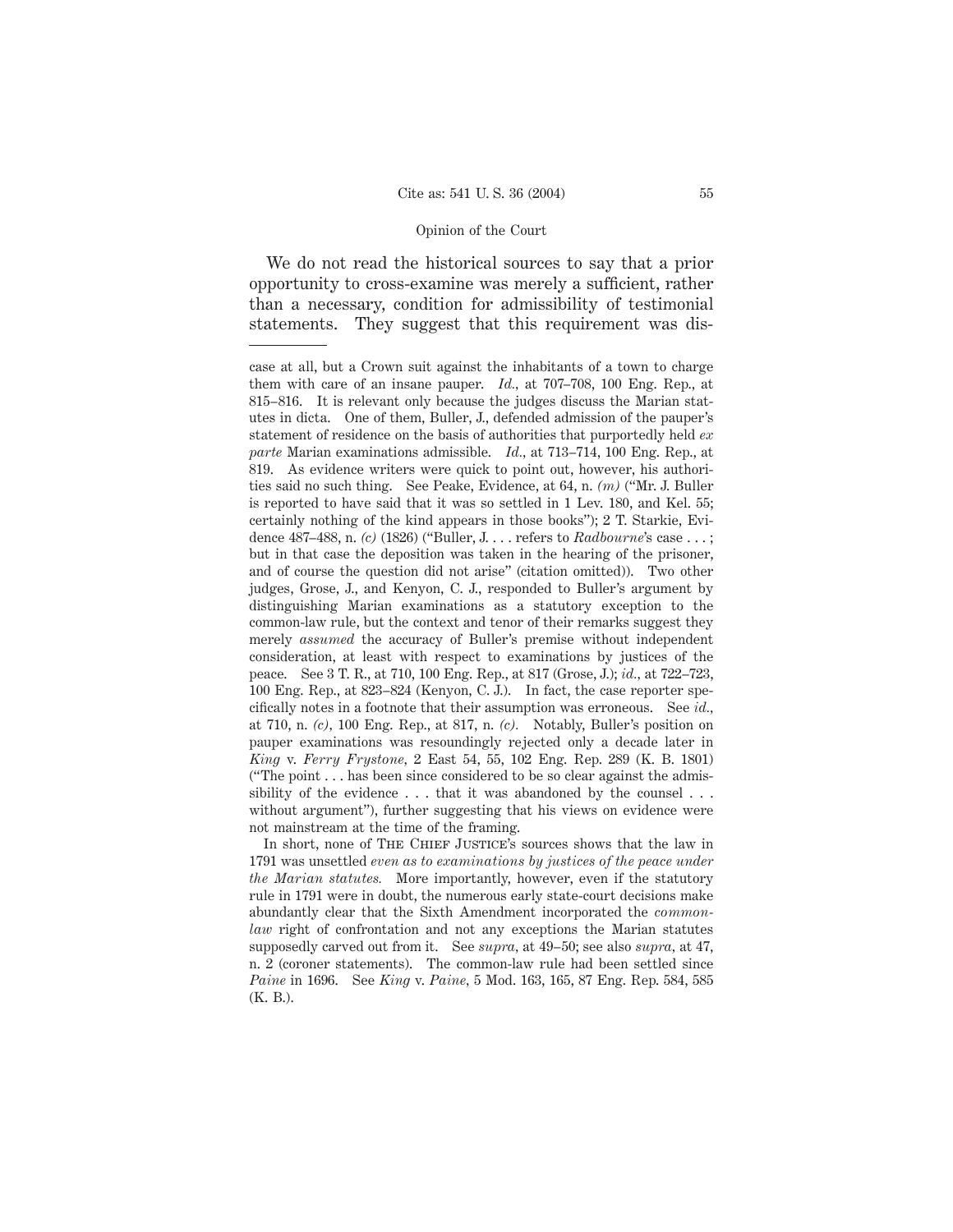We do not read the historical sources to say that a prior opportunity to cross-examine was merely a sufficient, rather than a necessary, condition for admissibility of testimonial statements. They suggest that this requirement was dis-

In short, none of THE CHIEF JUSTICE's sources shows that the law in 1791 was unsettled *even as to examinations by justices of the peace under the Marian statutes.* More importantly, however, even if the statutory rule in 1791 were in doubt, the numerous early state-court decisions make abundantly clear that the Sixth Amendment incorporated the *commonlaw* right of confrontation and not any exceptions the Marian statutes supposedly carved out from it. See *supra,* at 49–50; see also *supra,* at 47, n. 2 (coroner statements). The common-law rule had been settled since *Paine* in 1696. See *King* v. *Paine,* 5 Mod. 163, 165, 87 Eng. Rep. 584, 585 (K. B.).

case at all, but a Crown suit against the inhabitants of a town to charge them with care of an insane pauper. *Id.,* at 707–708, 100 Eng. Rep., at 815–816. It is relevant only because the judges discuss the Marian statutes in dicta. One of them, Buller, J., defended admission of the pauper's statement of residence on the basis of authorities that purportedly held *ex parte* Marian examinations admissible. *Id.,* at 713–714, 100 Eng. Rep., at 819. As evidence writers were quick to point out, however, his authorities said no such thing. See Peake, Evidence, at 64, n. *(m)* ("Mr. J. Buller is reported to have said that it was so settled in 1 Lev. 180, and Kel. 55; certainly nothing of the kind appears in those books"); 2 T. Starkie, Evidence 487–488, n. *(c)* (1826) ("Buller, J. . . . refers to *Radbourne*'s case . . . ; but in that case the deposition was taken in the hearing of the prisoner, and of course the question did not arise" (citation omitted)). Two other judges, Grose, J., and Kenyon, C. J., responded to Buller's argument by distinguishing Marian examinations as a statutory exception to the common-law rule, but the context and tenor of their remarks suggest they merely *assumed* the accuracy of Buller's premise without independent consideration, at least with respect to examinations by justices of the peace. See 3 T. R., at 710, 100 Eng. Rep., at 817 (Grose, J.); *id.,* at 722–723, 100 Eng. Rep., at 823–824 (Kenyon, C. J.). In fact, the case reporter specifically notes in a footnote that their assumption was erroneous. See *id.,* at 710, n. *(c),* 100 Eng. Rep., at 817, n. *(c).* Notably, Buller's position on pauper examinations was resoundingly rejected only a decade later in *King* v. *Ferry Frystone,* 2 East 54, 55, 102 Eng. Rep. 289 (K. B. 1801) ("The point  $\dots$  has been since considered to be so clear against the admissibility of the evidence . . . that it was abandoned by the counsel . . . without argument"), further suggesting that his views on evidence were not mainstream at the time of the framing.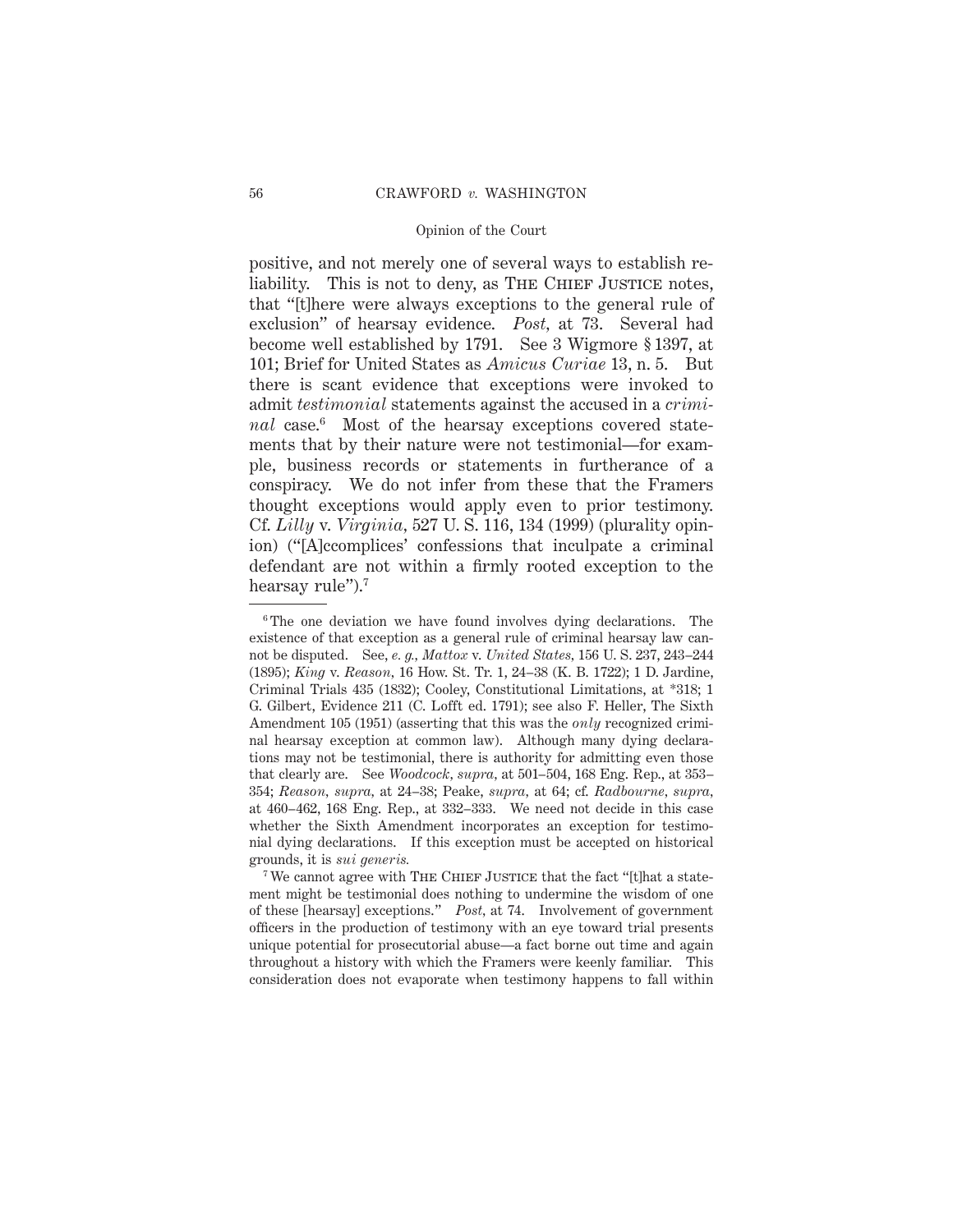positive, and not merely one of several ways to establish reliability. This is not to deny, as THE CHIEF JUSTICE notes, that "[t]here were always exceptions to the general rule of exclusion" of hearsay evidence. *Post,* at 73. Several had become well established by 1791. See 3 Wigmore § 1397, at 101; Brief for United States as *Amicus Curiae* 13, n. 5. But there is scant evidence that exceptions were invoked to admit *testimonial* statements against the accused in a *crimi*nal case.<sup>6</sup> Most of the hearsay exceptions covered statements that by their nature were not testimonial—for example, business records or statements in furtherance of a conspiracy. We do not infer from these that the Framers thought exceptions would apply even to prior testimony. Cf. *Lilly* v. *Virginia,* 527 U. S. 116, 134 (1999) (plurality opinion) ("[A]ccomplices' confessions that inculpate a criminal defendant are not within a firmly rooted exception to the hearsay rule").<sup>7</sup>

<sup>&</sup>lt;sup>6</sup>The one deviation we have found involves dying declarations. The existence of that exception as a general rule of criminal hearsay law cannot be disputed. See, *e. g., Mattox* v. *United States,* 156 U. S. 237, 243–244 (1895); *King* v. *Reason,* 16 How. St. Tr. 1, 24–38 (K. B. 1722); 1 D. Jardine, Criminal Trials 435 (1832); Cooley, Constitutional Limitations, at \*318; 1 G. Gilbert, Evidence 211 (C. Lofft ed. 1791); see also F. Heller, The Sixth Amendment 105 (1951) (asserting that this was the *only* recognized criminal hearsay exception at common law). Although many dying declarations may not be testimonial, there is authority for admitting even those that clearly are. See *Woodcock, supra,* at 501–504, 168 Eng. Rep., at 353– 354; *Reason, supra,* at 24–38; Peake, *supra,* at 64; cf. *Radbourne, supra,* at 460–462, 168 Eng. Rep., at 332–333. We need not decide in this case whether the Sixth Amendment incorporates an exception for testimonial dying declarations. If this exception must be accepted on historical grounds, it is *sui generis.*

<sup>&</sup>lt;sup>7</sup> We cannot agree with THE CHIEF JUSTICE that the fact "[t]hat a statement might be testimonial does nothing to undermine the wisdom of one of these [hearsay] exceptions." *Post,* at 74. Involvement of government officers in the production of testimony with an eye toward trial presents unique potential for prosecutorial abuse—a fact borne out time and again throughout a history with which the Framers were keenly familiar. This consideration does not evaporate when testimony happens to fall within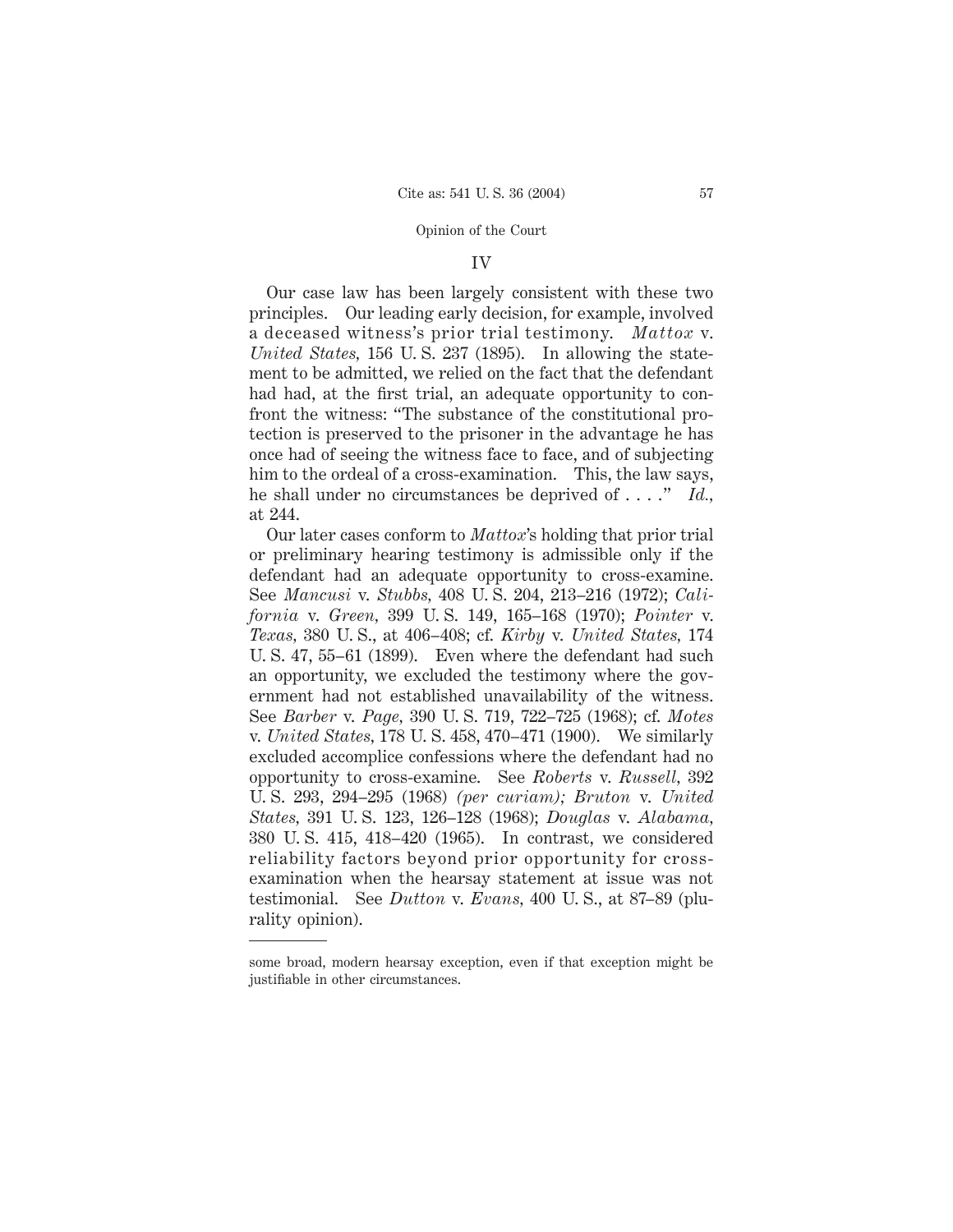#### IV

Our case law has been largely consistent with these two principles. Our leading early decision, for example, involved a deceased witness's prior trial testimony. *Mattox* v. *United States,* 156 U. S. 237 (1895). In allowing the statement to be admitted, we relied on the fact that the defendant had had, at the first trial, an adequate opportunity to confront the witness: "The substance of the constitutional protection is preserved to the prisoner in the advantage he has once had of seeing the witness face to face, and of subjecting him to the ordeal of a cross-examination. This, the law says, he shall under no circumstances be deprived of . . . ." *Id.,* at 244.

Our later cases conform to *Mattox*'s holding that prior trial or preliminary hearing testimony is admissible only if the defendant had an adequate opportunity to cross-examine. See *Mancusi* v. *Stubbs,* 408 U. S. 204, 213–216 (1972); *California* v. *Green,* 399 U. S. 149, 165–168 (1970); *Pointer* v. *Texas,* 380 U. S., at 406–408; cf. *Kirby* v. *United States,* 174 U. S. 47, 55–61 (1899). Even where the defendant had such an opportunity, we excluded the testimony where the government had not established unavailability of the witness. See *Barber* v. *Page,* 390 U. S. 719, 722–725 (1968); cf. *Motes* v. *United States,* 178 U. S. 458, 470–471 (1900). We similarly excluded accomplice confessions where the defendant had no opportunity to cross-examine. See *Roberts* v. *Russell,* 392 U. S. 293, 294–295 (1968) *(per curiam); Bruton* v. *United States,* 391 U. S. 123, 126–128 (1968); *Douglas* v. *Alabama,* 380 U. S. 415, 418–420 (1965). In contrast, we considered reliability factors beyond prior opportunity for crossexamination when the hearsay statement at issue was not testimonial. See *Dutton* v. *Evans,* 400 U. S., at 87–89 (plurality opinion).

some broad, modern hearsay exception, even if that exception might be justifiable in other circumstances.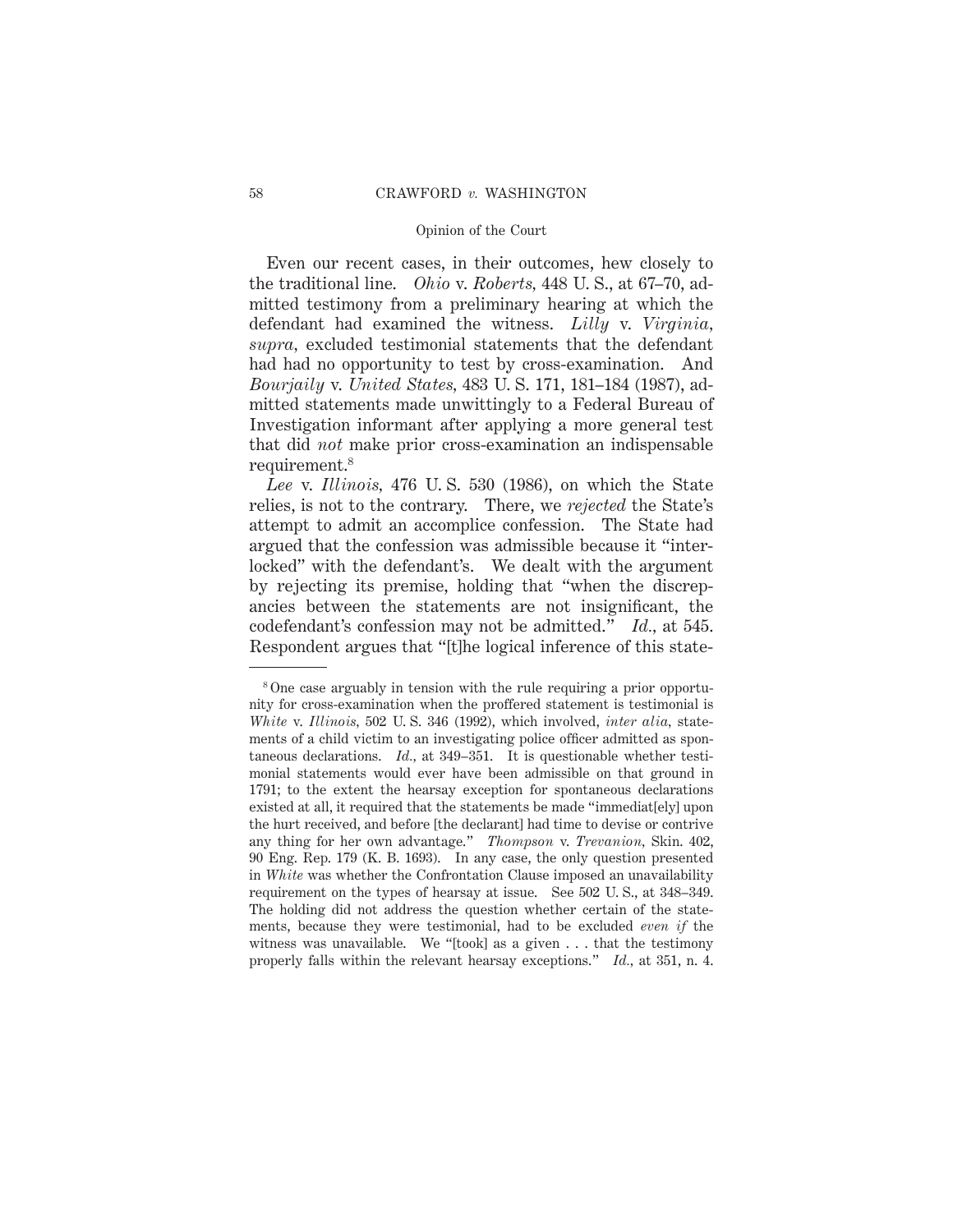Even our recent cases, in their outcomes, hew closely to the traditional line. *Ohio* v. *Roberts,* 448 U. S., at 67–70, admitted testimony from a preliminary hearing at which the defendant had examined the witness. *Lilly* v. *Virginia, supra,* excluded testimonial statements that the defendant had had no opportunity to test by cross-examination. And *Bourjaily* v. *United States,* 483 U. S. 171, 181–184 (1987), admitted statements made unwittingly to a Federal Bureau of Investigation informant after applying a more general test that did *not* make prior cross-examination an indispensable requirement.8

*Lee* v. *Illinois,* 476 U. S. 530 (1986), on which the State relies, is not to the contrary. There, we *rejected* the State's attempt to admit an accomplice confession. The State had argued that the confession was admissible because it "interlocked" with the defendant's. We dealt with the argument by rejecting its premise, holding that "when the discrepancies between the statements are not insignificant, the codefendant's confession may not be admitted." *Id.,* at 545. Respondent argues that "[t]he logical inference of this state-

<sup>8</sup> One case arguably in tension with the rule requiring a prior opportunity for cross-examination when the proffered statement is testimonial is *White* v. *Illinois,* 502 U. S. 346 (1992), which involved, *inter alia,* statements of a child victim to an investigating police officer admitted as spontaneous declarations. *Id.,* at 349–351. It is questionable whether testimonial statements would ever have been admissible on that ground in 1791; to the extent the hearsay exception for spontaneous declarations existed at all, it required that the statements be made "immediat[ely] upon the hurt received, and before [the declarant] had time to devise or contrive any thing for her own advantage." *Thompson* v. *Trevanion,* Skin. 402, 90 Eng. Rep. 179 (K. B. 1693). In any case, the only question presented in *White* was whether the Confrontation Clause imposed an unavailability requirement on the types of hearsay at issue. See 502 U. S., at 348–349. The holding did not address the question whether certain of the statements, because they were testimonial, had to be excluded *even if* the witness was unavailable. We "[took] as a given... that the testimony properly falls within the relevant hearsay exceptions." *Id.,* at 351, n. 4.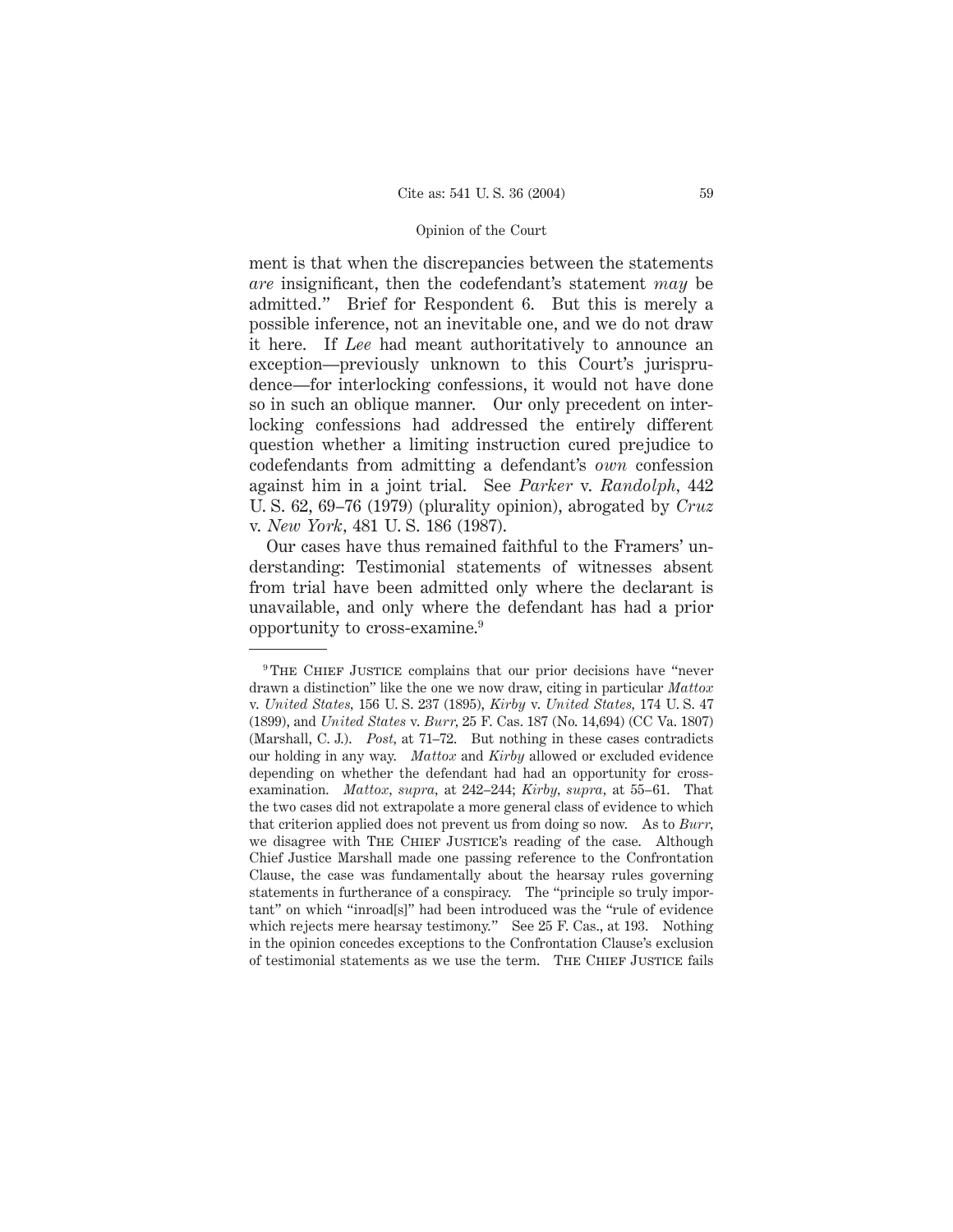ment is that when the discrepancies between the statements *are* insignificant, then the codefendant's statement *may* be admitted." Brief for Respondent 6. But this is merely a possible inference, not an inevitable one, and we do not draw it here. If *Lee* had meant authoritatively to announce an exception—previously unknown to this Court's jurisprudence—for interlocking confessions, it would not have done so in such an oblique manner. Our only precedent on interlocking confessions had addressed the entirely different question whether a limiting instruction cured prejudice to codefendants from admitting a defendant's *own* confession against him in a joint trial. See *Parker* v. *Randolph,* 442 U. S. 62, 69–76 (1979) (plurality opinion), abrogated by *Cruz* v. *New York,* 481 U. S. 186 (1987).

Our cases have thus remained faithful to the Framers' understanding: Testimonial statements of witnesses absent from trial have been admitted only where the declarant is unavailable, and only where the defendant has had a prior opportunity to cross-examine.9

<sup>&</sup>lt;sup>9</sup> THE CHIEF JUSTICE complains that our prior decisions have "never drawn a distinction" like the one we now draw, citing in particular *Mattox* v. *United States,* 156 U. S. 237 (1895), *Kirby* v. *United States,* 174 U. S. 47 (1899), and *United States* v. *Burr,* 25 F. Cas. 187 (No. 14,694) (CC Va. 1807) (Marshall, C. J.). *Post,* at 71–72. But nothing in these cases contradicts our holding in any way. *Mattox* and *Kirby* allowed or excluded evidence depending on whether the defendant had had an opportunity for crossexamination. *Mattox, supra,* at 242–244; *Kirby, supra,* at 55–61. That the two cases did not extrapolate a more general class of evidence to which that criterion applied does not prevent us from doing so now. As to *Burr,* we disagree with THE CHIEF JUSTICE's reading of the case. Although Chief Justice Marshall made one passing reference to the Confrontation Clause, the case was fundamentally about the hearsay rules governing statements in furtherance of a conspiracy. The "principle so truly important" on which "inroad[s]" had been introduced was the "rule of evidence which rejects mere hearsay testimony." See 25 F. Cas., at 193. Nothing in the opinion concedes exceptions to the Confrontation Clause's exclusion of testimonial statements as we use the term. THE CHIEF JUSTICE fails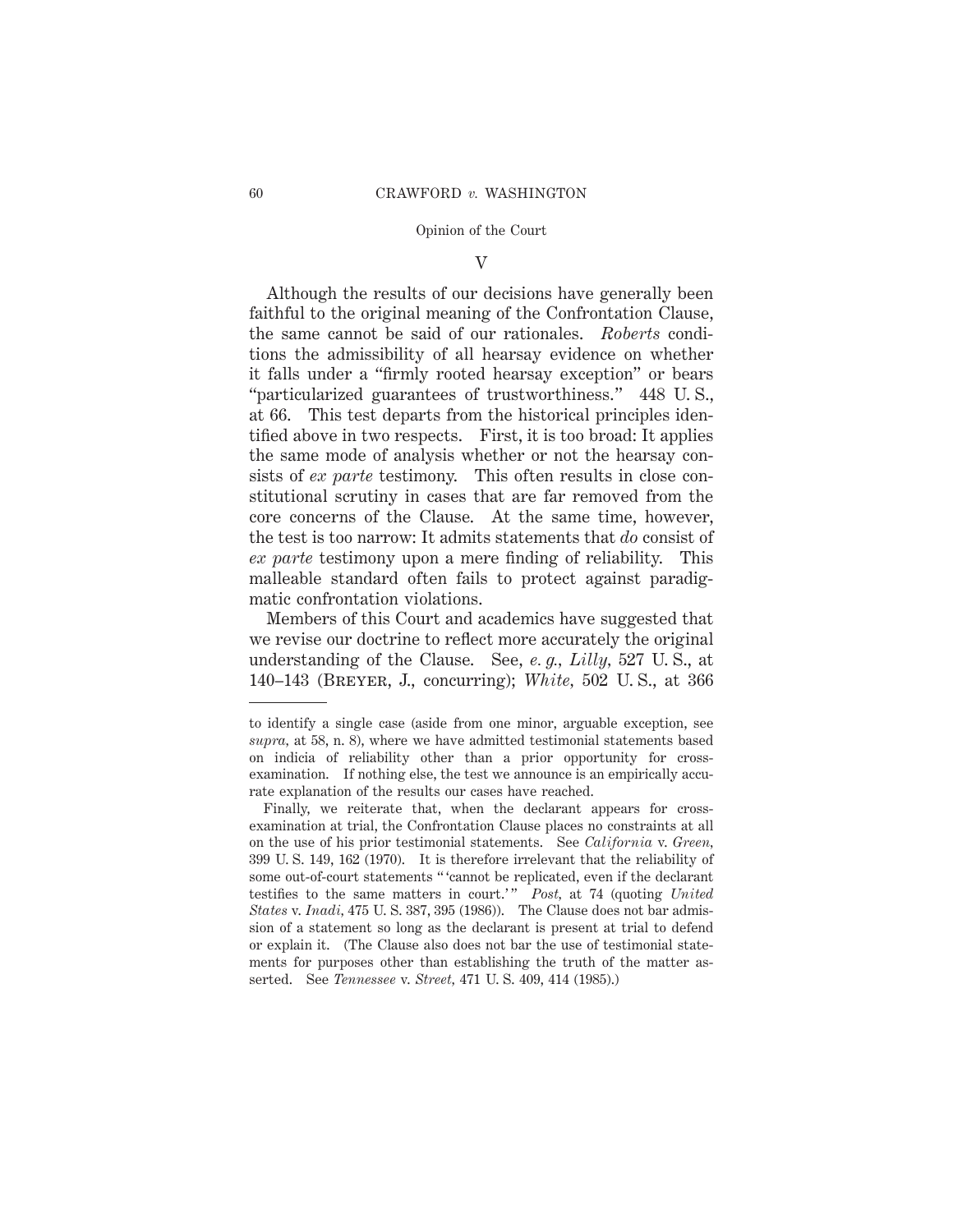### $\overline{V}$

Although the results of our decisions have generally been faithful to the original meaning of the Confrontation Clause, the same cannot be said of our rationales. *Roberts* conditions the admissibility of all hearsay evidence on whether it falls under a "firmly rooted hearsay exception" or bears "particularized guarantees of trustworthiness." 448 U. S., at 66. This test departs from the historical principles identified above in two respects. First, it is too broad: It applies the same mode of analysis whether or not the hearsay consists of *ex parte* testimony. This often results in close constitutional scrutiny in cases that are far removed from the core concerns of the Clause. At the same time, however, the test is too narrow: It admits statements that *do* consist of *ex parte* testimony upon a mere finding of reliability. This malleable standard often fails to protect against paradigmatic confrontation violations.

Members of this Court and academics have suggested that we revise our doctrine to reflect more accurately the original understanding of the Clause. See, *e. g., Lilly,* 527 U. S., at 140–143 (Breyer, J., concurring); *White,* 502 U. S., at 366

to identify a single case (aside from one minor, arguable exception, see *supra,* at 58, n. 8), where we have admitted testimonial statements based on indicia of reliability other than a prior opportunity for crossexamination. If nothing else, the test we announce is an empirically accurate explanation of the results our cases have reached.

Finally, we reiterate that, when the declarant appears for crossexamination at trial, the Confrontation Clause places no constraints at all on the use of his prior testimonial statements. See *California* v. *Green,* 399 U. S. 149, 162 (1970). It is therefore irrelevant that the reliability of some out-of-court statements " 'cannot be replicated, even if the declarant testifies to the same matters in court.'" Post, at 74 (quoting *United States* v. *Inadi,* 475 U. S. 387, 395 (1986)). The Clause does not bar admission of a statement so long as the declarant is present at trial to defend or explain it. (The Clause also does not bar the use of testimonial statements for purposes other than establishing the truth of the matter asserted. See *Tennessee* v. *Street,* 471 U. S. 409, 414 (1985).)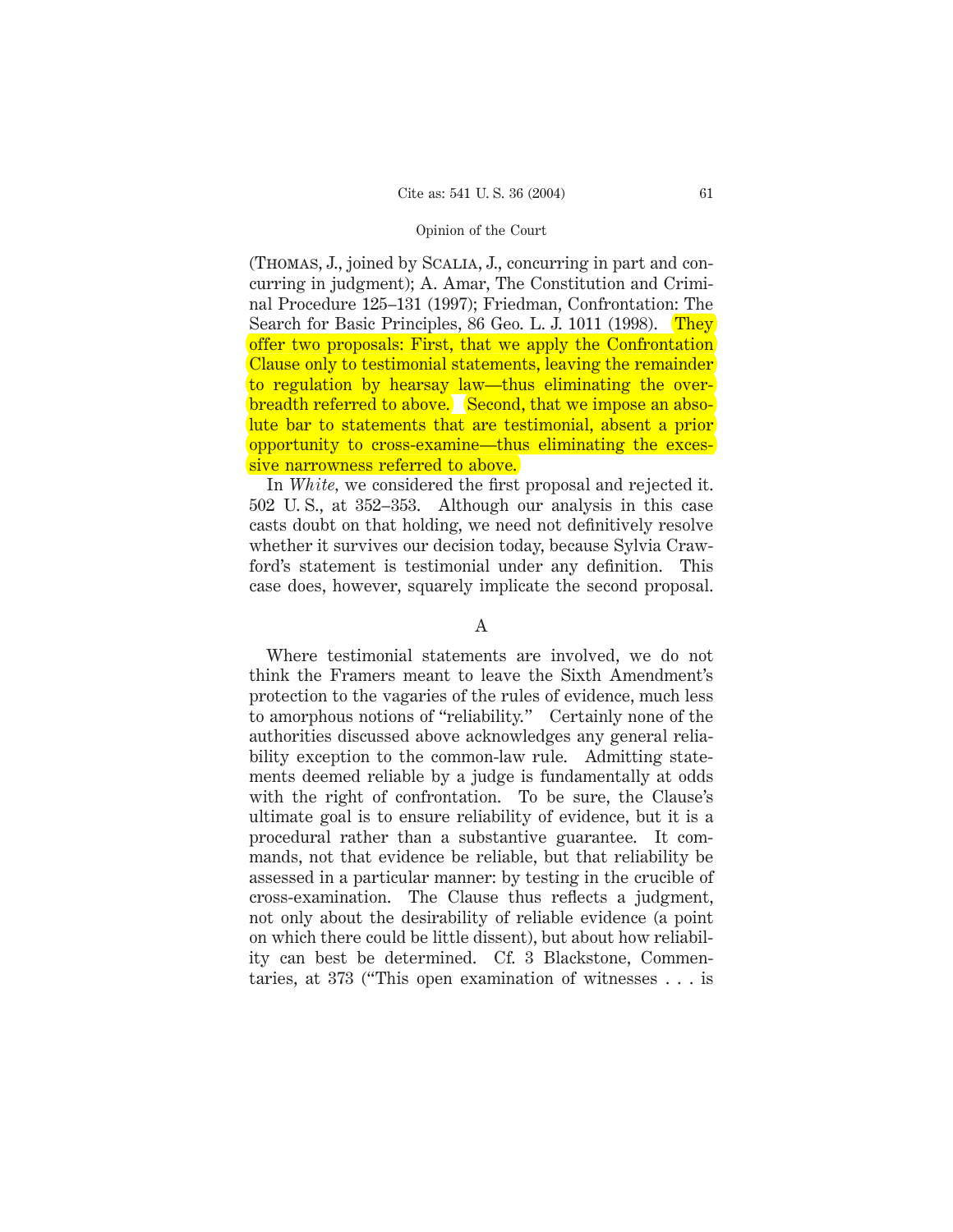(Thomas, J., joined by Scalia, J., concurring in part and concurring in judgment); A. Amar, The Constitution and Criminal Procedure 125–131 (1997); Friedman, Confrontation: The Search for Basic Principles, 86 Geo. L. J. 1011 (1998). They offer two proposals: First, that we apply the Confrontation Clause only to testimonial statements, leaving the remainder to regulation by hearsay law—thus eliminating the overbreadth referred to above. Second, that we impose an absolute bar to statements that are testimonial, absent a prior opportunity to cross-examine—thus eliminating the excessive narrowness referred to above.

In *White,* we considered the first proposal and rejected it. 502 U. S., at 352–353. Although our analysis in this case casts doubt on that holding, we need not definitively resolve whether it survives our decision today, because Sylvia Crawford's statement is testimonial under any definition. This case does, however, squarely implicate the second proposal.

### A

Where testimonial statements are involved, we do not think the Framers meant to leave the Sixth Amendment's protection to the vagaries of the rules of evidence, much less to amorphous notions of "reliability." Certainly none of the authorities discussed above acknowledges any general reliability exception to the common-law rule. Admitting statements deemed reliable by a judge is fundamentally at odds with the right of confrontation. To be sure, the Clause's ultimate goal is to ensure reliability of evidence, but it is a procedural rather than a substantive guarantee. It commands, not that evidence be reliable, but that reliability be assessed in a particular manner: by testing in the crucible of cross-examination. The Clause thus reflects a judgment, not only about the desirability of reliable evidence (a point on which there could be little dissent), but about how reliability can best be determined. Cf. 3 Blackstone, Commentaries, at 373 ("This open examination of witnesses . . . is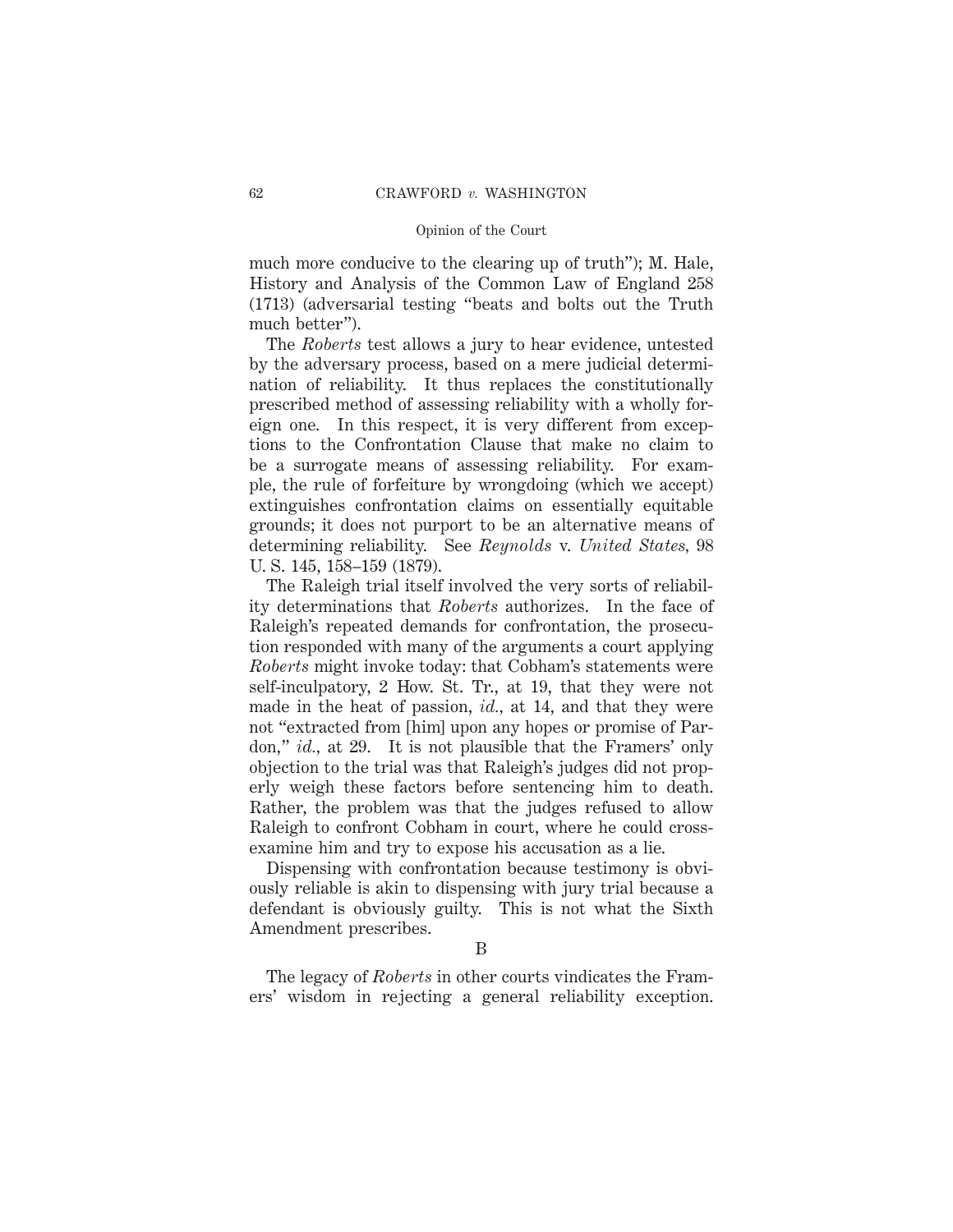much more conducive to the clearing up of truth"); M. Hale, History and Analysis of the Common Law of England 258 (1713) (adversarial testing "beats and bolts out the Truth much better").

The *Roberts* test allows a jury to hear evidence, untested by the adversary process, based on a mere judicial determination of reliability. It thus replaces the constitutionally prescribed method of assessing reliability with a wholly foreign one. In this respect, it is very different from exceptions to the Confrontation Clause that make no claim to be a surrogate means of assessing reliability. For example, the rule of forfeiture by wrongdoing (which we accept) extinguishes confrontation claims on essentially equitable grounds; it does not purport to be an alternative means of determining reliability. See *Reynolds* v. *United States,* 98 U. S. 145, 158–159 (1879).

The Raleigh trial itself involved the very sorts of reliability determinations that *Roberts* authorizes. In the face of Raleigh's repeated demands for confrontation, the prosecution responded with many of the arguments a court applying *Roberts* might invoke today: that Cobham's statements were self-inculpatory, 2 How. St. Tr., at 19, that they were not made in the heat of passion, *id.,* at 14, and that they were not "extracted from [him] upon any hopes or promise of Pardon," *id.,* at 29. It is not plausible that the Framers' only objection to the trial was that Raleigh's judges did not properly weigh these factors before sentencing him to death. Rather, the problem was that the judges refused to allow Raleigh to confront Cobham in court, where he could crossexamine him and try to expose his accusation as a lie.

Dispensing with confrontation because testimony is obviously reliable is akin to dispensing with jury trial because a defendant is obviously guilty. This is not what the Sixth Amendment prescribes.

B

The legacy of *Roberts* in other courts vindicates the Framers' wisdom in rejecting a general reliability exception.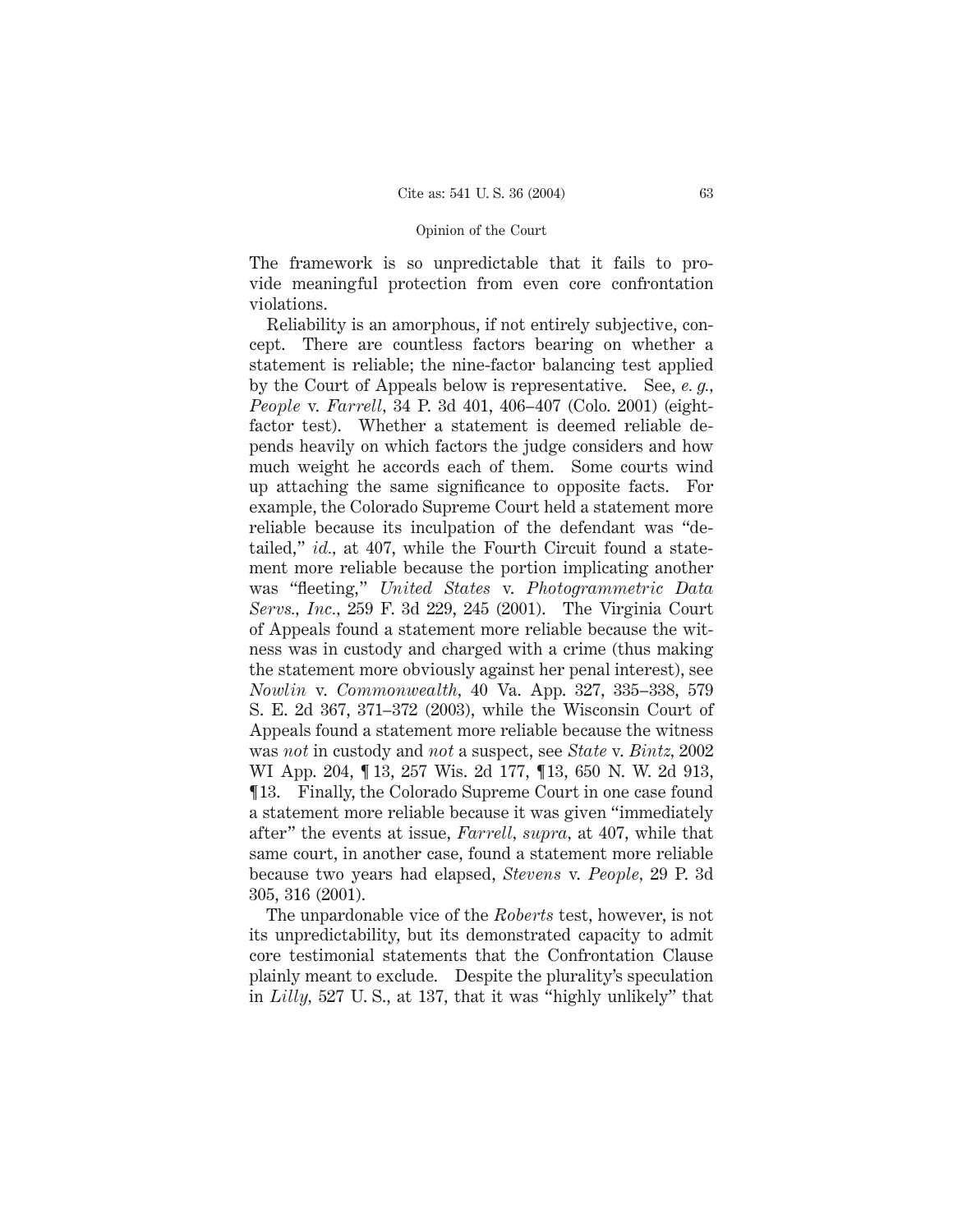The framework is so unpredictable that it fails to provide meaningful protection from even core confrontation violations.

Reliability is an amorphous, if not entirely subjective, concept. There are countless factors bearing on whether a statement is reliable; the nine-factor balancing test applied by the Court of Appeals below is representative. See, *e. g., People* v. *Farrell,* 34 P. 3d 401, 406–407 (Colo. 2001) (eightfactor test). Whether a statement is deemed reliable depends heavily on which factors the judge considers and how much weight he accords each of them. Some courts wind up attaching the same significance to opposite facts. For example, the Colorado Supreme Court held a statement more reliable because its inculpation of the defendant was "detailed," *id.,* at 407, while the Fourth Circuit found a statement more reliable because the portion implicating another was "fleeting," *United States* v. *Photogrammetric Data Servs., Inc.,* 259 F. 3d 229, 245 (2001). The Virginia Court of Appeals found a statement more reliable because the witness was in custody and charged with a crime (thus making the statement more obviously against her penal interest), see *Nowlin* v. *Commonwealth,* 40 Va. App. 327, 335–338, 579 S. E. 2d 367, 371–372 (2003), while the Wisconsin Court of Appeals found a statement more reliable because the witness was *not* in custody and *not* a suspect, see *State* v. *Bintz,* 2002 WI App. 204, ¶ 13, 257 Wis. 2d 177, ¶13, 650 N. W. 2d 913, ¶13. Finally, the Colorado Supreme Court in one case found a statement more reliable because it was given "immediately after" the events at issue, *Farrell, supra,* at 407, while that same court, in another case, found a statement more reliable because two years had elapsed, *Stevens* v. *People,* 29 P. 3d 305, 316 (2001).

The unpardonable vice of the *Roberts* test, however, is not its unpredictability, but its demonstrated capacity to admit core testimonial statements that the Confrontation Clause plainly meant to exclude. Despite the plurality's speculation in *Lilly,* 527 U. S., at 137, that it was "highly unlikely" that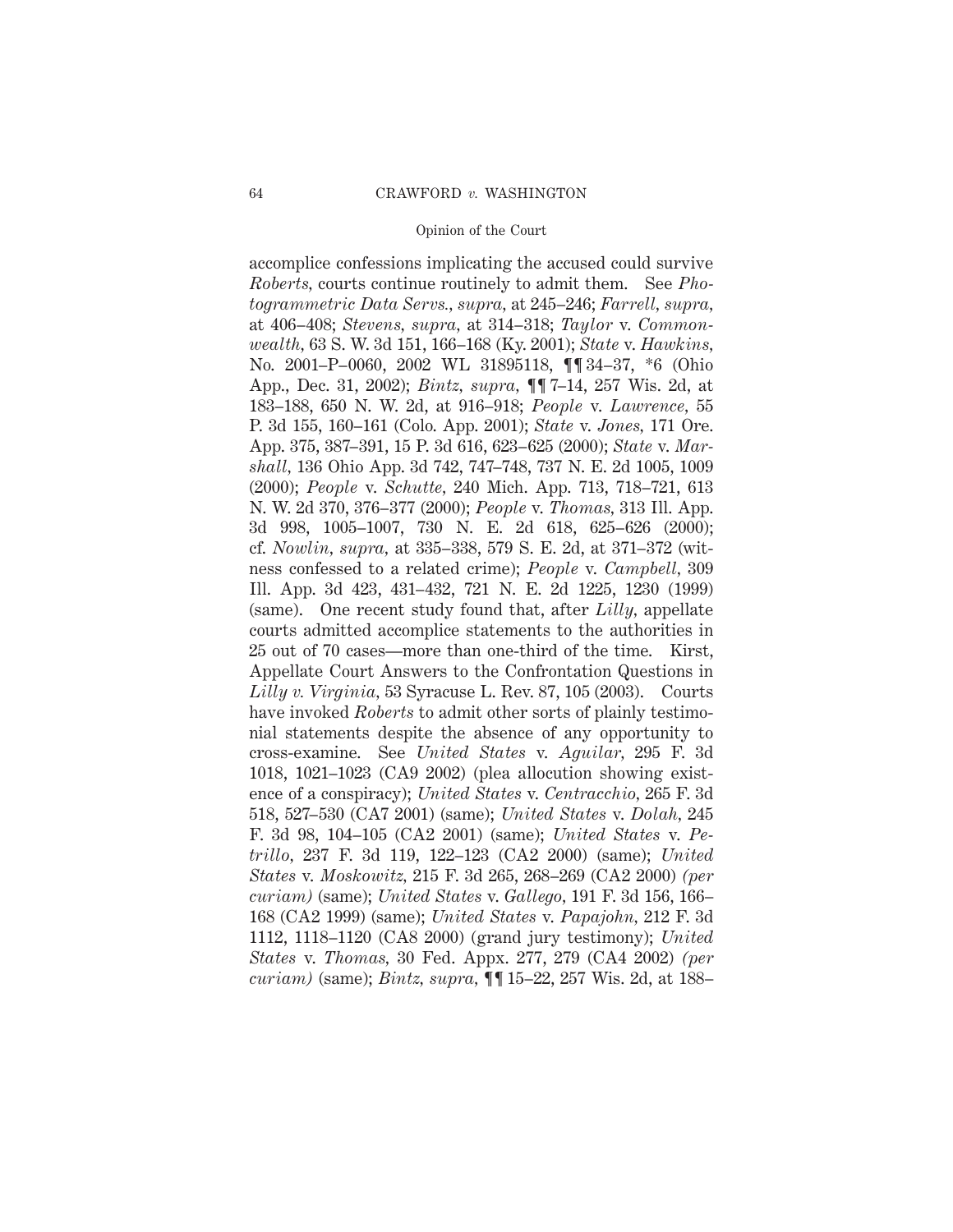accomplice confessions implicating the accused could survive *Roberts,* courts continue routinely to admit them. See *Photogrammetric Data Servs., supra,* at 245–246; *Farrell, supra,* at 406–408; *Stevens, supra,* at 314–318; *Taylor* v. *Commonwealth,* 63 S. W. 3d 151, 166–168 (Ky. 2001); *State* v. *Hawkins,* No. 2001–P–0060, 2002 WL 31895118, ¶¶ 34–37, \*6 (Ohio App., Dec. 31, 2002); *Bintz, supra,* ¶¶ 7–14, 257 Wis. 2d, at 183–188, 650 N. W. 2d, at 916–918; *People* v. *Lawrence,* 55 P. 3d 155, 160–161 (Colo. App. 2001); *State* v. *Jones,* 171 Ore. App. 375, 387–391, 15 P. 3d 616, 623–625 (2000); *State* v. *Marshall,* 136 Ohio App. 3d 742, 747–748, 737 N. E. 2d 1005, 1009 (2000); *People* v. *Schutte,* 240 Mich. App. 713, 718–721, 613 N. W. 2d 370, 376–377 (2000); *People* v. *Thomas,* 313 Ill. App. 3d 998, 1005–1007, 730 N. E. 2d 618, 625–626 (2000); cf. *Nowlin, supra,* at 335–338, 579 S. E. 2d, at 371–372 (witness confessed to a related crime); *People* v. *Campbell,* 309 Ill. App. 3d 423, 431–432, 721 N. E. 2d 1225, 1230 (1999) (same). One recent study found that, after *Lilly,* appellate courts admitted accomplice statements to the authorities in 25 out of 70 cases—more than one-third of the time. Kirst, Appellate Court Answers to the Confrontation Questions in *Lilly v. Virginia,* 53 Syracuse L. Rev. 87, 105 (2003). Courts have invoked *Roberts* to admit other sorts of plainly testimonial statements despite the absence of any opportunity to cross-examine. See *United States* v. *Aguilar,* 295 F. 3d 1018, 1021–1023 (CA9 2002) (plea allocution showing existence of a conspiracy); *United States* v. *Centracchio,* 265 F. 3d 518, 527–530 (CA7 2001) (same); *United States* v. *Dolah,* 245 F. 3d 98, 104–105 (CA2 2001) (same); *United States* v. *Petrillo,* 237 F. 3d 119, 122–123 (CA2 2000) (same); *United States* v. *Moskowitz,* 215 F. 3d 265, 268–269 (CA2 2000) *(per curiam)* (same); *United States* v. *Gallego,* 191 F. 3d 156, 166– 168 (CA2 1999) (same); *United States* v. *Papajohn,* 212 F. 3d 1112, 1118–1120 (CA8 2000) (grand jury testimony); *United States* v. *Thomas,* 30 Fed. Appx. 277, 279 (CA4 2002) *(per curiam)* (same); *Bintz, supra,* ¶¶ 15–22, 257 Wis. 2d, at 188–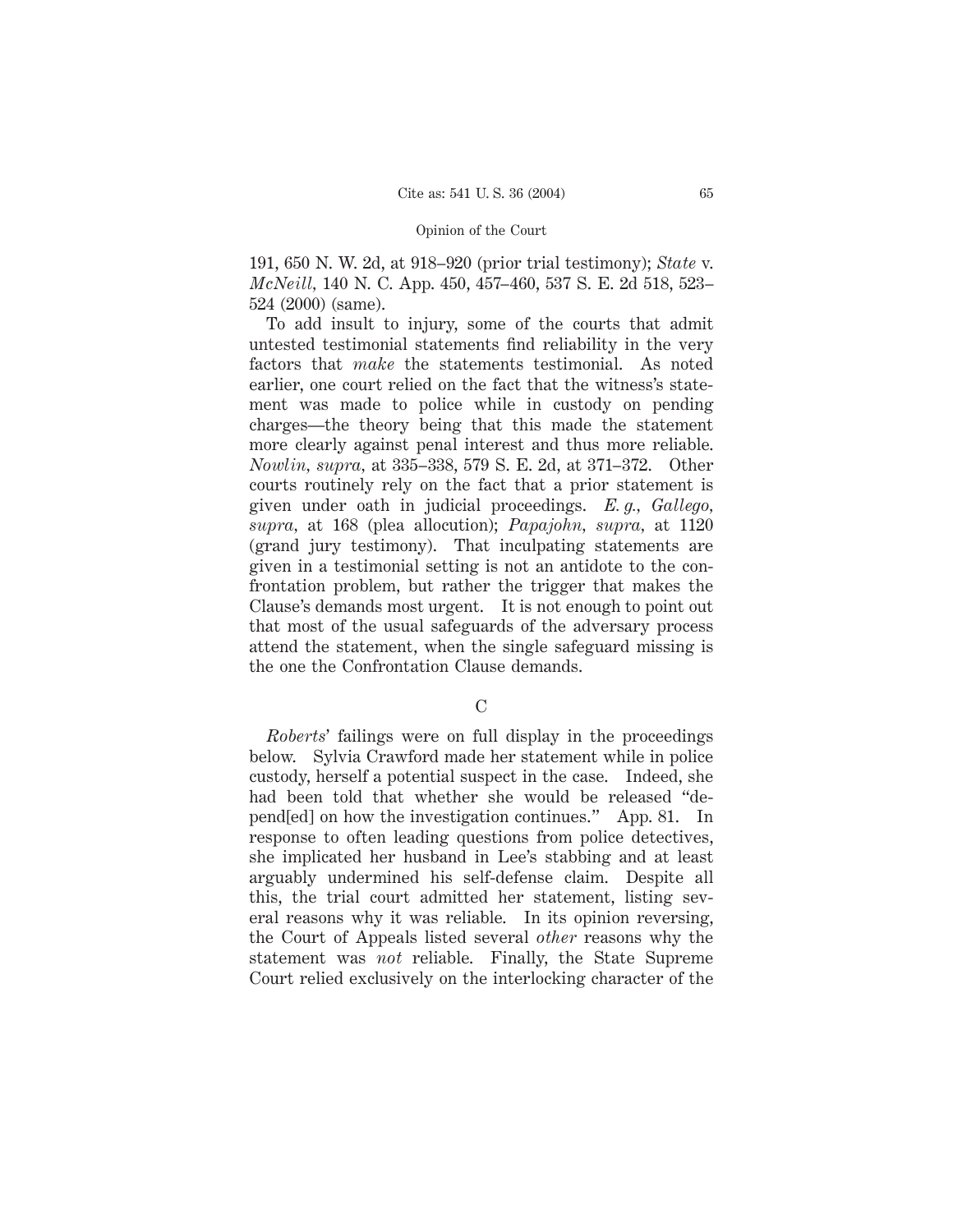191, 650 N. W. 2d, at 918–920 (prior trial testimony); *State* v. *McNeill,* 140 N. C. App. 450, 457–460, 537 S. E. 2d 518, 523– 524 (2000) (same).

To add insult to injury, some of the courts that admit untested testimonial statements find reliability in the very factors that *make* the statements testimonial. As noted earlier, one court relied on the fact that the witness's statement was made to police while in custody on pending charges—the theory being that this made the statement more clearly against penal interest and thus more reliable. *Nowlin, supra,* at 335–338, 579 S. E. 2d, at 371–372. Other courts routinely rely on the fact that a prior statement is given under oath in judicial proceedings. *E. g., Gallego, supra,* at 168 (plea allocution); *Papajohn, supra,* at 1120 (grand jury testimony). That inculpating statements are given in a testimonial setting is not an antidote to the confrontation problem, but rather the trigger that makes the Clause's demands most urgent. It is not enough to point out that most of the usual safeguards of the adversary process attend the statement, when the single safeguard missing is the one the Confrontation Clause demands.

# $\overline{C}$

*Roberts*' failings were on full display in the proceedings below. Sylvia Crawford made her statement while in police custody, herself a potential suspect in the case. Indeed, she had been told that whether she would be released "depend[ed] on how the investigation continues." App. 81. In response to often leading questions from police detectives, she implicated her husband in Lee's stabbing and at least arguably undermined his self-defense claim. Despite all this, the trial court admitted her statement, listing several reasons why it was reliable. In its opinion reversing, the Court of Appeals listed several *other* reasons why the statement was *not* reliable. Finally, the State Supreme Court relied exclusively on the interlocking character of the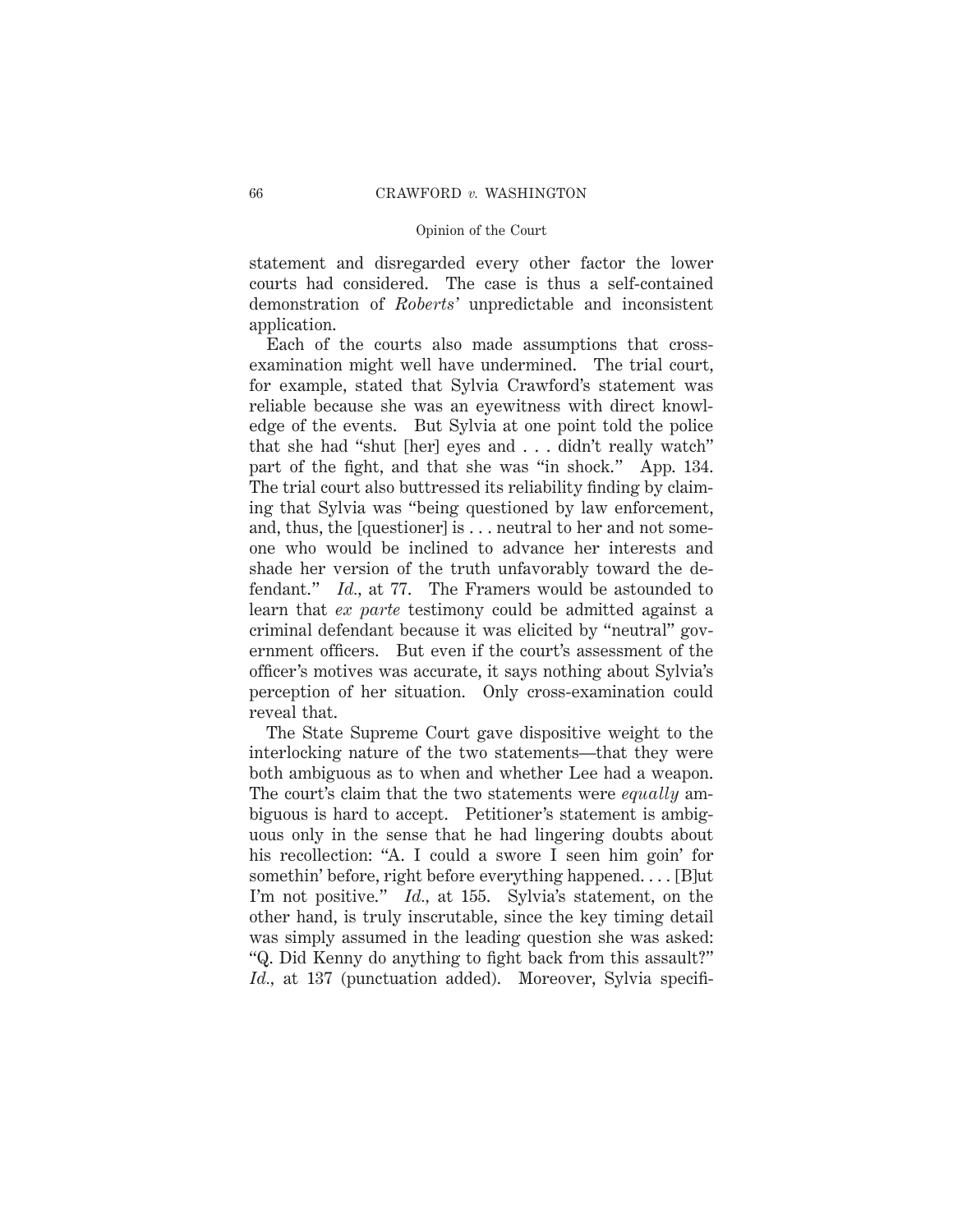statement and disregarded every other factor the lower courts had considered. The case is thus a self-contained demonstration of *Roberts'* unpredictable and inconsistent application.

Each of the courts also made assumptions that crossexamination might well have undermined. The trial court, for example, stated that Sylvia Crawford's statement was reliable because she was an eyewitness with direct knowledge of the events. But Sylvia at one point told the police that she had "shut [her] eyes and . . . didn't really watch" part of the fight, and that she was "in shock." App. 134. The trial court also buttressed its reliability finding by claiming that Sylvia was "being questioned by law enforcement, and, thus, the [questioner] is . . . neutral to her and not someone who would be inclined to advance her interests and shade her version of the truth unfavorably toward the defendant." *Id.,* at 77. The Framers would be astounded to learn that *ex parte* testimony could be admitted against a criminal defendant because it was elicited by "neutral" government officers. But even if the court's assessment of the officer's motives was accurate, it says nothing about Sylvia's perception of her situation. Only cross-examination could reveal that.

The State Supreme Court gave dispositive weight to the interlocking nature of the two statements—that they were both ambiguous as to when and whether Lee had a weapon. The court's claim that the two statements were *equally* ambiguous is hard to accept. Petitioner's statement is ambiguous only in the sense that he had lingering doubts about his recollection: "A. I could a swore I seen him goin' for somethin' before, right before everything happened. . . . [B]ut I'm not positive." *Id.,* at 155. Sylvia's statement, on the other hand, is truly inscrutable, since the key timing detail was simply assumed in the leading question she was asked: "Q. Did Kenny do anything to fight back from this assault?" *Id.,* at 137 (punctuation added). Moreover, Sylvia specifi-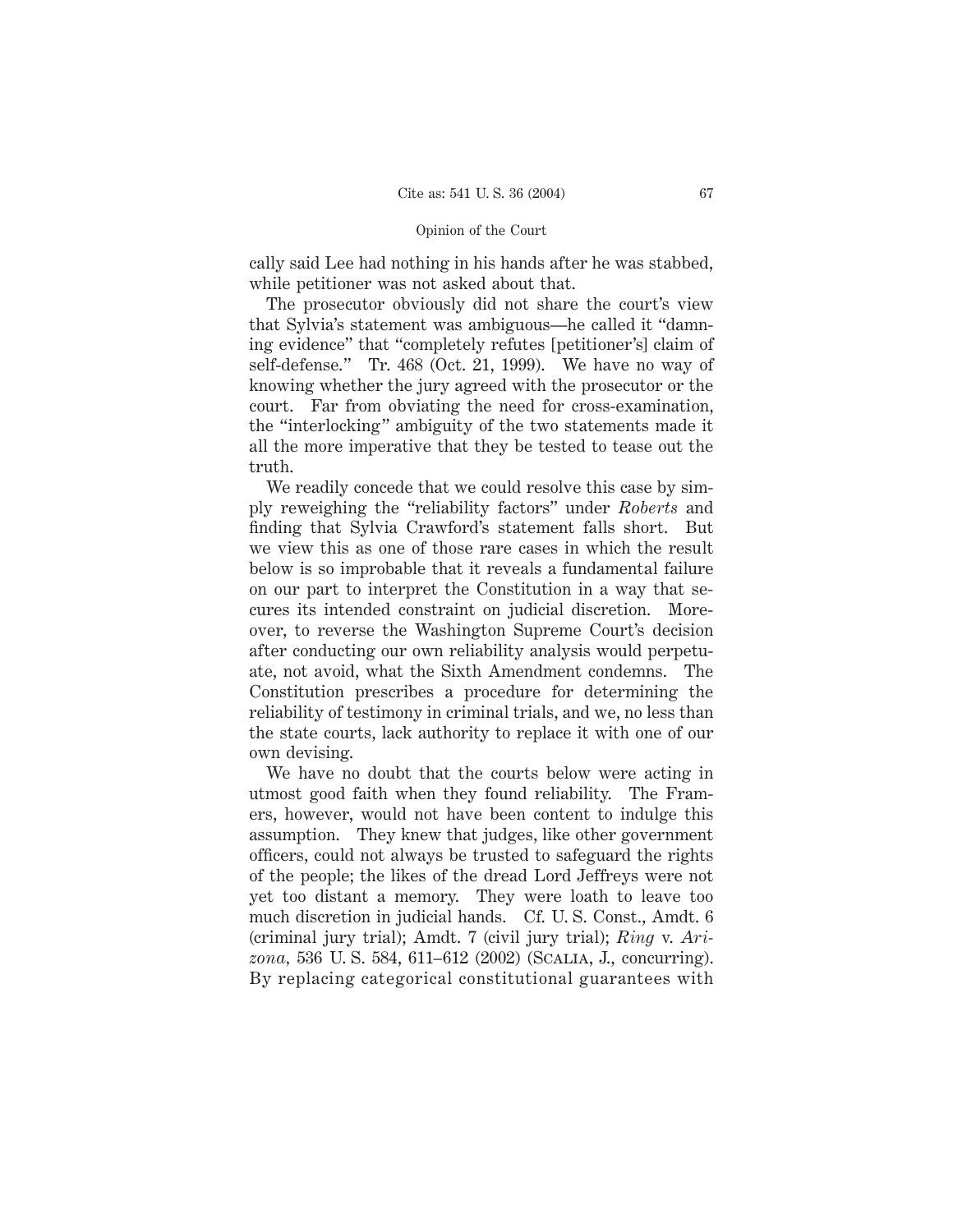cally said Lee had nothing in his hands after he was stabbed, while petitioner was not asked about that.

The prosecutor obviously did not share the court's view that Sylvia's statement was ambiguous—he called it "damning evidence" that "completely refutes [petitioner's] claim of self-defense." Tr. 468 (Oct. 21, 1999). We have no way of knowing whether the jury agreed with the prosecutor or the court. Far from obviating the need for cross-examination, the "interlocking" ambiguity of the two statements made it all the more imperative that they be tested to tease out the truth.

We readily concede that we could resolve this case by simply reweighing the "reliability factors" under *Roberts* and finding that Sylvia Crawford's statement falls short. But we view this as one of those rare cases in which the result below is so improbable that it reveals a fundamental failure on our part to interpret the Constitution in a way that secures its intended constraint on judicial discretion. Moreover, to reverse the Washington Supreme Court's decision after conducting our own reliability analysis would perpetuate, not avoid, what the Sixth Amendment condemns. The Constitution prescribes a procedure for determining the reliability of testimony in criminal trials, and we, no less than the state courts, lack authority to replace it with one of our own devising.

We have no doubt that the courts below were acting in utmost good faith when they found reliability. The Framers, however, would not have been content to indulge this assumption. They knew that judges, like other government officers, could not always be trusted to safeguard the rights of the people; the likes of the dread Lord Jeffreys were not yet too distant a memory. They were loath to leave too much discretion in judicial hands. Cf. U. S. Const., Amdt. 6 (criminal jury trial); Amdt. 7 (civil jury trial); *Ring* v. *Arizona,* 536 U. S. 584, 611–612 (2002) (Scalia, J., concurring). By replacing categorical constitutional guarantees with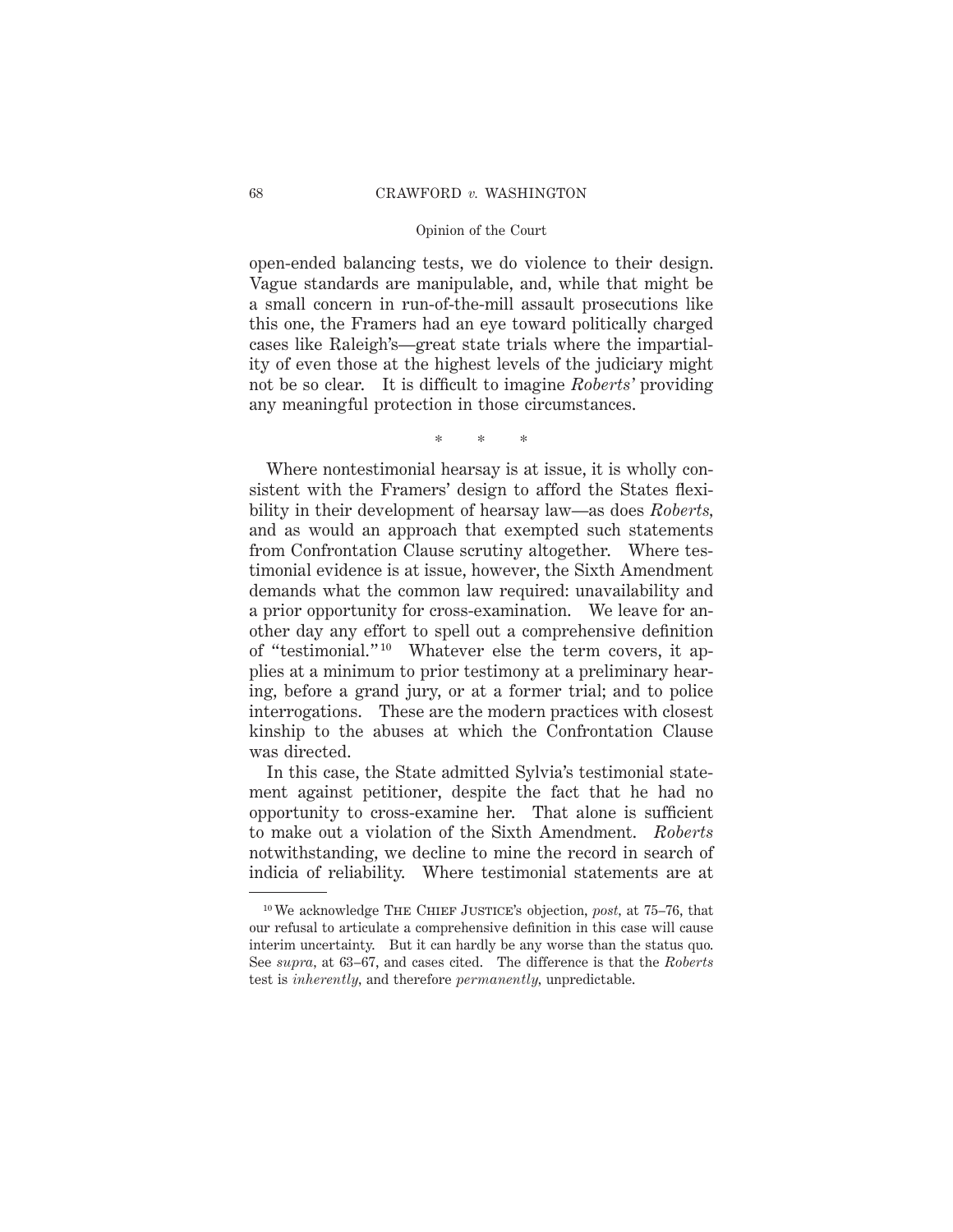open-ended balancing tests, we do violence to their design. Vague standards are manipulable, and, while that might be a small concern in run-of-the-mill assault prosecutions like this one, the Framers had an eye toward politically charged cases like Raleigh's—great state trials where the impartiality of even those at the highest levels of the judiciary might not be so clear. It is difficult to imagine *Roberts'* providing any meaningful protection in those circumstances.

\*\*\*

Where nontestimonial hearsay is at issue, it is wholly consistent with the Framers' design to afford the States flexibility in their development of hearsay law—as does *Roberts,* and as would an approach that exempted such statements from Confrontation Clause scrutiny altogether. Where testimonial evidence is at issue, however, the Sixth Amendment demands what the common law required: unavailability and a prior opportunity for cross-examination. We leave for another day any effort to spell out a comprehensive definition of "testimonial." <sup>10</sup> Whatever else the term covers, it applies at a minimum to prior testimony at a preliminary hearing, before a grand jury, or at a former trial; and to police interrogations. These are the modern practices with closest kinship to the abuses at which the Confrontation Clause was directed.

In this case, the State admitted Sylvia's testimonial statement against petitioner, despite the fact that he had no opportunity to cross-examine her. That alone is sufficient to make out a violation of the Sixth Amendment. *Roberts* notwithstanding, we decline to mine the record in search of indicia of reliability. Where testimonial statements are at

<sup>10</sup> We acknowledge The Chief Justice's objection, *post,* at 75–76, that our refusal to articulate a comprehensive definition in this case will cause interim uncertainty. But it can hardly be any worse than the status quo. See *supra,* at 63–67, and cases cited. The difference is that the *Roberts* test is *inherently,* and therefore *permanently,* unpredictable.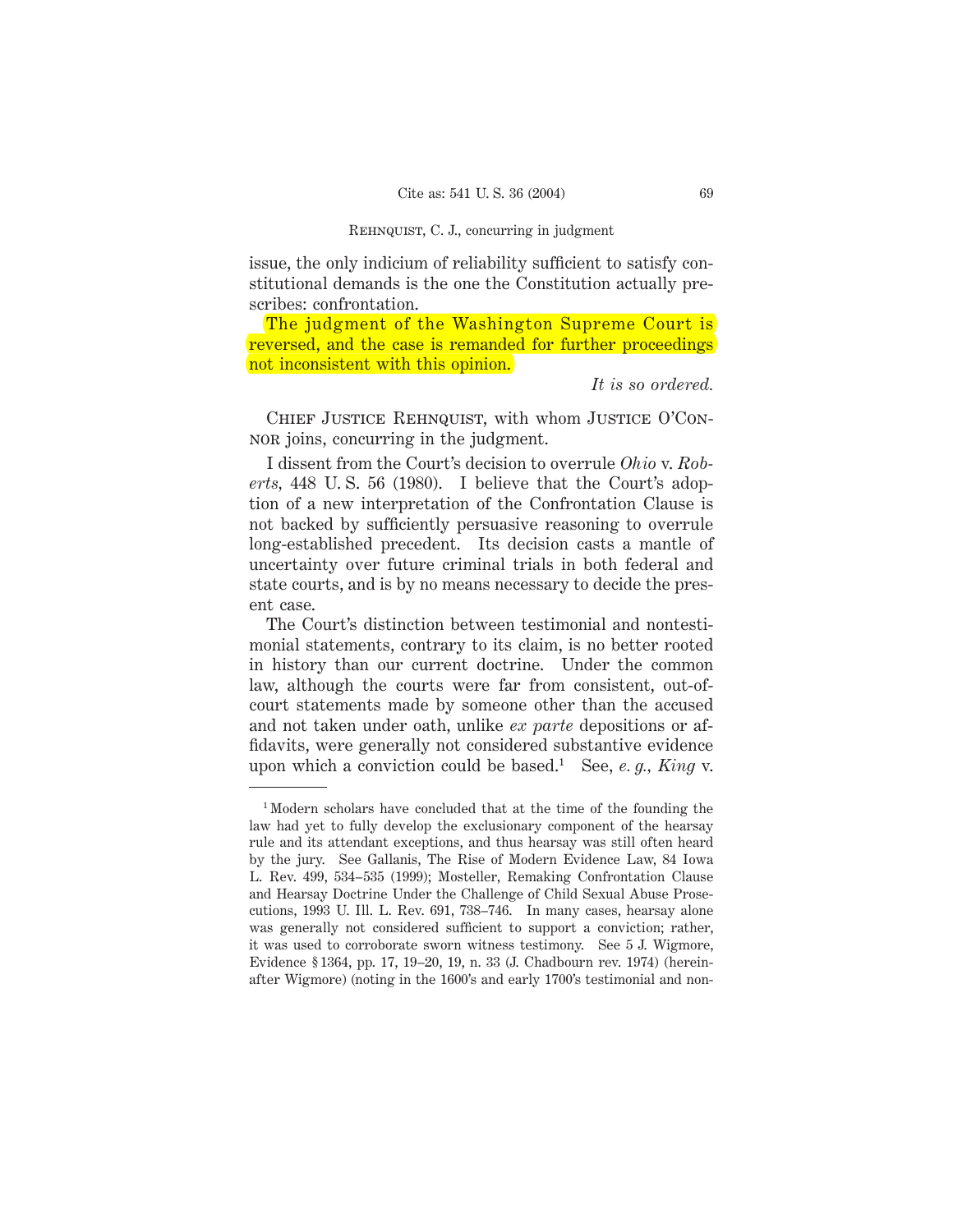issue, the only indicium of reliability sufficient to satisfy constitutional demands is the one the Constitution actually prescribes: confrontation.

The judgment of the Washington Supreme Court is reversed, and the case is remanded for further proceedings not inconsistent with this opinion.

# *It is so ordered.*

Chief Justice Rehnquist, with whom Justice O'Connor joins, concurring in the judgment.

I dissent from the Court's decision to overrule *Ohio* v. *Roberts,* 448 U. S. 56 (1980). I believe that the Court's adoption of a new interpretation of the Confrontation Clause is not backed by sufficiently persuasive reasoning to overrule long-established precedent. Its decision casts a mantle of uncertainty over future criminal trials in both federal and state courts, and is by no means necessary to decide the present case.

The Court's distinction between testimonial and nontestimonial statements, contrary to its claim, is no better rooted in history than our current doctrine. Under the common law, although the courts were far from consistent, out-ofcourt statements made by someone other than the accused and not taken under oath, unlike *ex parte* depositions or affidavits, were generally not considered substantive evidence upon which a conviction could be based.1 See, *e. g., King* v.

<sup>&</sup>lt;sup>1</sup> Modern scholars have concluded that at the time of the founding the law had yet to fully develop the exclusionary component of the hearsay rule and its attendant exceptions, and thus hearsay was still often heard by the jury. See Gallanis, The Rise of Modern Evidence Law, 84 Iowa L. Rev. 499, 534–535 (1999); Mosteller, Remaking Confrontation Clause and Hearsay Doctrine Under the Challenge of Child Sexual Abuse Prosecutions, 1993 U. Ill. L. Rev. 691, 738–746. In many cases, hearsay alone was generally not considered sufficient to support a conviction; rather, it was used to corroborate sworn witness testimony. See 5 J. Wigmore, Evidence § 1364, pp. 17, 19–20, 19, n. 33 (J. Chadbourn rev. 1974) (hereinafter Wigmore) (noting in the 1600's and early 1700's testimonial and non-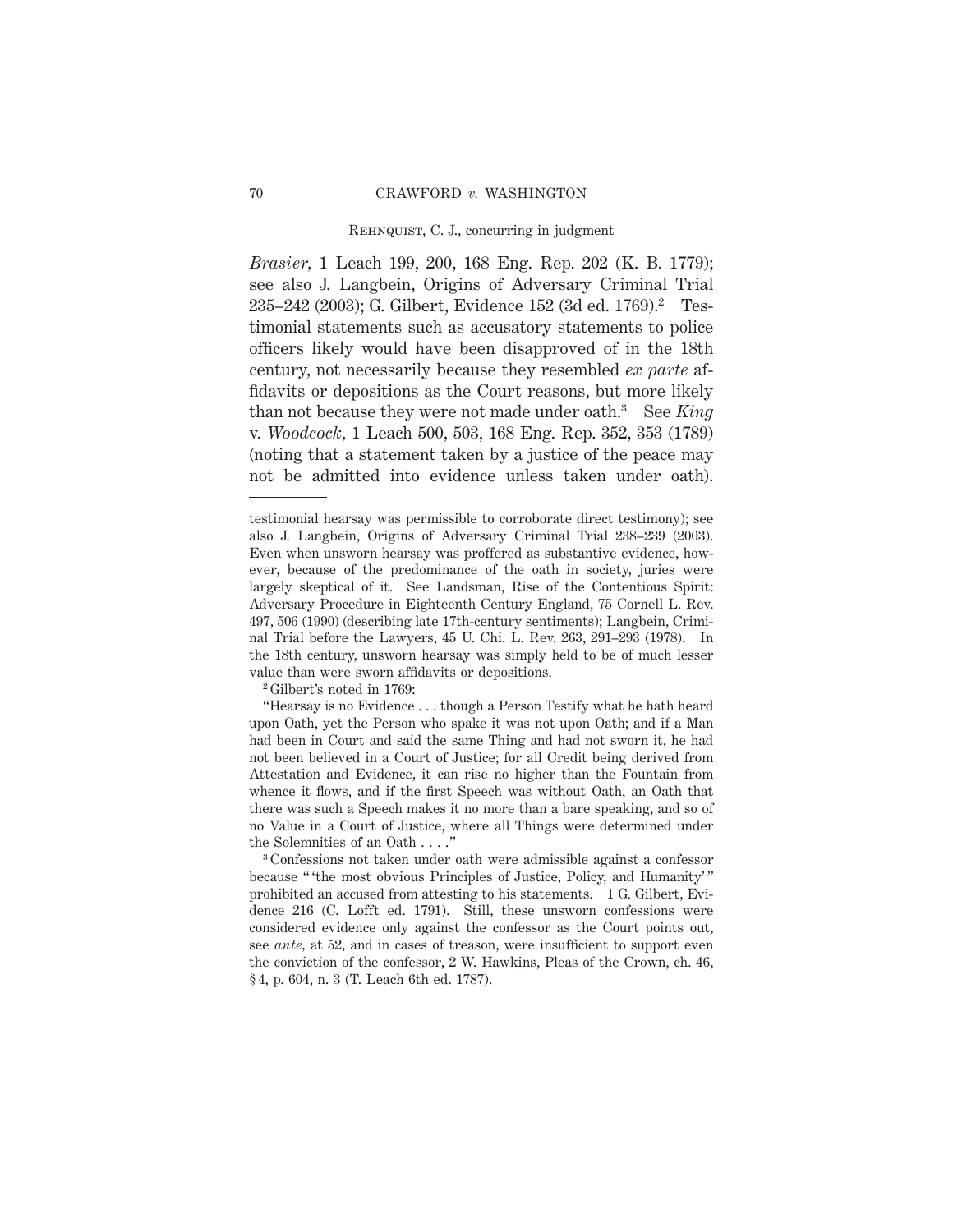*Brasier,* 1 Leach 199, 200, 168 Eng. Rep. 202 (K. B. 1779); see also J. Langbein, Origins of Adversary Criminal Trial 235–242 (2003); G. Gilbert, Evidence 152 (3d ed. 1769).2 Testimonial statements such as accusatory statements to police officers likely would have been disapproved of in the 18th century, not necessarily because they resembled *ex parte* affidavits or depositions as the Court reasons, but more likely than not because they were not made under oath.3 See *King* v. *Woodcock,* 1 Leach 500, 503, 168 Eng. Rep. 352, 353 (1789) (noting that a statement taken by a justice of the peace may not be admitted into evidence unless taken under oath).

<sup>2</sup> Gilbert's noted in 1769:

testimonial hearsay was permissible to corroborate direct testimony); see also J. Langbein, Origins of Adversary Criminal Trial 238–239 (2003). Even when unsworn hearsay was proffered as substantive evidence, however, because of the predominance of the oath in society, juries were largely skeptical of it. See Landsman, Rise of the Contentious Spirit: Adversary Procedure in Eighteenth Century England, 75 Cornell L. Rev. 497, 506 (1990) (describing late 17th-century sentiments); Langbein, Criminal Trial before the Lawyers, 45 U. Chi. L. Rev. 263, 291–293 (1978). In the 18th century, unsworn hearsay was simply held to be of much lesser value than were sworn affidavits or depositions.

<sup>&</sup>quot;Hearsay is no Evidence . . . though a Person Testify what he hath heard upon Oath, yet the Person who spake it was not upon Oath; and if a Man had been in Court and said the same Thing and had not sworn it, he had not been believed in a Court of Justice; for all Credit being derived from Attestation and Evidence, it can rise no higher than the Fountain from whence it flows, and if the first Speech was without Oath, an Oath that there was such a Speech makes it no more than a bare speaking, and so of no Value in a Court of Justice, where all Things were determined under the Solemnities of an Oath . . . ."

<sup>3</sup> Confessions not taken under oath were admissible against a confessor because " 'the most obvious Principles of Justice, Policy, and Humanity' " prohibited an accused from attesting to his statements. 1 G. Gilbert, Evidence 216 (C. Lofft ed. 1791). Still, these unsworn confessions were considered evidence only against the confessor as the Court points out, see *ante,* at 52, and in cases of treason, were insufficient to support even the conviction of the confessor, 2 W. Hawkins, Pleas of the Crown, ch. 46, § 4, p. 604, n. 3 (T. Leach 6th ed. 1787).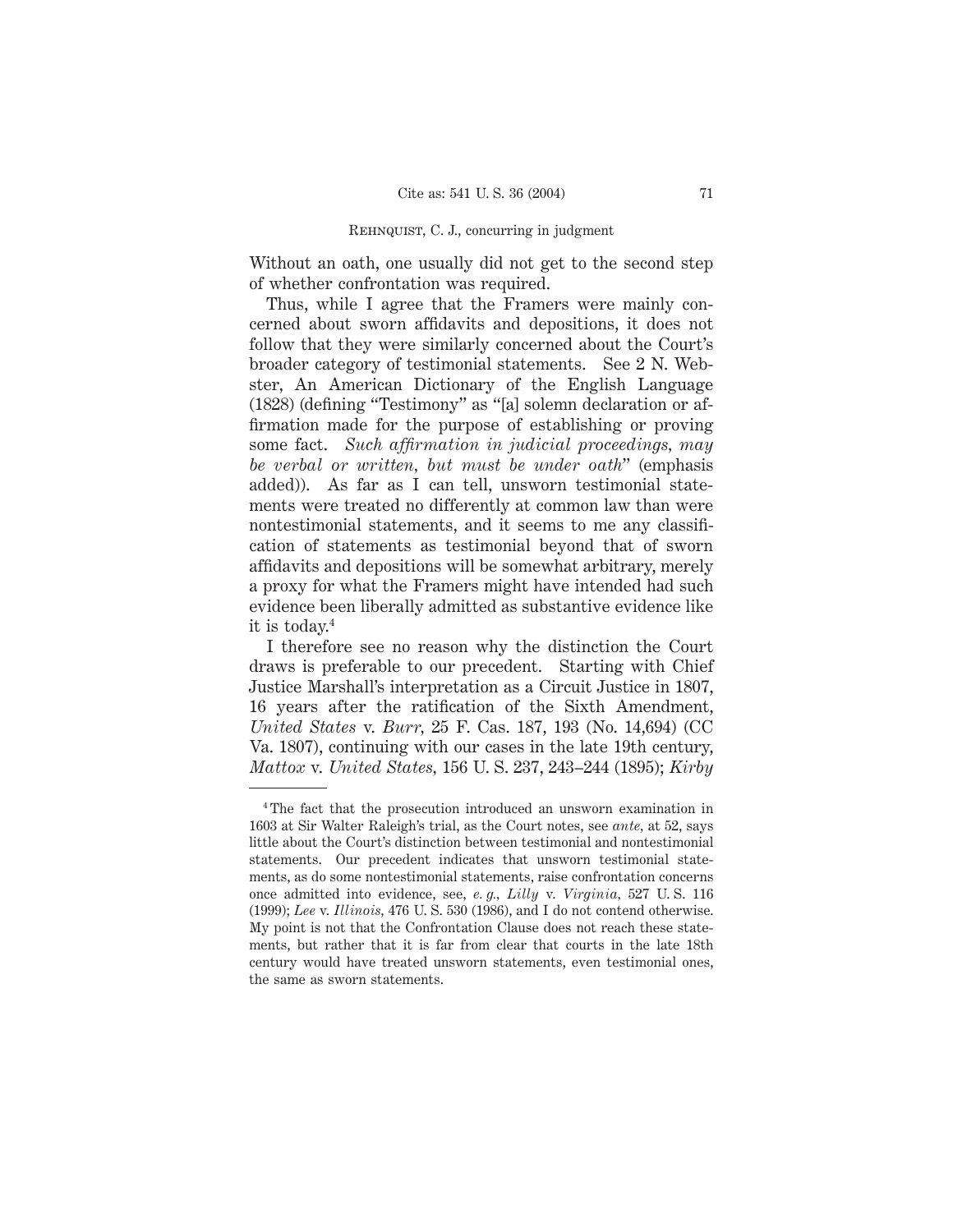Without an oath, one usually did not get to the second step of whether confrontation was required.

Thus, while I agree that the Framers were mainly concerned about sworn affidavits and depositions, it does not follow that they were similarly concerned about the Court's broader category of testimonial statements. See 2 N. Webster, An American Dictionary of the English Language (1828) (defining "Testimony" as "[a] solemn declaration or affirmation made for the purpose of establishing or proving some fact. *Such affirmation in judicial proceedings, may be verbal or written, but must be under oath*" (emphasis added)). As far as I can tell, unsworn testimonial statements were treated no differently at common law than were nontestimonial statements, and it seems to me any classification of statements as testimonial beyond that of sworn affidavits and depositions will be somewhat arbitrary, merely a proxy for what the Framers might have intended had such evidence been liberally admitted as substantive evidence like it is today.4

I therefore see no reason why the distinction the Court draws is preferable to our precedent. Starting with Chief Justice Marshall's interpretation as a Circuit Justice in 1807, 16 years after the ratification of the Sixth Amendment, *United States* v. *Burr,* 25 F. Cas. 187, 193 (No. 14,694) (CC Va. 1807), continuing with our cases in the late 19th century, *Mattox* v. *United States,* 156 U. S. 237, 243–244 (1895); *Kirby*

<sup>4</sup> The fact that the prosecution introduced an unsworn examination in 1603 at Sir Walter Raleigh's trial, as the Court notes, see *ante,* at 52, says little about the Court's distinction between testimonial and nontestimonial statements. Our precedent indicates that unsworn testimonial statements, as do some nontestimonial statements, raise confrontation concerns once admitted into evidence, see, *e. g., Lilly* v. *Virginia,* 527 U. S. 116 (1999); *Lee* v. *Illinois,* 476 U. S. 530 (1986), and I do not contend otherwise. My point is not that the Confrontation Clause does not reach these statements, but rather that it is far from clear that courts in the late 18th century would have treated unsworn statements, even testimonial ones, the same as sworn statements.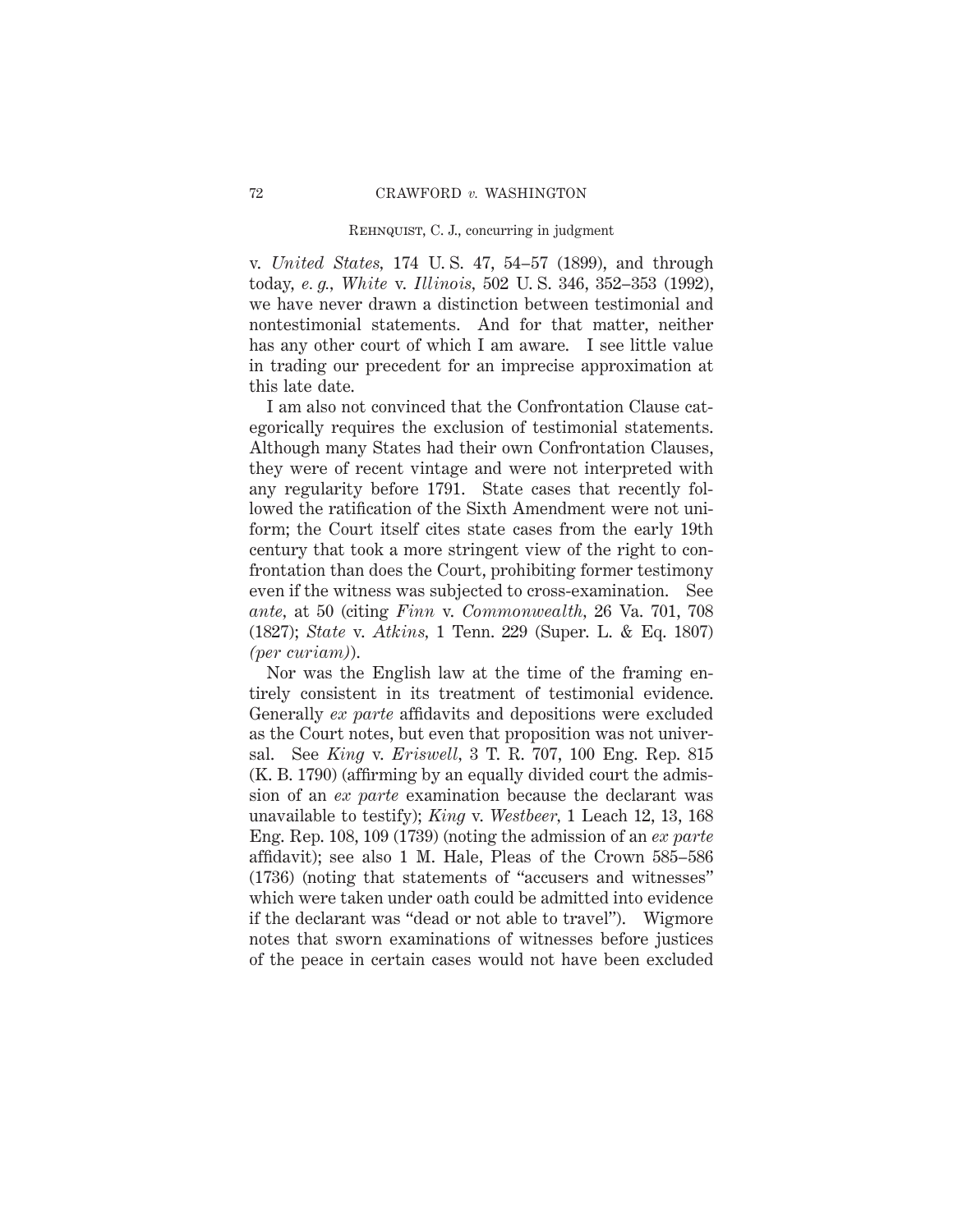v. *United States,* 174 U. S. 47, 54–57 (1899), and through today, *e. g., White* v. *Illinois,* 502 U. S. 346, 352–353 (1992), we have never drawn a distinction between testimonial and nontestimonial statements. And for that matter, neither has any other court of which I am aware. I see little value in trading our precedent for an imprecise approximation at this late date.

I am also not convinced that the Confrontation Clause categorically requires the exclusion of testimonial statements. Although many States had their own Confrontation Clauses, they were of recent vintage and were not interpreted with any regularity before 1791. State cases that recently followed the ratification of the Sixth Amendment were not uniform; the Court itself cites state cases from the early 19th century that took a more stringent view of the right to confrontation than does the Court, prohibiting former testimony even if the witness was subjected to cross-examination. See *ante,* at 50 (citing *Finn* v. *Commonwealth,* 26 Va. 701, 708 (1827); *State* v. *Atkins,* 1 Tenn. 229 (Super. L. & Eq. 1807) *(per curiam)*).

Nor was the English law at the time of the framing entirely consistent in its treatment of testimonial evidence. Generally *ex parte* affidavits and depositions were excluded as the Court notes, but even that proposition was not universal. See *King* v. *Eriswell,* 3 T. R. 707, 100 Eng. Rep. 815 (K. B. 1790) (affirming by an equally divided court the admission of an *ex parte* examination because the declarant was unavailable to testify); *King* v. *Westbeer,* 1 Leach 12, 13, 168 Eng. Rep. 108, 109 (1739) (noting the admission of an *ex parte* affidavit); see also 1 M. Hale, Pleas of the Crown 585–586 (1736) (noting that statements of "accusers and witnesses" which were taken under oath could be admitted into evidence if the declarant was "dead or not able to travel"). Wigmore notes that sworn examinations of witnesses before justices of the peace in certain cases would not have been excluded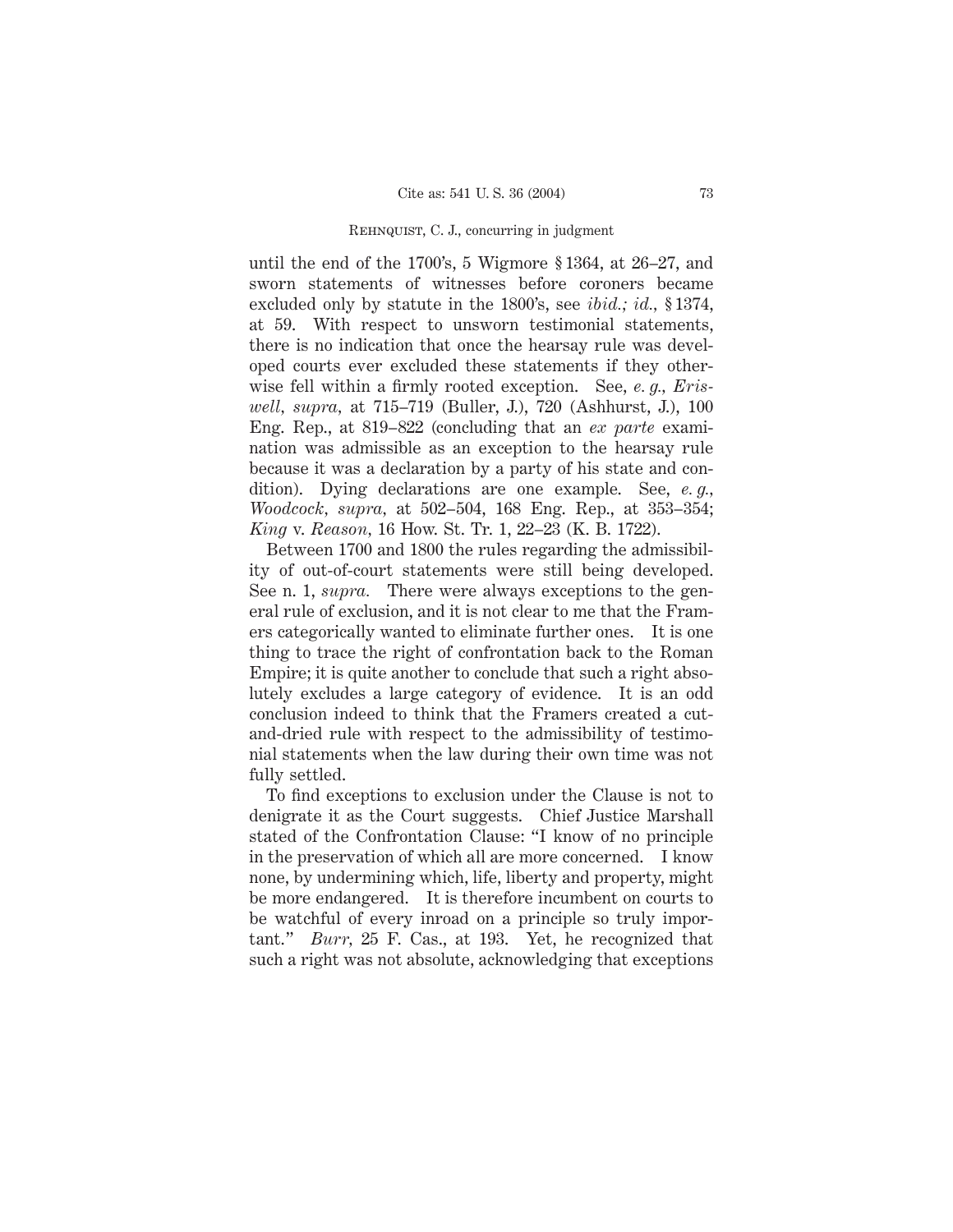until the end of the 1700's, 5 Wigmore § 1364, at 26–27, and sworn statements of witnesses before coroners became excluded only by statute in the 1800's, see *ibid.; id.,* § 1374, at 59. With respect to unsworn testimonial statements, there is no indication that once the hearsay rule was developed courts ever excluded these statements if they otherwise fell within a firmly rooted exception. See, *e. g., Eriswell, supra,* at 715–719 (Buller, J.), 720 (Ashhurst, J.), 100 Eng. Rep., at 819–822 (concluding that an *ex parte* examination was admissible as an exception to the hearsay rule because it was a declaration by a party of his state and condition). Dying declarations are one example. See, *e. g., Woodcock, supra,* at 502–504, 168 Eng. Rep., at 353–354; *King* v. *Reason,* 16 How. St. Tr. 1, 22–23 (K. B. 1722).

Between 1700 and 1800 the rules regarding the admissibility of out-of-court statements were still being developed. See n. 1, *supra.* There were always exceptions to the general rule of exclusion, and it is not clear to me that the Framers categorically wanted to eliminate further ones. It is one thing to trace the right of confrontation back to the Roman Empire; it is quite another to conclude that such a right absolutely excludes a large category of evidence. It is an odd conclusion indeed to think that the Framers created a cutand-dried rule with respect to the admissibility of testimonial statements when the law during their own time was not fully settled.

To find exceptions to exclusion under the Clause is not to denigrate it as the Court suggests. Chief Justice Marshall stated of the Confrontation Clause: "I know of no principle in the preservation of which all are more concerned. I know none, by undermining which, life, liberty and property, might be more endangered. It is therefore incumbent on courts to be watchful of every inroad on a principle so truly important." *Burr,* 25 F. Cas., at 193. Yet, he recognized that such a right was not absolute, acknowledging that exceptions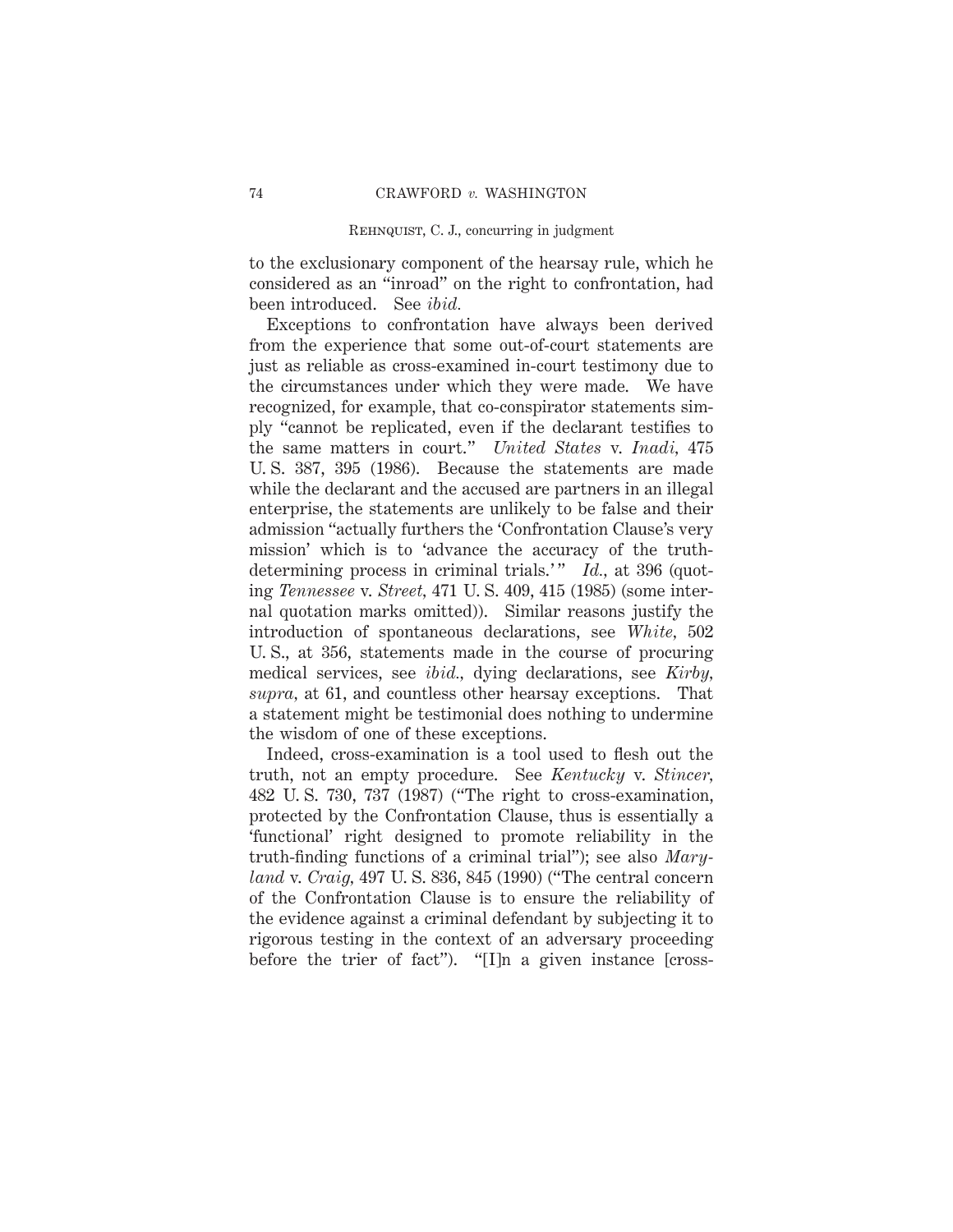to the exclusionary component of the hearsay rule, which he considered as an "inroad" on the right to confrontation, had been introduced. See *ibid.*

Exceptions to confrontation have always been derived from the experience that some out-of-court statements are just as reliable as cross-examined in-court testimony due to the circumstances under which they were made. We have recognized, for example, that co-conspirator statements simply "cannot be replicated, even if the declarant testifies to the same matters in court." *United States* v. *Inadi,* 475 U. S. 387, 395 (1986). Because the statements are made while the declarant and the accused are partners in an illegal enterprise, the statements are unlikely to be false and their admission "actually furthers the 'Confrontation Clause's very mission' which is to 'advance the accuracy of the truthdetermining process in criminal trials.'" *Id.*, at 396 (quoting *Tennessee* v. *Street,* 471 U. S. 409, 415 (1985) (some internal quotation marks omitted)). Similar reasons justify the introduction of spontaneous declarations, see *White,* 502 U. S., at 356, statements made in the course of procuring medical services, see *ibid.,* dying declarations, see *Kirby, supra,* at 61, and countless other hearsay exceptions. That a statement might be testimonial does nothing to undermine the wisdom of one of these exceptions.

Indeed, cross-examination is a tool used to flesh out the truth, not an empty procedure. See *Kentucky* v. *Stincer,* 482 U. S. 730, 737 (1987) ("The right to cross-examination, protected by the Confrontation Clause, thus is essentially a 'functional' right designed to promote reliability in the truth-finding functions of a criminal trial"); see also *Maryland* v. *Craig,* 497 U. S. 836, 845 (1990) ("The central concern of the Confrontation Clause is to ensure the reliability of the evidence against a criminal defendant by subjecting it to rigorous testing in the context of an adversary proceeding before the trier of fact"). "[I]n a given instance [cross-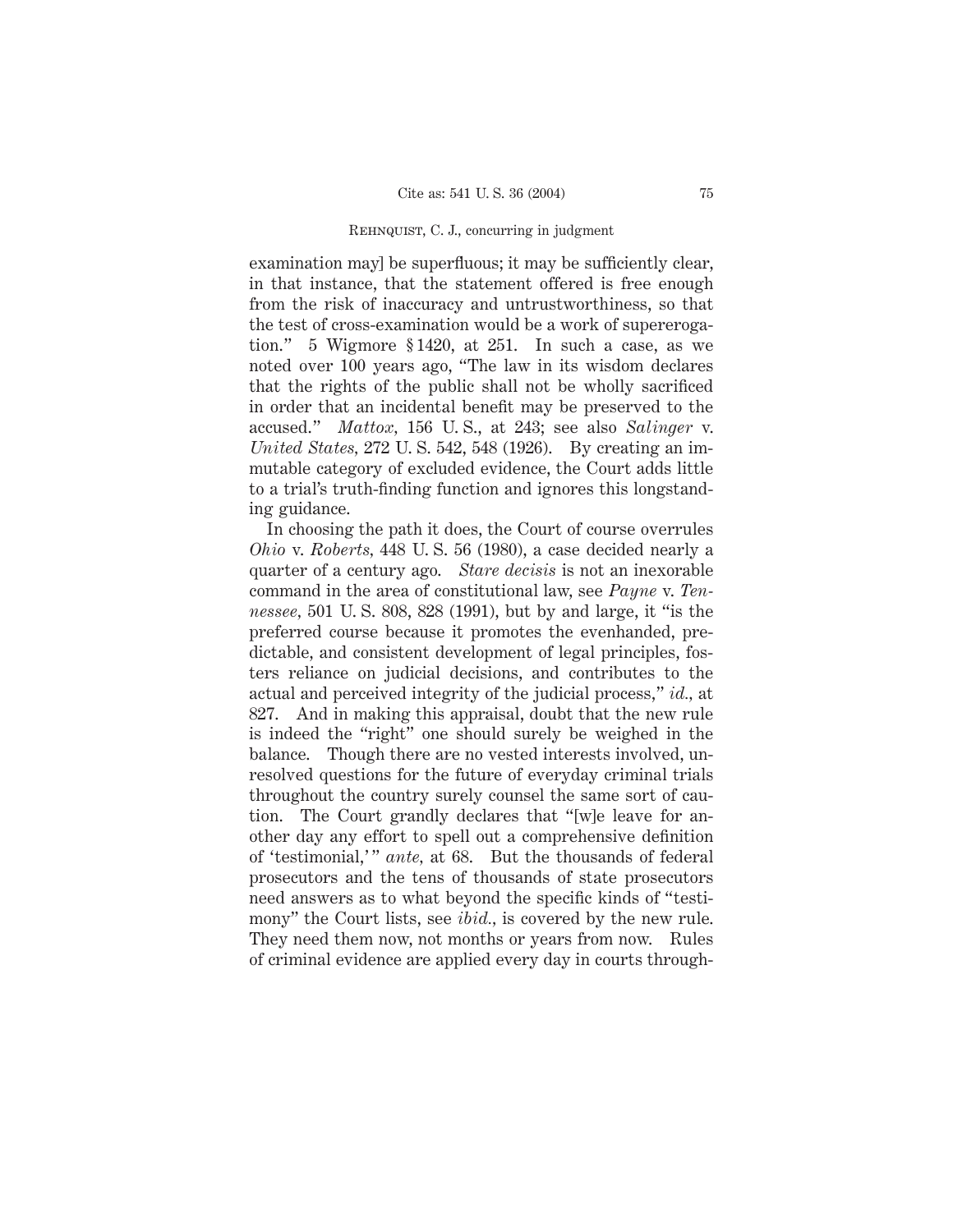examination may] be superfluous; it may be sufficiently clear, in that instance, that the statement offered is free enough from the risk of inaccuracy and untrustworthiness, so that the test of cross-examination would be a work of supererogation." 5 Wigmore § 1420, at 251. In such a case, as we noted over 100 years ago, "The law in its wisdom declares that the rights of the public shall not be wholly sacrificed in order that an incidental benefit may be preserved to the accused." *Mattox,* 156 U. S., at 243; see also *Salinger* v. *United States,* 272 U. S. 542, 548 (1926). By creating an immutable category of excluded evidence, the Court adds little to a trial's truth-finding function and ignores this longstanding guidance.

In choosing the path it does, the Court of course overrules *Ohio* v. *Roberts,* 448 U. S. 56 (1980), a case decided nearly a quarter of a century ago. *Stare decisis* is not an inexorable command in the area of constitutional law, see *Payne* v. *Tennessee,* 501 U. S. 808, 828 (1991), but by and large, it "is the preferred course because it promotes the evenhanded, predictable, and consistent development of legal principles, fosters reliance on judicial decisions, and contributes to the actual and perceived integrity of the judicial process," *id.,* at 827. And in making this appraisal, doubt that the new rule is indeed the "right" one should surely be weighed in the balance. Though there are no vested interests involved, unresolved questions for the future of everyday criminal trials throughout the country surely counsel the same sort of caution. The Court grandly declares that "[w]e leave for another day any effort to spell out a comprehensive definition of 'testimonial,' " *ante,* at 68. But the thousands of federal prosecutors and the tens of thousands of state prosecutors need answers as to what beyond the specific kinds of "testimony" the Court lists, see *ibid.,* is covered by the new rule. They need them now, not months or years from now. Rules of criminal evidence are applied every day in courts through-